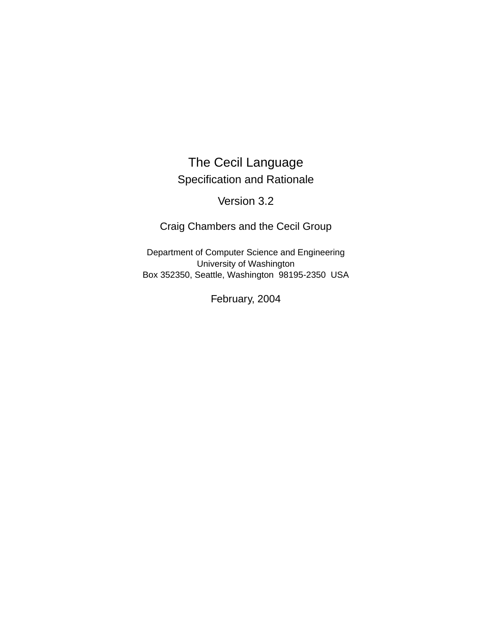# The Cecil Language Specification and Rationale

Version 3.2

Craig Chambers and the Cecil Group

Department of Computer Science and Engineering University of Washington Box 352350, Seattle, Washington 98195-2350 USA

February, 2004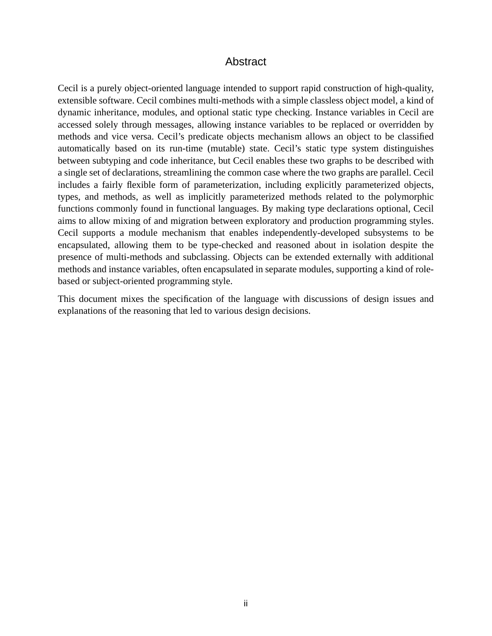## **Abstract**

Cecil is a purely object-oriented language intended to support rapid construction of high-quality, extensible software. Cecil combines multi-methods with a simple classless object model, a kind of dynamic inheritance, modules, and optional static type checking. Instance variables in Cecil are accessed solely through messages, allowing instance variables to be replaced or overridden by methods and vice versa. Cecil's predicate objects mechanism allows an object to be classified automatically based on its run-time (mutable) state. Cecil's static type system distinguishes between subtyping and code inheritance, but Cecil enables these two graphs to be described with a single set of declarations, streamlining the common case where the two graphs are parallel. Cecil includes a fairly flexible form of parameterization, including explicitly parameterized objects, types, and methods, as well as implicitly parameterized methods related to the polymorphic functions commonly found in functional languages. By making type declarations optional, Cecil aims to allow mixing of and migration between exploratory and production programming styles. Cecil supports a module mechanism that enables independently-developed subsystems to be encapsulated, allowing them to be type-checked and reasoned about in isolation despite the presence of multi-methods and subclassing. Objects can be extended externally with additional methods and instance variables, often encapsulated in separate modules, supporting a kind of rolebased or subject-oriented programming style.

This document mixes the specification of the language with discussions of design issues and explanations of the reasoning that led to various design decisions.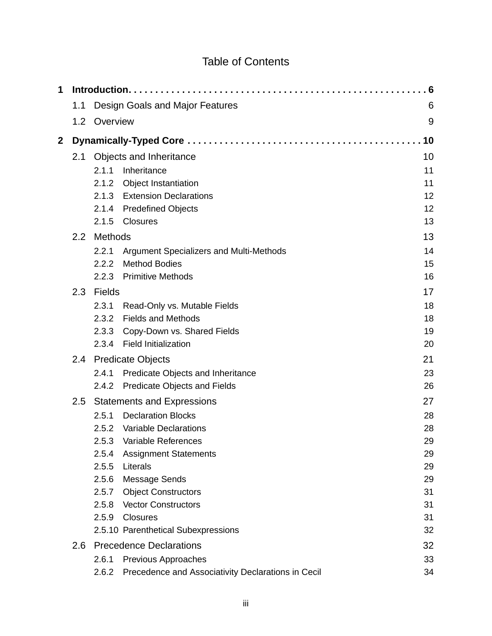## Table of Contents

| 1            |                  |                                 |                                                          | . 6 |  |  |  |  |
|--------------|------------------|---------------------------------|----------------------------------------------------------|-----|--|--|--|--|
|              | 1.1              | Design Goals and Major Features |                                                          |     |  |  |  |  |
|              | 1.2 <sub>1</sub> | Overview                        |                                                          |     |  |  |  |  |
| $\mathbf{2}$ |                  |                                 |                                                          |     |  |  |  |  |
|              | 2.1              |                                 | Objects and Inheritance                                  | 10  |  |  |  |  |
|              |                  | 2.1.1                           | Inheritance                                              | 11  |  |  |  |  |
|              |                  |                                 | 2.1.2 Object Instantiation                               | 11  |  |  |  |  |
|              |                  |                                 | 2.1.3 Extension Declarations                             | 12  |  |  |  |  |
|              |                  |                                 | 2.1.4 Predefined Objects                                 | 12  |  |  |  |  |
|              |                  | 2.1.5                           | <b>Closures</b>                                          | 13  |  |  |  |  |
|              | 2.2              | <b>Methods</b>                  |                                                          | 13  |  |  |  |  |
|              |                  | 2.2.1                           | Argument Specializers and Multi-Methods                  | 14  |  |  |  |  |
|              |                  | 2.2.2                           | <b>Method Bodies</b>                                     | 15  |  |  |  |  |
|              |                  | 2.2.3                           | <b>Primitive Methods</b>                                 | 16  |  |  |  |  |
|              | 2.3              | Fields                          |                                                          | 17  |  |  |  |  |
|              |                  | 2.3.1                           | Read-Only vs. Mutable Fields                             | 18  |  |  |  |  |
|              |                  |                                 | 2.3.2 Fields and Methods                                 | 18  |  |  |  |  |
|              |                  |                                 | 2.3.3 Copy-Down vs. Shared Fields                        | 19  |  |  |  |  |
|              |                  | 2.3.4                           | <b>Field Initialization</b>                              | 20  |  |  |  |  |
|              |                  |                                 | 2.4 Predicate Objects                                    | 21  |  |  |  |  |
|              |                  | 2.4.1                           | <b>Predicate Objects and Inheritance</b>                 | 23  |  |  |  |  |
|              |                  | 2.4.2                           | <b>Predicate Objects and Fields</b>                      | 26  |  |  |  |  |
|              |                  | 2.5 Statements and Expressions  |                                                          |     |  |  |  |  |
|              |                  | 2.5.1                           | <b>Declaration Blocks</b>                                | 28  |  |  |  |  |
|              |                  | 2.5.2                           | <b>Variable Declarations</b>                             | 28  |  |  |  |  |
|              |                  |                                 | 2.5.3 Variable References                                | 29  |  |  |  |  |
|              |                  | 2.5.4                           | <b>Assignment Statements</b>                             | 29  |  |  |  |  |
|              |                  | 2.5.5                           | Literals                                                 | 29  |  |  |  |  |
|              |                  | 2.5.6                           | Message Sends                                            | 29  |  |  |  |  |
|              |                  |                                 | 2.5.7 Object Constructors                                | 31  |  |  |  |  |
|              |                  | 2.5.8                           | <b>Vector Constructors</b>                               | 31  |  |  |  |  |
|              |                  | 2.5.9                           | <b>Closures</b>                                          | 31  |  |  |  |  |
|              |                  |                                 | 2.5.10 Parenthetical Subexpressions                      | 32  |  |  |  |  |
|              | 2.6              |                                 | <b>Precedence Declarations</b>                           | 32  |  |  |  |  |
|              |                  | 2.6.1                           | <b>Previous Approaches</b>                               | 33  |  |  |  |  |
|              |                  |                                 | 2.6.2 Precedence and Associativity Declarations in Cecil | 34  |  |  |  |  |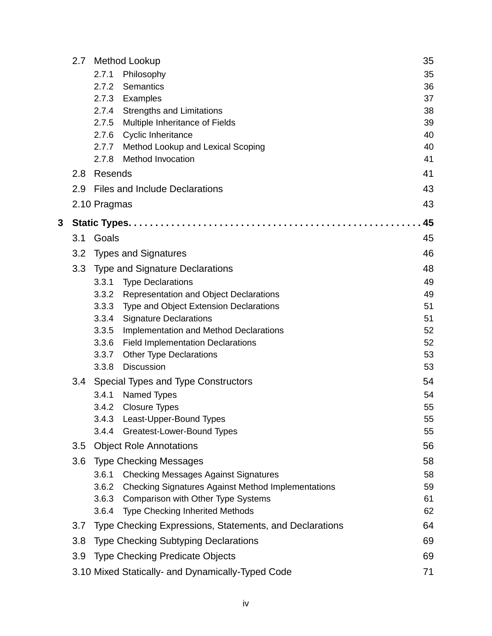|   | 2.7 |                | Method Lookup                                                           | 35       |
|---|-----|----------------|-------------------------------------------------------------------------|----------|
|   |     | 2.7.1          | Philosophy                                                              | 35       |
|   |     | 2.7.2          | Semantics                                                               | 36       |
|   |     |                | 2.7.3 Examples                                                          | 37       |
|   |     |                | 2.7.4 Strengths and Limitations                                         | 38       |
|   |     | 2.7.5          | Multiple Inheritance of Fields                                          | 39       |
|   |     | 2.7.6          | <b>Cyclic Inheritance</b>                                               | 40       |
|   |     | 2.7.8          | 2.7.7 Method Lookup and Lexical Scoping<br><b>Method Invocation</b>     | 40<br>41 |
|   | 2.8 | Resends        |                                                                         | 41       |
|   | 2.9 |                | <b>Files and Include Declarations</b>                                   | 43       |
|   |     | 2.10 Pragmas   |                                                                         | 43       |
|   |     |                |                                                                         | 45       |
| 3 |     |                |                                                                         |          |
|   | 3.1 | Goals          |                                                                         | 45       |
|   | 3.2 |                | <b>Types and Signatures</b>                                             | 46       |
|   | 3.3 |                | <b>Type and Signature Declarations</b>                                  | 48       |
|   |     | 3.3.1          | <b>Type Declarations</b>                                                | 49       |
|   |     |                | 3.3.2 Representation and Object Declarations                            | 49       |
|   |     |                | 3.3.3 Type and Object Extension Declarations                            | 51       |
|   |     | 3.3.4<br>3.3.5 | <b>Signature Declarations</b><br>Implementation and Method Declarations | 51<br>52 |
|   |     | 3.3.6          | <b>Field Implementation Declarations</b>                                | 52       |
|   |     | 3.3.7          | <b>Other Type Declarations</b>                                          | 53       |
|   |     | 3.3.8          | <b>Discussion</b>                                                       | 53       |
|   |     |                | 3.4 Special Types and Type Constructors                                 | 54       |
|   |     | 3.4.1          | Named Types                                                             | 54       |
|   |     | 3.4.2          | <b>Closure Types</b>                                                    | 55       |
|   |     | 3.4.3          | Least-Upper-Bound Types                                                 | 55       |
|   |     | 3.4.4          | Greatest-Lower-Bound Types                                              | 55       |
|   | 3.5 |                | <b>Object Role Annotations</b>                                          | 56       |
|   | 3.6 |                | <b>Type Checking Messages</b>                                           | 58       |
|   |     | 3.6.1          | <b>Checking Messages Against Signatures</b>                             | 58       |
|   |     | 3.6.2          | <b>Checking Signatures Against Method Implementations</b>               | 59       |
|   |     | 3.6.3          | Comparison with Other Type Systems                                      | 61       |
|   |     | 3.6.4          | <b>Type Checking Inherited Methods</b>                                  | 62       |
|   | 3.7 |                | Type Checking Expressions, Statements, and Declarations                 | 64       |
|   | 3.8 |                | <b>Type Checking Subtyping Declarations</b>                             | 69       |
|   | 3.9 |                | <b>Type Checking Predicate Objects</b>                                  | 69       |
|   |     |                | 3.10 Mixed Statically- and Dynamically-Typed Code                       | 71       |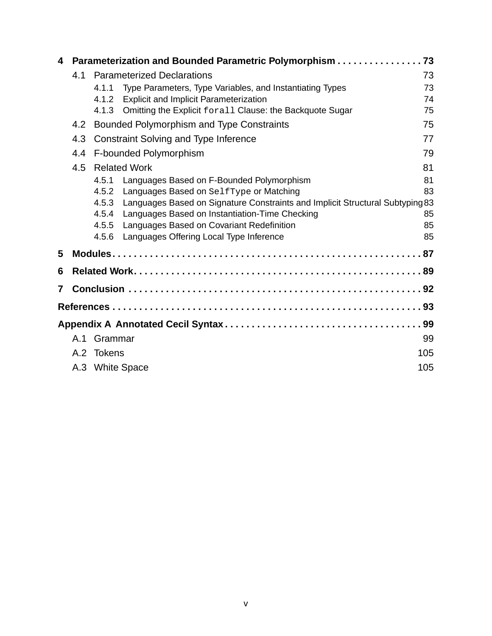| 4 | Parameterization and Bounded Parametric Polymorphism 73 |                |                                                                                      |          |  |  |  |  |
|---|---------------------------------------------------------|----------------|--------------------------------------------------------------------------------------|----------|--|--|--|--|
|   | <b>Parameterized Declarations</b><br>4.1                |                |                                                                                      |          |  |  |  |  |
|   |                                                         | 4.1.1          | Type Parameters, Type Variables, and Instantiating Types                             | 73       |  |  |  |  |
|   |                                                         |                | 4.1.2 Explicit and Implicit Parameterization                                         | 74       |  |  |  |  |
|   |                                                         |                | 4.1.3 Omitting the Explicit forall Clause: the Backquote Sugar                       | 75       |  |  |  |  |
|   | 4.2                                                     |                | Bounded Polymorphism and Type Constraints                                            | 75       |  |  |  |  |
|   | 4.3                                                     |                | <b>Constraint Solving and Type Inference</b>                                         | 77       |  |  |  |  |
|   | 4.4                                                     |                | F-bounded Polymorphism                                                               | 79       |  |  |  |  |
|   | 4.5                                                     |                | <b>Related Work</b>                                                                  | 81       |  |  |  |  |
|   |                                                         | 4.5.1          | Languages Based on F-Bounded Polymorphism                                            | 81       |  |  |  |  |
|   |                                                         | 4.5.2          | Languages Based on SelfType or Matching                                              | 83       |  |  |  |  |
|   |                                                         | 4.5.3          | Languages Based on Signature Constraints and Implicit Structural Subtyping 83        |          |  |  |  |  |
|   |                                                         |                | 4.5.4 Languages Based on Instantiation-Time Checking                                 | 85       |  |  |  |  |
|   |                                                         | 4.5.5<br>4.5.6 | Languages Based on Covariant Redefinition<br>Languages Offering Local Type Inference | 85<br>85 |  |  |  |  |
|   |                                                         |                |                                                                                      |          |  |  |  |  |
| 5 |                                                         |                |                                                                                      |          |  |  |  |  |
| 6 |                                                         |                |                                                                                      |          |  |  |  |  |
| 7 |                                                         |                |                                                                                      |          |  |  |  |  |
|   |                                                         |                |                                                                                      |          |  |  |  |  |
|   |                                                         |                |                                                                                      |          |  |  |  |  |
|   |                                                         | A.1 Grammar    |                                                                                      | 99       |  |  |  |  |
|   |                                                         | A.2 Tokens     |                                                                                      | 105      |  |  |  |  |
|   | A.3 White Space<br>105                                  |                |                                                                                      |          |  |  |  |  |
|   |                                                         |                |                                                                                      |          |  |  |  |  |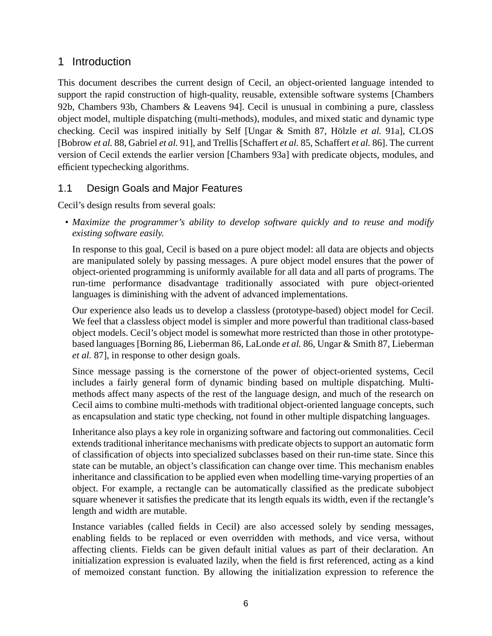## 1 Introduction

This document describes the current design of Cecil, an object-oriented language intended to support the rapid construction of high-quality, reusable, extensible software systems [Chambers 92b, Chambers 93b, Chambers & Leavens 94]. Cecil is unusual in combining a pure, classless object model, multiple dispatching (multi-methods), modules, and mixed static and dynamic type checking. Cecil was inspired initially by Self [Ungar & Smith 87, Hölzle *et al.* 91a], CLOS [Bobrow *et al.* 88, Gabriel *et al.* 91], and Trellis [Schaffert *et al.* 85, Schaffert *et al.* 86]. The current version of Cecil extends the earlier version [Chambers 93a] with predicate objects, modules, and efficient typechecking algorithms.

## 1.1 Design Goals and Major Features

Cecil's design results from several goals:

*• Maximize the programmer's ability to develop software quickly and to reuse and modify existing software easily.*

In response to this goal, Cecil is based on a pure object model: all data are objects and objects are manipulated solely by passing messages. A pure object model ensures that the power of object-oriented programming is uniformly available for all data and all parts of programs. The run-time performance disadvantage traditionally associated with pure object-oriented languages is diminishing with the advent of advanced implementations.

Our experience also leads us to develop a classless (prototype-based) object model for Cecil. We feel that a classless object model is simpler and more powerful than traditional class-based object models. Cecil's object model is somewhat more restricted than those in other prototypebased languages [Borning 86, Lieberman 86, LaLonde *et al.* 86, Ungar & Smith 87, Lieberman *et al.* 87], in response to other design goals.

Since message passing is the cornerstone of the power of object-oriented systems, Cecil includes a fairly general form of dynamic binding based on multiple dispatching. Multimethods affect many aspects of the rest of the language design, and much of the research on Cecil aims to combine multi-methods with traditional object-oriented language concepts, such as encapsulation and static type checking, not found in other multiple dispatching languages.

Inheritance also plays a key role in organizing software and factoring out commonalities. Cecil extends traditional inheritance mechanisms with predicate objects to support an automatic form of classification of objects into specialized subclasses based on their run-time state. Since this state can be mutable, an object's classification can change over time. This mechanism enables inheritance and classification to be applied even when modelling time-varying properties of an object. For example, a rectangle can be automatically classified as the predicate subobject square whenever it satisfies the predicate that its length equals its width, even if the rectangle's length and width are mutable.

Instance variables (called fields in Cecil) are also accessed solely by sending messages, enabling fields to be replaced or even overridden with methods, and vice versa, without affecting clients. Fields can be given default initial values as part of their declaration. An initialization expression is evaluated lazily, when the field is first referenced, acting as a kind of memoized constant function. By allowing the initialization expression to reference the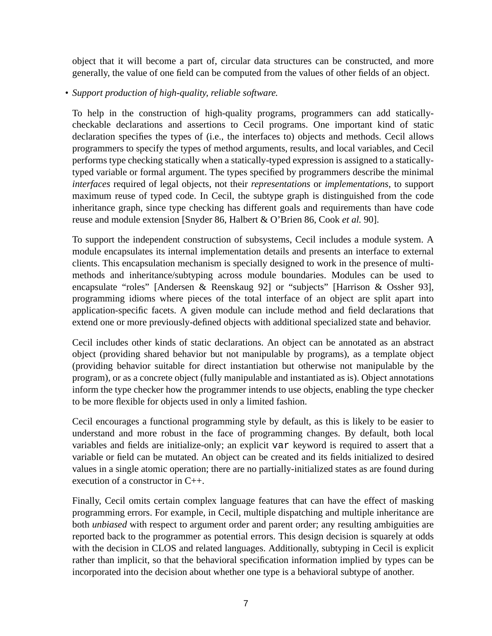object that it will become a part of, circular data structures can be constructed, and more generally, the value of one field can be computed from the values of other fields of an object.

*• Support production of high-quality, reliable software.*

To help in the construction of high-quality programs, programmers can add staticallycheckable declarations and assertions to Cecil programs. One important kind of static declaration specifies the types of (i.e., the interfaces to) objects and methods. Cecil allows programmers to specify the types of method arguments, results, and local variables, and Cecil performs type checking statically when a statically-typed expression is assigned to a staticallytyped variable or formal argument. The types specified by programmers describe the minimal *interfaces* required of legal objects, not their *representations* or *implementations*, to support maximum reuse of typed code. In Cecil, the subtype graph is distinguished from the code inheritance graph, since type checking has different goals and requirements than have code reuse and module extension [Snyder 86, Halbert & O'Brien 86, Cook *et al.* 90].

To support the independent construction of subsystems, Cecil includes a module system. A module encapsulates its internal implementation details and presents an interface to external clients. This encapsulation mechanism is specially designed to work in the presence of multimethods and inheritance/subtyping across module boundaries. Modules can be used to encapsulate "roles" [Andersen & Reenskaug 92] or "subjects" [Harrison & Ossher 93], programming idioms where pieces of the total interface of an object are split apart into application-specific facets. A given module can include method and field declarations that extend one or more previously-defined objects with additional specialized state and behavior.

Cecil includes other kinds of static declarations. An object can be annotated as an abstract object (providing shared behavior but not manipulable by programs), as a template object (providing behavior suitable for direct instantiation but otherwise not manipulable by the program), or as a concrete object (fully manipulable and instantiated as is). Object annotations inform the type checker how the programmer intends to use objects, enabling the type checker to be more flexible for objects used in only a limited fashion.

Cecil encourages a functional programming style by default, as this is likely to be easier to understand and more robust in the face of programming changes. By default, both local variables and fields are initialize-only; an explicit var keyword is required to assert that a variable or field can be mutated. An object can be created and its fields initialized to desired values in a single atomic operation; there are no partially-initialized states as are found during execution of a constructor in C++.

Finally, Cecil omits certain complex language features that can have the effect of masking programming errors. For example, in Cecil, multiple dispatching and multiple inheritance are both *unbiased* with respect to argument order and parent order; any resulting ambiguities are reported back to the programmer as potential errors. This design decision is squarely at odds with the decision in CLOS and related languages. Additionally, subtyping in Cecil is explicit rather than implicit, so that the behavioral specification information implied by types can be incorporated into the decision about whether one type is a behavioral subtype of another.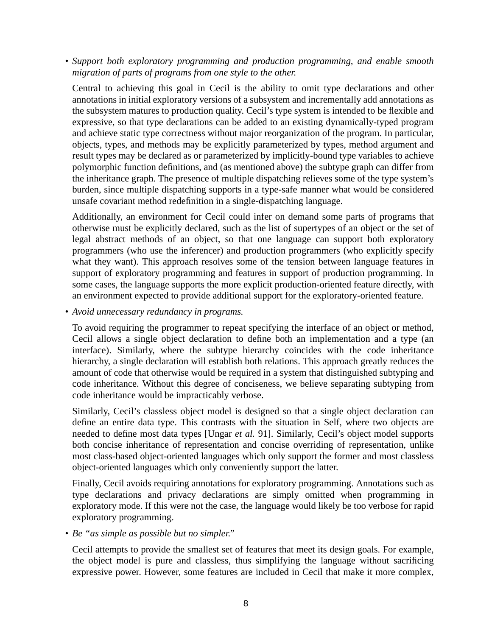*• Support both exploratory programming and production programming, and enable smooth migration of parts of programs from one style to the other.*

Central to achieving this goal in Cecil is the ability to omit type declarations and other annotations in initial exploratory versions of a subsystem and incrementally add annotations as the subsystem matures to production quality. Cecil's type system is intended to be flexible and expressive, so that type declarations can be added to an existing dynamically-typed program and achieve static type correctness without major reorganization of the program. In particular, objects, types, and methods may be explicitly parameterized by types, method argument and result types may be declared as or parameterized by implicitly-bound type variables to achieve polymorphic function definitions, and (as mentioned above) the subtype graph can differ from the inheritance graph. The presence of multiple dispatching relieves some of the type system's burden, since multiple dispatching supports in a type-safe manner what would be considered unsafe covariant method redefinition in a single-dispatching language.

Additionally, an environment for Cecil could infer on demand some parts of programs that otherwise must be explicitly declared, such as the list of supertypes of an object or the set of legal abstract methods of an object, so that one language can support both exploratory programmers (who use the inferencer) and production programmers (who explicitly specify what they want). This approach resolves some of the tension between language features in support of exploratory programming and features in support of production programming. In some cases, the language supports the more explicit production-oriented feature directly, with an environment expected to provide additional support for the exploratory-oriented feature.

*• Avoid unnecessary redundancy in programs.*

To avoid requiring the programmer to repeat specifying the interface of an object or method, Cecil allows a single object declaration to define both an implementation and a type (an interface). Similarly, where the subtype hierarchy coincides with the code inheritance hierarchy, a single declaration will establish both relations. This approach greatly reduces the amount of code that otherwise would be required in a system that distinguished subtyping and code inheritance. Without this degree of conciseness, we believe separating subtyping from code inheritance would be impracticably verbose.

Similarly, Cecil's classless object model is designed so that a single object declaration can define an entire data type. This contrasts with the situation in Self, where two objects are needed to define most data types [Ungar *et al.* 91]. Similarly, Cecil's object model supports both concise inheritance of representation and concise overriding of representation, unlike most class-based object-oriented languages which only support the former and most classless object-oriented languages which only conveniently support the latter.

Finally, Cecil avoids requiring annotations for exploratory programming. Annotations such as type declarations and privacy declarations are simply omitted when programming in exploratory mode. If this were not the case, the language would likely be too verbose for rapid exploratory programming.

*• Be "as simple as possible but no simpler."*

Cecil attempts to provide the smallest set of features that meet its design goals. For example, the object model is pure and classless, thus simplifying the language without sacrificing expressive power. However, some features are included in Cecil that make it more complex,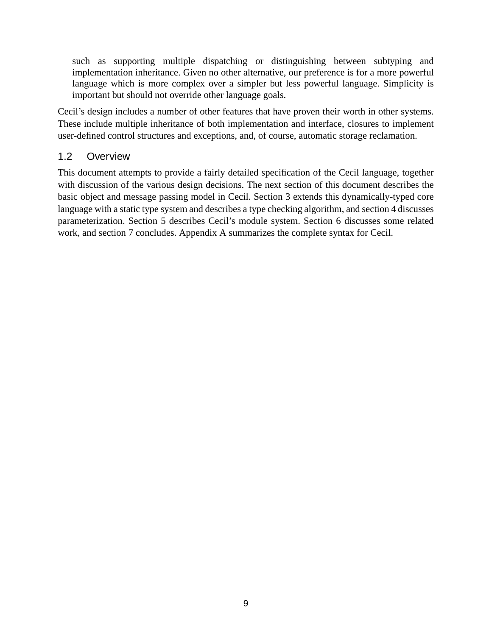such as supporting multiple dispatching or distinguishing between subtyping and implementation inheritance. Given no other alternative, our preference is for a more powerful language which is more complex over a simpler but less powerful language. Simplicity is important but should not override other language goals.

Cecil's design includes a number of other features that have proven their worth in other systems. These include multiple inheritance of both implementation and interface, closures to implement user-defined control structures and exceptions, and, of course, automatic storage reclamation.

## 1.2 Overview

This document attempts to provide a fairly detailed specification of the Cecil language, together with discussion of the various design decisions. The next section of this document describes the basic object and message passing model in Cecil. Section 3 extends this dynamically-typed core language with a static type system and describes a type checking algorithm, and section 4 discusses parameterization. Section 5 describes Cecil's module system. Section 6 discusses some related work, and section 7 concludes. Appendix A summarizes the complete syntax for Cecil.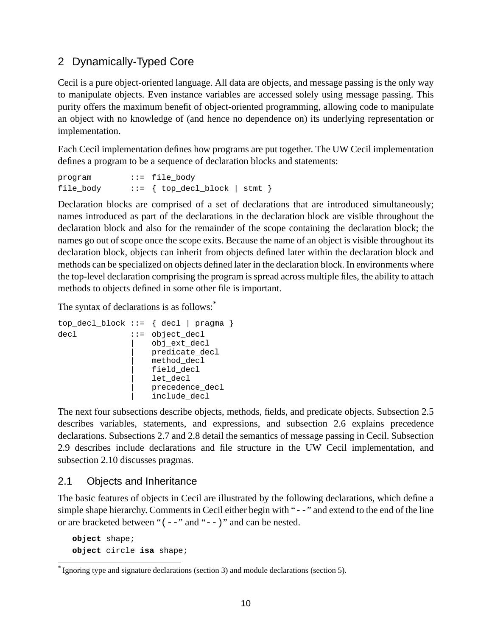## 2 Dynamically-Typed Core

Cecil is a pure object-oriented language. All data are objects, and message passing is the only way to manipulate objects. Even instance variables are accessed solely using message passing. This purity offers the maximum benefit of object-oriented programming, allowing code to manipulate an object with no knowledge of (and hence no dependence on) its underlying representation or implementation.

Each Cecil implementation defines how programs are put together. The UW Cecil implementation defines a program to be a sequence of declaration blocks and statements:

```
program ::= file body
file body ::= { top decl block | stmt }
```
Declaration blocks are comprised of a set of declarations that are introduced simultaneously; names introduced as part of the declarations in the declaration block are visible throughout the declaration block and also for the remainder of the scope containing the declaration block; the names go out of scope once the scope exits. Because the name of an object is visible throughout its declaration block, objects can inherit from objects defined later within the declaration block and methods can be specialized on objects defined later in the declaration block. In environments where the top-level declaration comprising the program is spread across multiple files, the ability to attach methods to objects defined in some other file is important.

The syntax of declarations is as follows:

```
top_decl_block ::= { decl | pragma }
decl \qquad \qquad \qquad \qquad \text{:= object\_decl}obj ext decl
                       | predicate_decl
                       method decl
                       field decl
                       | let_decl
                       precedence decl
                       include decl
```
The next four subsections describe objects, methods, fields, and predicate objects. Subsection 2.5 describes variables, statements, and expressions, and subsection 2.6 explains precedence declarations. Subsections 2.7 and 2.8 detail the semantics of message passing in Cecil. Subsection 2.9 describes include declarations and file structure in the UW Cecil implementation, and subsection 2.10 discusses pragmas.

## 2.1 Objects and Inheritance

The basic features of objects in Cecil are illustrated by the following declarations, which define a simple shape hierarchy. Comments in Cecil either begin with "--" and extend to the end of the line or are bracketed between " $(--$ " and " $--$ " and can be nested.

```
object shape;
object circle isa shape;
```
<sup>\*</sup> Ignoring type and signature declarations (section 3) and module declarations (section 5).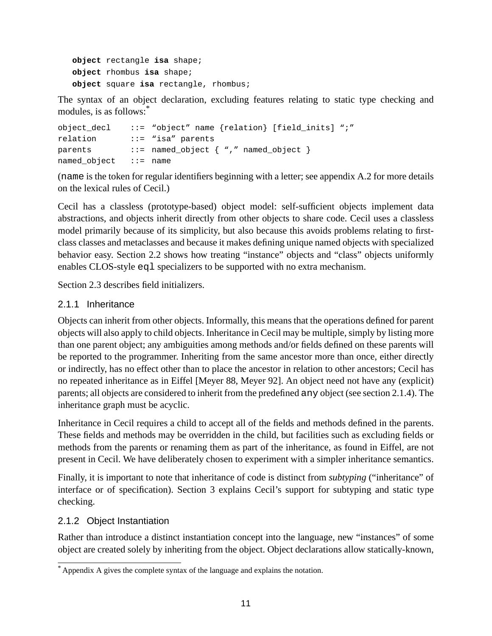```
object rectangle isa shape;
object rhombus isa shape;
object square isa rectangle, rhombus;
```
The syntax of an object declaration, excluding features relating to static type checking and modules, is as follows:<sup>\*</sup>

```
object_decl ::= "object" name {relation} [field_inits] ";"
relation ::= "isa" parents
parents ::= named_object { "," named_object }
named object ::= name
```
(name is the token for regular identifiers beginning with a letter; see appendix A.2 for more details on the lexical rules of Cecil.)

Cecil has a classless (prototype-based) object model: self-sufficient objects implement data abstractions, and objects inherit directly from other objects to share code. Cecil uses a classless model primarily because of its simplicity, but also because this avoids problems relating to firstclass classes and metaclasses and because it makes defining unique named objects with specialized behavior easy. Section 2.2 shows how treating "instance" objects and "class" objects uniformly enables CLOS-style eql specializers to be supported with no extra mechanism.

Section 2.3 describes field initializers.

## 2.1.1 Inheritance

Objects can inherit from other objects. Informally, this means that the operations defined for parent objects will also apply to child objects. Inheritance in Cecil may be multiple, simply by listing more than one parent object; any ambiguities among methods and/or fields defined on these parents will be reported to the programmer. Inheriting from the same ancestor more than once, either directly or indirectly, has no effect other than to place the ancestor in relation to other ancestors; Cecil has no repeated inheritance as in Eiffel [Meyer 88, Meyer 92]. An object need not have any (explicit) parents; all objects are considered to inherit from the predefined any object (see section 2.1.4). The inheritance graph must be acyclic.

Inheritance in Cecil requires a child to accept all of the fields and methods defined in the parents. These fields and methods may be overridden in the child, but facilities such as excluding fields or methods from the parents or renaming them as part of the inheritance, as found in Eiffel, are not present in Cecil. We have deliberately chosen to experiment with a simpler inheritance semantics.

Finally, it is important to note that inheritance of code is distinct from *subtyping* ("inheritance" of interface or of specification). Section 3 explains Cecil's support for subtyping and static type checking.

## 2.1.2 Object Instantiation

Rather than introduce a distinct instantiation concept into the language, new "instances" of some object are created solely by inheriting from the object. Object declarations allow statically-known,

<sup>\*</sup> Appendix A gives the complete syntax of the language and explains the notation.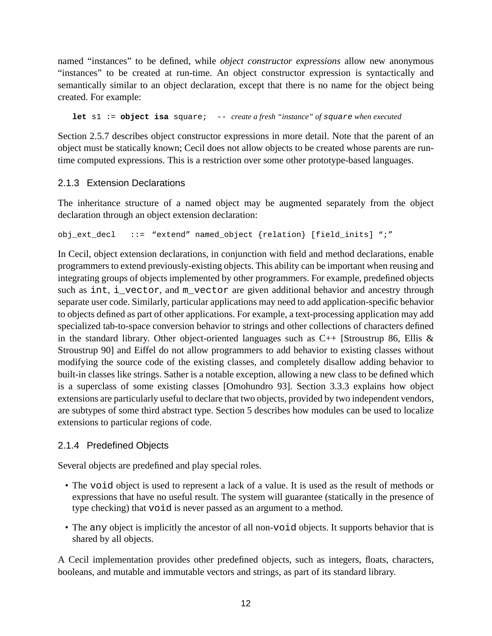named "instances" to be defined, while *object constructor expressions* allow new anonymous "instances" to be created at run-time. An object constructor expression is syntactically and semantically similar to an object declaration, except that there is no name for the object being created. For example:

#### **let** s1 := **object isa** square; -- *create a fresh "instance" of* square *when executed*

Section 2.5.7 describes object constructor expressions in more detail. Note that the parent of an object must be statically known; Cecil does not allow objects to be created whose parents are runtime computed expressions. This is a restriction over some other prototype-based languages.

## 2.1.3 Extension Declarations

The inheritance structure of a named object may be augmented separately from the object declaration through an object extension declaration:

```
obj_ext_decl ::= "extend" named_object {relation} [field_inits] ";"
```
In Cecil, object extension declarations, in conjunction with field and method declarations, enable programmers to extend previously-existing objects. This ability can be important when reusing and integrating groups of objects implemented by other programmers. For example, predefined objects such as int, i\_vector, and m\_vector are given additional behavior and ancestry through separate user code. Similarly, particular applications may need to add application-specific behavior to objects defined as part of other applications. For example, a text-processing application may add specialized tab-to-space conversion behavior to strings and other collections of characters defined in the standard library. Other object-oriented languages such as  $C++$  [Stroustrup 86, Ellis & Stroustrup 90] and Eiffel do not allow programmers to add behavior to existing classes without modifying the source code of the existing classes, and completely disallow adding behavior to built-in classes like strings. Sather is a notable exception, allowing a new class to be defined which is a superclass of some existing classes [Omohundro 93]. Section 3.3.3 explains how object extensions are particularly useful to declare that two objects, provided by two independent vendors, are subtypes of some third abstract type. Section 5 describes how modules can be used to localize extensions to particular regions of code.

## 2.1.4 Predefined Objects

Several objects are predefined and play special roles.

- The void object is used to represent a lack of a value. It is used as the result of methods or expressions that have no useful result. The system will guarantee (statically in the presence of type checking) that void is never passed as an argument to a method.
- The any object is implicitly the ancestor of all non-void objects. It supports behavior that is shared by all objects.

A Cecil implementation provides other predefined objects, such as integers, floats, characters, booleans, and mutable and immutable vectors and strings, as part of its standard library.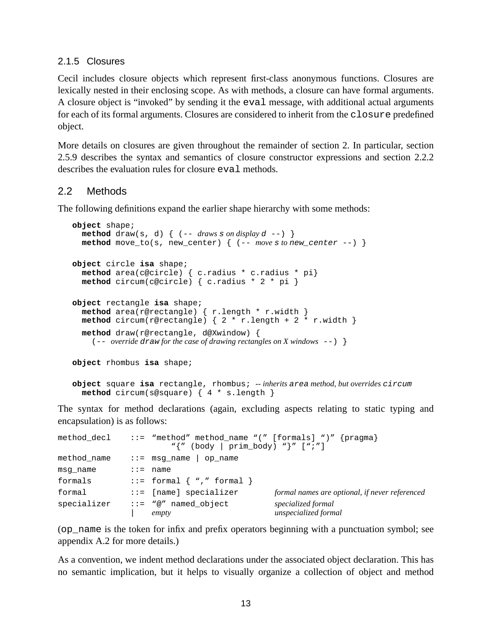#### 2.1.5 Closures

Cecil includes closure objects which represent first-class anonymous functions. Closures are lexically nested in their enclosing scope. As with methods, a closure can have formal arguments. A closure object is "invoked" by sending it the eval message, with additional actual arguments for each of its formal arguments. Closures are considered to inherit from the closure predefined object.

More details on closures are given throughout the remainder of section 2. In particular, section 2.5.9 describes the syntax and semantics of closure constructor expressions and section 2.2.2 describes the evaluation rules for closure eval methods.

## 2.2 Methods

The following definitions expand the earlier shape hierarchy with some methods:

```
object shape;
  method draw(s, d) { (-- draws s on display d --) }
  \text{method move_to(s, new-center}) { \left(-\text{move} \text{ } \text{so} \text{ } \text{new-center} \right) }
object circle isa shape;
  method area(c@circle) { c.radius * c.radius * pi}
  method circum(c@circle) { c.radius * 2 * pi }
object rectangle isa shape;
  method area(r@rectangle) { r.length * r.width }
  method circum(r@rectangle) { 2 * r.length + 2 * r.width }
  method draw(r@rectangle, d@Xwindow) {
    (-- override draw for the case of drawing rectangles on X windows --) }
object rhombus isa shape;
object square isa rectangle, rhombus; -- inherits area method, but overrides circum
  method circum(s@square) { 4 * s.length }
```
The syntax for method declarations (again, excluding aspects relating to static typing and encapsulation) is as follows:

| method decl | ::= "method" method_name "(" [formals] ")" {pragma}<br>" ${N, n \in \mathbb{Z} \mid \text{body} \mid \text{prim-body}}$ " ${N, n \in \mathbb{Z} \mid \text{obj} \mid \text{obj} \mid \text{obj} \mid \text{obj} \mid \text{obj} \mid \text{obj} \mid \text{obj} \mid \text{obj} \mid \text{obj} \mid \text{obj} \mid \text{obj} \mid \text{obj} \mid \text{obj} \mid \text{obj} \mid \text{obj} \mid \text{obj} \mid \text{obj} \mid \text{obj} \mid \text{obj} \mid \text{obj} \mid \text{obj} \mid \text{obj} \mid \text{obj} \mid \text{obj} \mid \text{obj} \$ |                                                |
|-------------|--------------------------------------------------------------------------------------------------------------------------------------------------------------------------------------------------------------------------------------------------------------------------------------------------------------------------------------------------------------------------------------------------------------------------------------------------------------------------------------------------------------------------------------------------------------------|------------------------------------------------|
| method name | $\cdots$ = msq name   op name                                                                                                                                                                                                                                                                                                                                                                                                                                                                                                                                      |                                                |
| msq name    | $\cdots$ name                                                                                                                                                                                                                                                                                                                                                                                                                                                                                                                                                      |                                                |
| formals     | $::=$ formal $\{$ "," formal $\}$                                                                                                                                                                                                                                                                                                                                                                                                                                                                                                                                  |                                                |
| formal      | $ ::=$ [name] specializer                                                                                                                                                                                                                                                                                                                                                                                                                                                                                                                                          | formal names are optional, if never referenced |
| specializer | $ ::= "@"$ named object<br>empty                                                                                                                                                                                                                                                                                                                                                                                                                                                                                                                                   | specialized formal<br>unspecialized formal     |

(op\_name is the token for infix and prefix operators beginning with a punctuation symbol; see appendix A.2 for more details.)

As a convention, we indent method declarations under the associated object declaration. This has no semantic implication, but it helps to visually organize a collection of object and method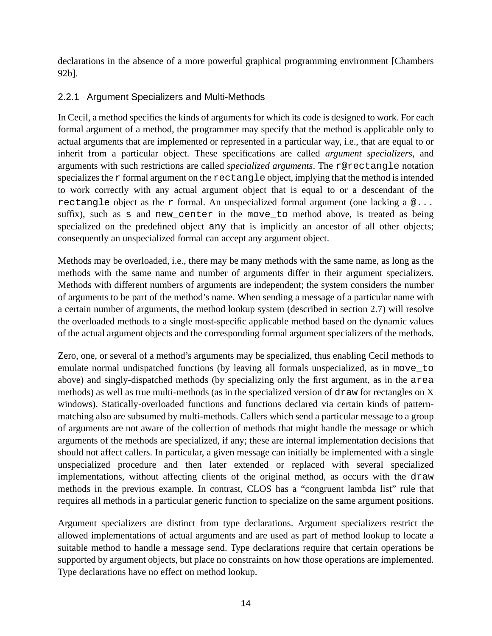declarations in the absence of a more powerful graphical programming environment [Chambers 92b].

## 2.2.1 Argument Specializers and Multi-Methods

In Cecil, a method specifies the kinds of arguments for which its code is designed to work. For each formal argument of a method, the programmer may specify that the method is applicable only to actual arguments that are implemented or represented in a particular way, i.e., that are equal to or inherit from a particular object. These specifications are called *argument specializers*, and arguments with such restrictions are called *specialized arguments*. The r@rectangle notation specializes the  $r$  formal argument on the  $r$ ectangle object, implying that the method is intended to work correctly with any actual argument object that is equal to or a descendant of the rectangle object as the r formal. An unspecialized formal argument (one lacking  $a \varnothing \ldots$ suffix), such as s and new\_center in the move\_to method above, is treated as being specialized on the predefined object any that is implicitly an ancestor of all other objects; consequently an unspecialized formal can accept any argument object.

Methods may be overloaded, i.e., there may be many methods with the same name, as long as the methods with the same name and number of arguments differ in their argument specializers. Methods with different numbers of arguments are independent; the system considers the number of arguments to be part of the method's name. When sending a message of a particular name with a certain number of arguments, the method lookup system (described in section 2.7) will resolve the overloaded methods to a single most-specific applicable method based on the dynamic values of the actual argument objects and the corresponding formal argument specializers of the methods.

Zero, one, or several of a method's arguments may be specialized, thus enabling Cecil methods to emulate normal undispatched functions (by leaving all formals unspecialized, as in move\_to above) and singly-dispatched methods (by specializing only the first argument, as in the area methods) as well as true multi-methods (as in the specialized version of draw for rectangles on X windows). Statically-overloaded functions and functions declared via certain kinds of patternmatching also are subsumed by multi-methods. Callers which send a particular message to a group of arguments are not aware of the collection of methods that might handle the message or which arguments of the methods are specialized, if any; these are internal implementation decisions that should not affect callers. In particular, a given message can initially be implemented with a single unspecialized procedure and then later extended or replaced with several specialized implementations, without affecting clients of the original method, as occurs with the draw methods in the previous example. In contrast, CLOS has a "congruent lambda list" rule that requires all methods in a particular generic function to specialize on the same argument positions.

Argument specializers are distinct from type declarations. Argument specializers restrict the allowed implementations of actual arguments and are used as part of method lookup to locate a suitable method to handle a message send. Type declarations require that certain operations be supported by argument objects, but place no constraints on how those operations are implemented. Type declarations have no effect on method lookup.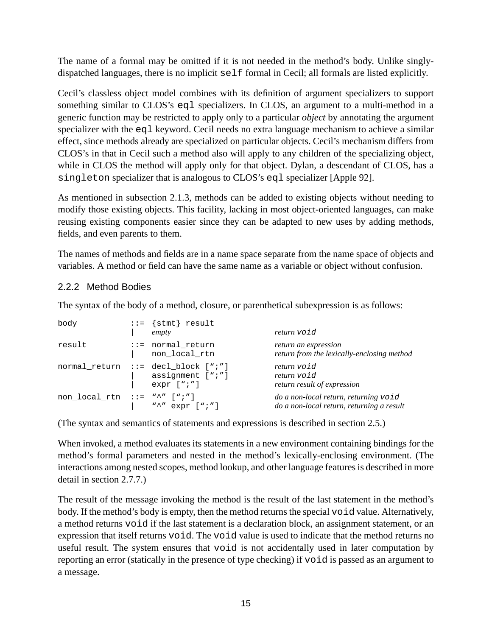The name of a formal may be omitted if it is not needed in the method's body. Unlike singlydispatched languages, there is no implicit self formal in Cecil; all formals are listed explicitly.

Cecil's classless object model combines with its definition of argument specializers to support something similar to CLOS's eq1 specializers. In CLOS, an argument to a multi-method in a generic function may be restricted to apply only to a particular *object* by annotating the argument specializer with the eql keyword. Cecil needs no extra language mechanism to achieve a similar effect, since methods already are specialized on particular objects. Cecil's mechanism differs from CLOS's in that in Cecil such a method also will apply to any children of the specializing object, while in CLOS the method will apply only for that object. Dylan, a descendant of CLOS, has a singleton specializer that is analogous to CLOS's eql specializer [Apple 92].

As mentioned in subsection 2.1.3, methods can be added to existing objects without needing to modify those existing objects. This facility, lacking in most object-oriented languages, can make reusing existing components easier since they can be adapted to new uses by adding methods, fields, and even parents to them.

The names of methods and fields are in a name space separate from the name space of objects and variables. A method or field can have the same name as a variable or object without confusion.

## 2.2.2 Method Bodies

The syntax of the body of a method, closure, or parenthetical subexpression is as follows:

| body                            | $ ::= \{ \text{stmt} \} \text{ result}$<br>empty                               | return void                                                                        |
|---------------------------------|--------------------------------------------------------------------------------|------------------------------------------------------------------------------------|
| result                          | $::=$ normal_return<br>non_local_rtn                                           | return an expression<br>return from the lexically-enclosing method                 |
|                                 | $normal\_return ::= decl\_block [ " " " ]$<br>assignment [";"]<br>$expr$ [";"] | return void<br>return void<br>return result of expression                          |
| $non\_local\_rtn$ ::= "^" [";"] | "^" $expr$ [";"]                                                               | do a non-local return, returning void<br>do a non-local return, returning a result |

(The syntax and semantics of statements and expressions is described in section 2.5.)

When invoked, a method evaluates its statements in a new environment containing bindings for the method's formal parameters and nested in the method's lexically-enclosing environment. (The interactions among nested scopes, method lookup, and other language features is described in more detail in section 2.7.7.)

The result of the message invoking the method is the result of the last statement in the method's body. If the method's body is empty, then the method returns the special void value. Alternatively, a method returns void if the last statement is a declaration block, an assignment statement, or an expression that itself returns void. The void value is used to indicate that the method returns no useful result. The system ensures that void is not accidentally used in later computation by reporting an error (statically in the presence of type checking) if void is passed as an argument to a message.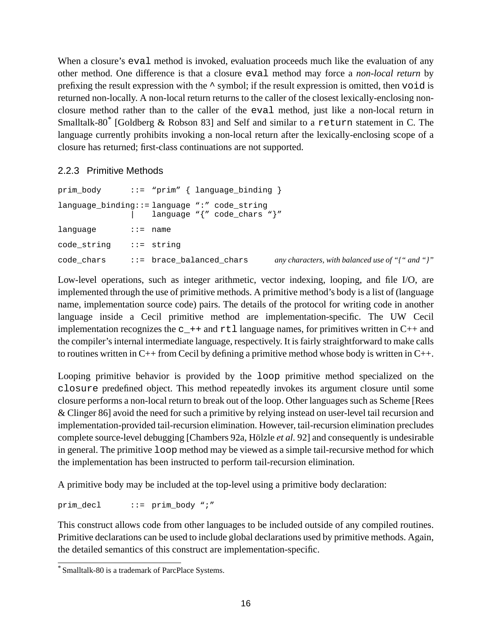When a closure's evalue method is invoked, evaluation proceeds much like the evaluation of any other method. One difference is that a closure eval method may force a *non-local return* by prefixing the result expression with the ^ symbol; if the result expression is omitted, then void is returned non-locally. A non-local return returns to the caller of the closest lexically-enclosing nonclosure method rather than to the caller of the eval method, just like a non-local return in Smalltalk-80\* [Goldberg & Robson 83] and Self and similar to a return statement in C. The language currently prohibits invoking a non-local return after the lexically-enclosing scope of a closure has returned; first-class continuations are not supported.

## 2.2.3 Primitive Methods

```
prim_body ::= "prim" { language_binding }
language_binding::= language ":" code_string
              | language "{" code_chars "}"
language ::= name
code_string ::= string
code_chars ::= brace_balanced_chars any characters, with balanced use of "{" and "}"
```
Low-level operations, such as integer arithmetic, vector indexing, looping, and file I/O, are implemented through the use of primitive methods. A primitive method's body is a list of (language name, implementation source code) pairs. The details of the protocol for writing code in another language inside a Cecil primitive method are implementation-specific. The UW Cecil implementation recognizes the  $c_{++}$  and  $r t l$  language names, for primitives written in  $C_{++}$  and the compiler's internal intermediate language, respectively. It is fairly straightforward to make calls to routines written in C++ from Cecil by defining a primitive method whose body is written in C++.

Looping primitive behavior is provided by the loop primitive method specialized on the closure predefined object. This method repeatedly invokes its argument closure until some closure performs a non-local return to break out of the loop. Other languages such as Scheme [Rees & Clinger 86] avoid the need for such a primitive by relying instead on user-level tail recursion and implementation-provided tail-recursion elimination. However, tail-recursion elimination precludes complete source-level debugging [Chambers 92a, Hölzle *et al.* 92] and consequently is undesirable in general. The primitive loop method may be viewed as a simple tail-recursive method for which the implementation has been instructed to perform tail-recursion elimination.

A primitive body may be included at the top-level using a primitive body declaration:

```
prim decl ::= prim body "i"
```
This construct allows code from other languages to be included outside of any compiled routines. Primitive declarations can be used to include global declarations used by primitive methods. Again, the detailed semantics of this construct are implementation-specific.

<sup>\*</sup>Smalltalk-80 is a trademark of ParcPlace Systems.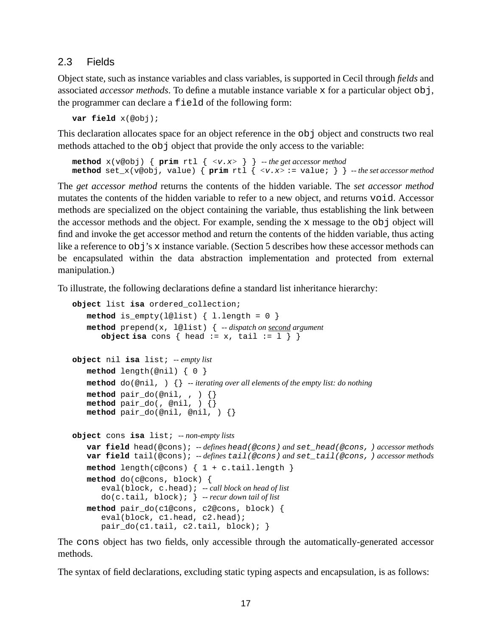#### 2.3 Fields

Object state, such as instance variables and class variables, is supported in Cecil through *fields* and associated *accessor methods*. To define a mutable instance variable x for a particular object obj, the programmer can declare a field of the following form:

**var field** x(@obj);

This declaration allocates space for an object reference in the  $\circ$ b  $\circ$  object and constructs two real methods attached to the obj object that provide the only access to the variable:

```
method x(v@obj) { prim rtl { <v.x> } } -- the get accessor method
method set_x(v@obj, value) { prim rtl { <v.x> := value; } } -- the set accessor method
```
The *get accessor method* returns the contents of the hidden variable. The *set accessor method* mutates the contents of the hidden variable to refer to a new object, and returns void. Accessor methods are specialized on the object containing the variable, thus establishing the link between the accessor methods and the object. For example, sending the  $x$  message to the  $\circ$ b  $\circ$ j object will find and invoke the get accessor method and return the contents of the hidden variable, thus acting like a reference to obj's x instance variable. (Section 5 describes how these accessor methods can be encapsulated within the data abstraction implementation and protected from external manipulation.)

To illustrate, the following declarations define a standard list inheritance hierarchy:

```
object list isa ordered_collection;
   method is_empty(l@list) \{ 1.length = 0 \}method prepend(x, l@list) { -- dispatch on second argument
      object isa cons \{ head := x, tail := 1 \}object nil isa list; -- empty list
   method length(@nil) { 0 }
   method do(@nil, ) {} -- iterating over all elements of the empty list: do nothing
   method pair_do(@nil, , ) {}
   method pair_do(, @nil, ) {}
   method pair_do(@nil, @nil, ) {}
object cons isa list; -- non-empty lists
   var field head(@cons); -- defines head(@cons) and set_head(@cons, ) accessor methods
   var field tail(@cons); -- defines tail(@cons) and set_tail(@cons, ) accessor methods
   method length(c@cons) { 1 + c.tail.length }
   method do(c@cons, block) {
      eval(block, c.head); -- call block on head of list
      do(c.tail, block); } -- recur down tail of list
   method pair_do(c1@cons, c2@cons, block) {
      eval(block, c1.head, c2.head);
      pair_do(c1.tail, c2.tail, block); }
```
The cons object has two fields, only accessible through the automatically-generated accessor methods.

The syntax of field declarations, excluding static typing aspects and encapsulation, is as follows: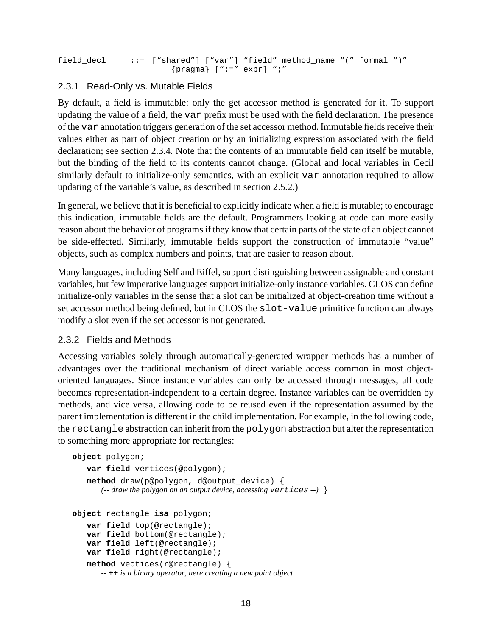```
field_decl ::= ["shared"] ["var"] "field" method_name "(" formal ")"
                         \{ \text{pragma} \} [":=" expr] ";"
```
## 2.3.1 Read-Only vs. Mutable Fields

By default, a field is immutable: only the get accessor method is generated for it. To support updating the value of a field, the var prefix must be used with the field declaration. The presence of the var annotation triggers generation of the set accessor method. Immutable fields receive their values either as part of object creation or by an initializing expression associated with the field declaration; see section 2.3.4. Note that the contents of an immutable field can itself be mutable, but the binding of the field to its contents cannot change. (Global and local variables in Cecil similarly default to initialize-only semantics, with an explicit var annotation required to allow updating of the variable's value, as described in section 2.5.2.)

In general, we believe that it is beneficial to explicitly indicate when a field is mutable; to encourage this indication, immutable fields are the default. Programmers looking at code can more easily reason about the behavior of programs if they know that certain parts of the state of an object cannot be side-effected. Similarly, immutable fields support the construction of immutable "value" objects, such as complex numbers and points, that are easier to reason about.

Many languages, including Self and Eiffel, support distinguishing between assignable and constant variables, but few imperative languages support initialize-only instance variables. CLOS can define initialize-only variables in the sense that a slot can be initialized at object-creation time without a set accessor method being defined, but in CLOS the slot-value primitive function can always modify a slot even if the set accessor is not generated.

## 2.3.2 Fields and Methods

Accessing variables solely through automatically-generated wrapper methods has a number of advantages over the traditional mechanism of direct variable access common in most objectoriented languages. Since instance variables can only be accessed through messages, all code becomes representation-independent to a certain degree. Instance variables can be overridden by methods, and vice versa, allowing code to be reused even if the representation assumed by the parent implementation is different in the child implementation. For example, in the following code, the rectangle abstraction can inherit from the polygon abstraction but alter the representation to something more appropriate for rectangles:

```
object polygon;
   var field vertices(@polygon);
   method draw(p@polygon, d@output_device) {
      (-- draw the polygon on an output device, accessing vertices --) }
object rectangle isa polygon;
   var field top(@rectangle);
   var field bottom(@rectangle);
   var field left(@rectangle);
   var field right(@rectangle);
   method vectices(r@rectangle) {
      -- ++ is a binary operator, here creating a new point object
```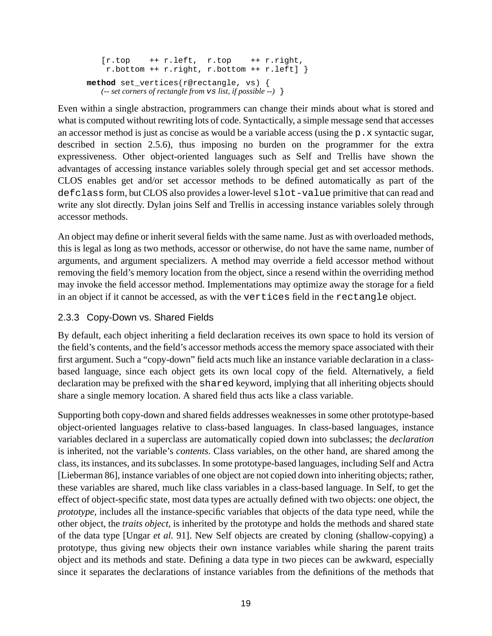```
[r.top ++ r.left, r.top ++ r.right,
    r.bottom ++ r.right, r.bottom ++ r.left] }
method set_vertices(r@rectangle, vs) {
   (-- set corners of rectangle from vs list, if possible --) }
```
Even within a single abstraction, programmers can change their minds about what is stored and what is computed without rewriting lots of code. Syntactically, a simple message send that accesses an accessor method is just as concise as would be a variable access (using the p.x syntactic sugar, described in section 2.5.6), thus imposing no burden on the programmer for the extra expressiveness. Other object-oriented languages such as Self and Trellis have shown the advantages of accessing instance variables solely through special get and set accessor methods. CLOS enables get and/or set accessor methods to be defined automatically as part of the defclass form, but CLOS also provides a lower-level slot-value primitive that can read and write any slot directly. Dylan joins Self and Trellis in accessing instance variables solely through accessor methods.

An object may define or inherit several fields with the same name. Just as with overloaded methods, this is legal as long as two methods, accessor or otherwise, do not have the same name, number of arguments, and argument specializers. A method may override a field accessor method without removing the field's memory location from the object, since a resend within the overriding method may invoke the field accessor method. Implementations may optimize away the storage for a field in an object if it cannot be accessed, as with the vertices field in the rectangle object.

## 2.3.3 Copy-Down vs. Shared Fields

By default, each object inheriting a field declaration receives its own space to hold its version of the field's contents, and the field's accessor methods access the memory space associated with their first argument. Such a "copy-down" field acts much like an instance variable declaration in a classbased language, since each object gets its own local copy of the field. Alternatively, a field declaration may be prefixed with the shared keyword, implying that all inheriting objects should share a single memory location. A shared field thus acts like a class variable.

Supporting both copy-down and shared fields addresses weaknesses in some other prototype-based object-oriented languages relative to class-based languages. In class-based languages, instance variables declared in a superclass are automatically copied down into subclasses; the *declaration* is inherited, not the variable's *contents*. Class variables, on the other hand, are shared among the class, its instances, and its subclasses. In some prototype-based languages, including Self and Actra [Lieberman 86], instance variables of one object are not copied down into inheriting objects; rather, these variables are shared, much like class variables in a class-based language. In Self, to get the effect of object-specific state, most data types are actually defined with two objects: one object, the *prototype*, includes all the instance-specific variables that objects of the data type need, while the other object, the *traits object*, is inherited by the prototype and holds the methods and shared state of the data type [Ungar *et al.* 91]. New Self objects are created by cloning (shallow-copying) a prototype, thus giving new objects their own instance variables while sharing the parent traits object and its methods and state. Defining a data type in two pieces can be awkward, especially since it separates the declarations of instance variables from the definitions of the methods that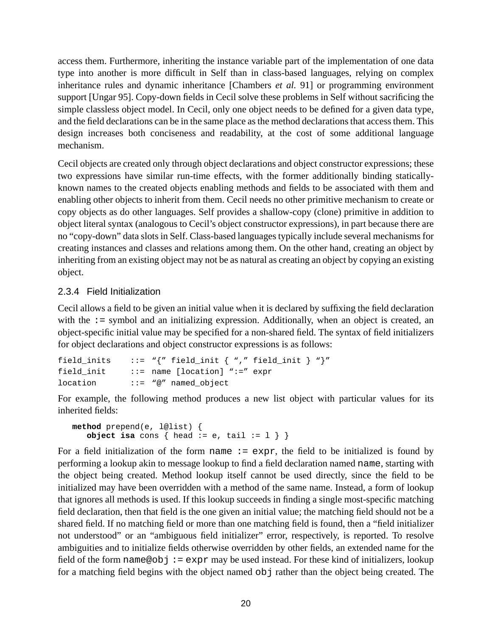access them. Furthermore, inheriting the instance variable part of the implementation of one data type into another is more difficult in Self than in class-based languages, relying on complex inheritance rules and dynamic inheritance [Chambers *et al.* 91] or programming environment support [Ungar 95]. Copy-down fields in Cecil solve these problems in Self without sacrificing the simple classless object model. In Cecil, only one object needs to be defined for a given data type, and the field declarations can be in the same place as the method declarations that access them. This design increases both conciseness and readability, at the cost of some additional language mechanism.

Cecil objects are created only through object declarations and object constructor expressions; these two expressions have similar run-time effects, with the former additionally binding staticallyknown names to the created objects enabling methods and fields to be associated with them and enabling other objects to inherit from them. Cecil needs no other primitive mechanism to create or copy objects as do other languages. Self provides a shallow-copy (clone) primitive in addition to object literal syntax (analogous to Cecil's object constructor expressions), in part because there are no "copy-down" data slots in Self. Class-based languages typically include several mechanisms for creating instances and classes and relations among them. On the other hand, creating an object by inheriting from an existing object may not be as natural as creating an object by copying an existing object.

## 2.3.4 Field Initialization

Cecil allows a field to be given an initial value when it is declared by suffixing the field declaration with the  $:=$  symbol and an initializing expression. Additionally, when an object is created, an object-specific initial value may be specified for a non-shared field. The syntax of field initializers for object declarations and object constructor expressions is as follows:

| field inits | ::= $\sqrt{x}$ field_init { $\sqrt{x}$ , " field_init } $\sqrt{x}$ |  |
|-------------|--------------------------------------------------------------------|--|
| field init  | $::=$ name [location] ":=" $expr$                                  |  |
| location    | $ ::= "@"$ named object                                            |  |

For example, the following method produces a new list object with particular values for its inherited fields:

```
method prepend(e, l@list) {
   object isa cons { head := e, tail := 1 } }
```
For a field initialization of the form name  $:= \exp r$ , the field to be initialized is found by performing a lookup akin to message lookup to find a field declaration named name, starting with the object being created. Method lookup itself cannot be used directly, since the field to be initialized may have been overridden with a method of the same name. Instead, a form of lookup that ignores all methods is used. If this lookup succeeds in finding a single most-specific matching field declaration, then that field is the one given an initial value; the matching field should not be a shared field. If no matching field or more than one matching field is found, then a "field initializer not understood" or an "ambiguous field initializer" error, respectively, is reported. To resolve ambiguities and to initialize fields otherwise overridden by other fields, an extended name for the field of the form name@obj  $:=$  expr may be used instead. For these kind of initializers, lookup for a matching field begins with the object named  $\infty$  rather than the object being created. The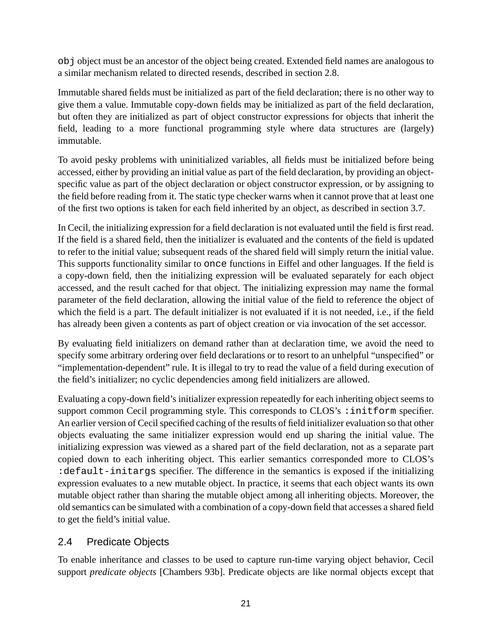obj object must be an ancestor of the object being created. Extended field names are analogous to a similar mechanism related to directed resends, described in section 2.8.

Immutable shared fields must be initialized as part of the field declaration; there is no other way to give them a value. Immutable copy-down fields may be initialized as part of the field declaration, but often they are initialized as part of object constructor expressions for objects that inherit the field, leading to a more functional programming style where data structures are (largely) immutable.

To avoid pesky problems with uninitialized variables, all fields must be initialized before being accessed, either by providing an initial value as part of the field declaration, by providing an objectspecific value as part of the object declaration or object constructor expression, or by assigning to the field before reading from it. The static type checker warns when it cannot prove that at least one of the first two options is taken for each field inherited by an object, as described in section 3.7.

In Cecil, the initializing expression for a field declaration is not evaluated until the field is first read. If the field is a shared field, then the initializer is evaluated and the contents of the field is updated to refer to the initial value; subsequent reads of the shared field will simply return the initial value. This supports functionality similar to once functions in Eiffel and other languages. If the field is a copy-down field, then the initializing expression will be evaluated separately for each object accessed, and the result cached for that object. The initializing expression may name the formal parameter of the field declaration, allowing the initial value of the field to reference the object of which the field is a part. The default initializer is not evaluated if it is not needed, i.e., if the field has already been given a contents as part of object creation or via invocation of the set accessor.

By evaluating field initializers on demand rather than at declaration time, we avoid the need to specify some arbitrary ordering over field declarations or to resort to an unhelpful "unspecified" or "implementation-dependent" rule. It is illegal to try to read the value of a field during execution of the field's initializer; no cyclic dependencies among field initializers are allowed.

Evaluating a copy-down field's initializer expression repeatedly for each inheriting object seems to support common Cecil programming style. This corresponds to  $CLOS's :initform$  specifier. An earlier version of Cecil specified caching of the results of field initializer evaluation so that other objects evaluating the same initializer expression would end up sharing the initial value. The initializing expression was viewed as a shared part of the field declaration, not as a separate part copied down to each inheriting object. This earlier semantics corresponded more to CLOS's :default-initargs specifier. The difference in the semantics is exposed if the initializing expression evaluates to a new mutable object. In practice, it seems that each object wants its own mutable object rather than sharing the mutable object among all inheriting objects. Moreover, the old semantics can be simulated with a combination of a copy-down field that accesses a shared field to get the field's initial value.

## 2.4 Predicate Objects

To enable inheritance and classes to be used to capture run-time varying object behavior, Cecil support *predicate objects* [Chambers 93b]. Predicate objects are like normal objects except that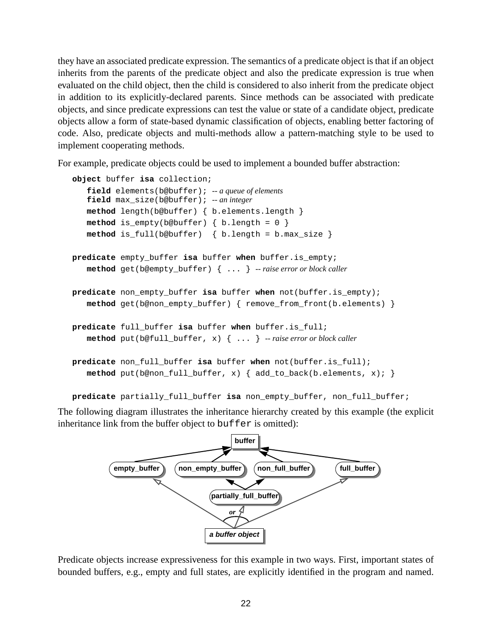they have an associated predicate expression. The semantics of a predicate object is that if an object inherits from the parents of the predicate object and also the predicate expression is true when evaluated on the child object, then the child is considered to also inherit from the predicate object in addition to its explicitly-declared parents. Since methods can be associated with predicate objects, and since predicate expressions can test the value or state of a candidate object, predicate objects allow a form of state-based dynamic classification of objects, enabling better factoring of code. Also, predicate objects and multi-methods allow a pattern-matching style to be used to implement cooperating methods.

For example, predicate objects could be used to implement a bounded buffer abstraction:

```
object buffer isa collection;
   field elements(b@buffer); -- a queue of elements
   field max_size(b@buffer); -- an integer
   method length(b@buffer) { b.elements.length }
   method is empty(b@buffer) \{ b.length = 0 \}method is_full(b@buffer) { b.length = b.max_size }
predicate empty_buffer isa buffer when buffer.is_empty;
   method get(b@empty_buffer) { ... } -- raise error or block caller
predicate non_empty_buffer isa buffer when not(buffer.is_empty);
   method get(b@non_empty_buffer) { remove_from_front(b.elements) }
predicate full_buffer isa buffer when buffer.is_full;
   method put(b@full_buffer, x) { ... } -- raise error or block caller
predicate non_full_buffer isa buffer when not(buffer.is_full);
   method put(b@non_full_buffer, x) { add_to_back(b.elements, x); }
```
**predicate** partially\_full\_buffer **isa** non\_empty\_buffer, non\_full\_buffer;

The following diagram illustrates the inheritance hierarchy created by this example (the explicit inheritance link from the buffer object to buffer is omitted):



Predicate objects increase expressiveness for this example in two ways. First, important states of bounded buffers, e.g., empty and full states, are explicitly identified in the program and named.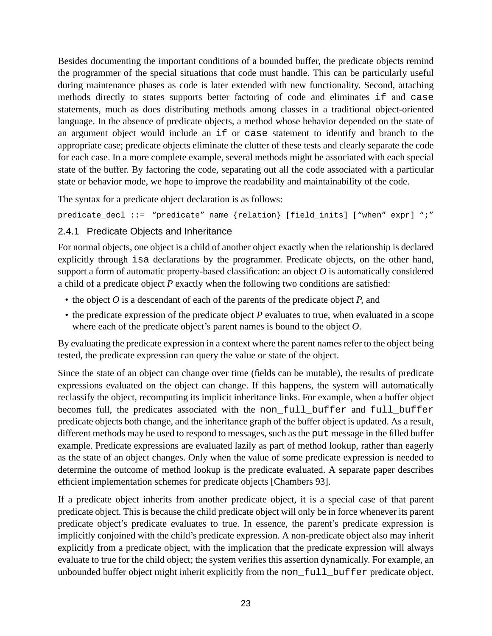Besides documenting the important conditions of a bounded buffer, the predicate objects remind the programmer of the special situations that code must handle. This can be particularly useful during maintenance phases as code is later extended with new functionality. Second, attaching methods directly to states supports better factoring of code and eliminates if and case statements, much as does distributing methods among classes in a traditional object-oriented language. In the absence of predicate objects, a method whose behavior depended on the state of an argument object would include an if or case statement to identify and branch to the appropriate case; predicate objects eliminate the clutter of these tests and clearly separate the code for each case. In a more complete example, several methods might be associated with each special state of the buffer. By factoring the code, separating out all the code associated with a particular state or behavior mode, we hope to improve the readability and maintainability of the code.

The syntax for a predicate object declaration is as follows:

predicate\_decl ::= "predicate" name {relation} [field\_inits] ["when" expr] ";"

## 2.4.1 Predicate Objects and Inheritance

For normal objects, one object is a child of another object exactly when the relationship is declared explicitly through isa declarations by the programmer. Predicate objects, on the other hand, support a form of automatic property-based classification: an object *O* is automatically considered a child of a predicate object *P* exactly when the following two conditions are satisfied:

- the object *O* is a descendant of each of the parents of the predicate object *P*, and
- the predicate expression of the predicate object *P* evaluates to true, when evaluated in a scope where each of the predicate object's parent names is bound to the object *O*.

By evaluating the predicate expression in a context where the parent names refer to the object being tested, the predicate expression can query the value or state of the object.

Since the state of an object can change over time (fields can be mutable), the results of predicate expressions evaluated on the object can change. If this happens, the system will automatically reclassify the object, recomputing its implicit inheritance links. For example, when a buffer object becomes full, the predicates associated with the non\_full\_buffer and full\_buffer predicate objects both change, and the inheritance graph of the buffer object is updated. As a result, different methods may be used to respond to messages, such as the put message in the filled buffer example. Predicate expressions are evaluated lazily as part of method lookup, rather than eagerly as the state of an object changes. Only when the value of some predicate expression is needed to determine the outcome of method lookup is the predicate evaluated. A separate paper describes efficient implementation schemes for predicate objects [Chambers 93].

If a predicate object inherits from another predicate object, it is a special case of that parent predicate object. This is because the child predicate object will only be in force whenever its parent predicate object's predicate evaluates to true. In essence, the parent's predicate expression is implicitly conjoined with the child's predicate expression. A non-predicate object also may inherit explicitly from a predicate object, with the implication that the predicate expression will always evaluate to true for the child object; the system verifies this assertion dynamically. For example, an unbounded buffer object might inherit explicitly from the non\_full\_buffer predicate object.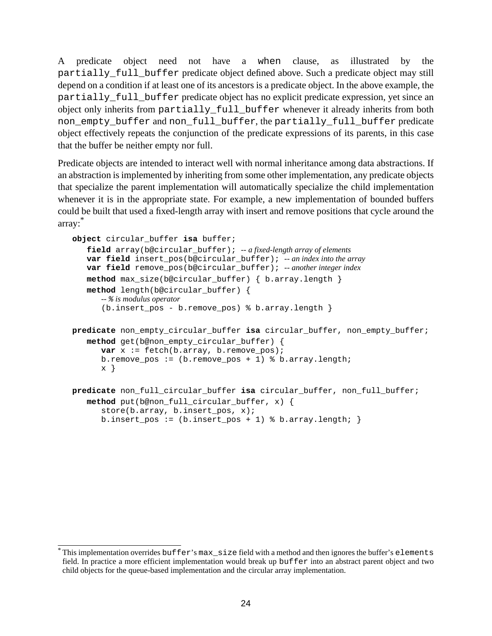A predicate object need not have a when clause, as illustrated by the partially\_full\_buffer predicate object defined above. Such a predicate object may still depend on a condition if at least one of its ancestors is a predicate object. In the above example, the partially\_full\_buffer predicate object has no explicit predicate expression, yet since an object only inherits from partially\_full\_buffer whenever it already inherits from both non\_empty\_buffer and non\_full\_buffer, the partially\_full\_buffer predicate object effectively repeats the conjunction of the predicate expressions of its parents, in this case that the buffer be neither empty nor full.

Predicate objects are intended to interact well with normal inheritance among data abstractions. If an abstraction isimplemented by inheriting from some other implementation, any predicate objects that specialize the parent implementation will automatically specialize the child implementation whenever it is in the appropriate state. For example, a new implementation of bounded buffers could be built that used a fixed-length array with insert and remove positions that cycle around the array:

```
object circular_buffer isa buffer;
   field array(b@circular_buffer); -- a fixed-length array of elements
   var field insert_pos(b@circular_buffer); -- an index into the array
   var field remove_pos(b@circular_buffer); -- another integer index
   method max_size(b@circular_buffer) { b.array.length }
   method length(b@circular_buffer) {
      -- % is modulus operator
      (b.insert_pos - b.remove_pos) % b.array.length }
predicate non_empty_circular_buffer isa circular_buffer, non_empty_buffer;
   method get(b@non_empty_circular_buffer) {
      var x := fetch(b.array, b.remove_pos);
      b.remove pos := (b.remove pos + 1) % b.array.length;
      x \}predicate non_full_circular_buffer isa circular_buffer, non_full_buffer;
   method put(b@non_full_circular_buffer, x) {
      store(b.array, b.insert_pos, x);
      b.insert pos := (b.insert pos + 1) % b.array.length; }
```
 $^*$  This implementation overrides buffer's max  $\,$  size field with a method and then ignores the buffer's elements field. In practice a more efficient implementation would break up buffer into an abstract parent object and two child objects for the queue-based implementation and the circular array implementation.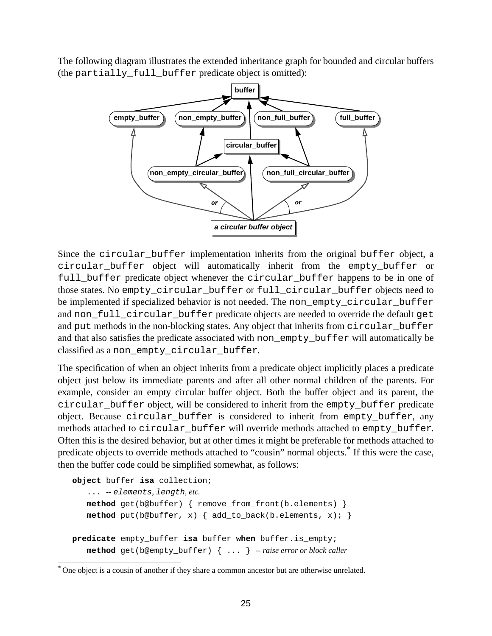The following diagram illustrates the extended inheritance graph for bounded and circular buffers (the partially\_full\_buffer predicate object is omitted):



Since the circular\_buffer implementation inherits from the original buffer object, a circular\_buffer object will automatically inherit from the empty\_buffer or full\_buffer predicate object whenever the circular\_buffer happens to be in one of those states. No empty\_circular\_buffer or full\_circular\_buffer objects need to be implemented if specialized behavior is not needed. The non\_empty\_circular\_buffer and non\_full\_circular\_buffer predicate objects are needed to override the default get and put methods in the non-blocking states. Any object that inherits from circular\_buffer and that also satisfies the predicate associated with non\_empty\_buffer will automatically be classified as a non\_empty\_circular\_buffer.

The specification of when an object inherits from a predicate object implicitly places a predicate object just below its immediate parents and after all other normal children of the parents. For example, consider an empty circular buffer object. Both the buffer object and its parent, the circular\_buffer object, will be considered to inherit from the empty\_buffer predicate object. Because circular\_buffer is considered to inherit from empty\_buffer, any methods attached to circular\_buffer will override methods attached to empty\_buffer. Often this is the desired behavior, but at other times it might be preferable for methods attached to predicate objects to override methods attached to "cousin" normal objects.<sup>\*</sup> If this were the case, then the buffer code could be simplified somewhat, as follows:

```
object buffer isa collection;
   ... -- elements, length, etc.
   method get(b@buffer) { remove_from_front(b.elements) }
   method put(b@buffer, x) { add_to_back(b.elements, x); }
predicate empty_buffer isa buffer when buffer.is_empty;
   method get(b@empty_buffer) { ... } -- raise error or block caller
```
<sup>\*</sup> One object is a cousin of another if they share a common ancestor but are otherwise unrelated.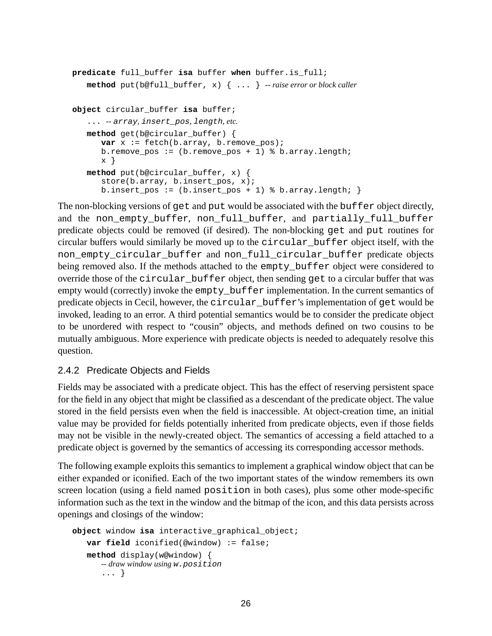```
predicate full_buffer isa buffer when buffer.is_full;
   method put(b@full_buffer, x) { ... } -- raise error or block caller
object circular_buffer isa buffer;
   ... -- array, insert_pos, length, etc.
  method get(b@circular_buffer) {
      var x := fetch(b.array, b.remove_pos);
      b.remove pos := (b.remove pos + 1) % b.array.length;
      x \}method put(b@circular_buffer, x) {
      store(b.array, b.insert_pos, x);
      b.insert_pos := (b.insert\_pos + 1) % b.array.length; }
```
The non-blocking versions of get and put would be associated with the buffer object directly, and the non\_empty\_buffer, non\_full\_buffer, and partially\_full\_buffer predicate objects could be removed (if desired). The non-blocking get and put routines for circular buffers would similarly be moved up to the circular\_buffer object itself, with the non\_empty\_circular\_buffer and non\_full\_circular\_buffer predicate objects being removed also. If the methods attached to the empty\_buffer object were considered to override those of the circular\_buffer object, then sending get to a circular buffer that was empty would (correctly) invoke the empty\_buffer implementation. In the current semantics of predicate objects in Cecil, however, the circular\_buffer's implementation of get would be invoked, leading to an error. A third potential semantics would be to consider the predicate object to be unordered with respect to "cousin" objects, and methods defined on two cousins to be mutually ambiguous. More experience with predicate objects is needed to adequately resolve this question.

## 2.4.2 Predicate Objects and Fields

Fields may be associated with a predicate object. This has the effect of reserving persistent space for the field in any object that might be classified as a descendant of the predicate object. The value stored in the field persists even when the field is inaccessible. At object-creation time, an initial value may be provided for fields potentially inherited from predicate objects, even if those fields may not be visible in the newly-created object. The semantics of accessing a field attached to a predicate object is governed by the semantics of accessing its corresponding accessor methods.

The following example exploits this semantics to implement a graphical window object that can be either expanded or iconified. Each of the two important states of the window remembers its own screen location (using a field named position in both cases), plus some other mode-specific information such as the text in the window and the bitmap of the icon, and this data persists across openings and closings of the window:

```
object window isa interactive_graphical_object;
   var field iconified(@window) := false;
  method display(w@window) {
      -- draw window using w.position
      ... }
```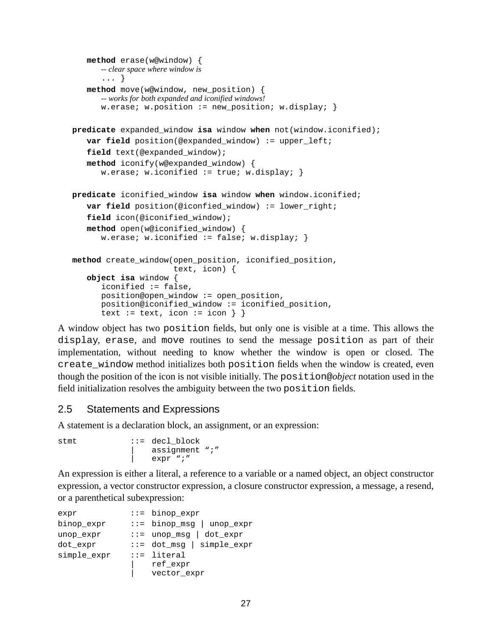```
method erase(w@window) {
      -- clear space where window is
      ... }
   method move(w@window, new_position) {
      -- works for both expanded and iconified windows!
      w.erase; w.position := new position; w.display; }
predicate expanded_window isa window when not(window.iconified);
   var field position(@expanded_window) := upper_left;
   field text(@expanded window);
   method iconify(w@expanded_window) {
      w.erase; w.iconified := true; w.display; }predicate iconified_window isa window when window.iconified;
   var field position(@iconfied_window) := lower_right;
   field icon(@iconified window);
   method open(w@iconified_window) {
      w.erase; w.iconified := false; w.display; }
method create_window(open_position, iconified_position,
                     text, icon) {
   object isa window {
      iconified := false,
      position@open_window := open_position,
      position@iconified_window := iconified_position,
      text := text, icon := icon \} }
```
A window object has two position fields, but only one is visible at a time. This allows the display, erase, and move routines to send the message position as part of their implementation, without needing to know whether the window is open or closed. The create window method initializes both position fields when the window is created, even though the position of the icon is not visible initially. The position@*object* notation used in the field initialization resolves the ambiguity between the two position fields.

## 2.5 Statements and Expressions

A statement is a declaration block, an assignment, or an expression:

stmt ::= decl\_block assignment ";" expr ";"

An expression is either a literal, a reference to a variable or a named object, an object constructor expression, a vector constructor expression, a closure constructor expression, a message, a resend, or a parenthetical subexpression:

| expr        | $ ::= \text{binop\_expr}$    |
|-------------|------------------------------|
| binop_expr  | $ ::=$ binop_msg   unop_expr |
| unop_expr   | $::=$ unop_msg $ $ dot_expr  |
| dot_expr    | $::=$ dot_msg   simple_expr  |
| simple_expr | $ ::=$ literal               |
|             | ref_expr                     |
|             | vector_expr                  |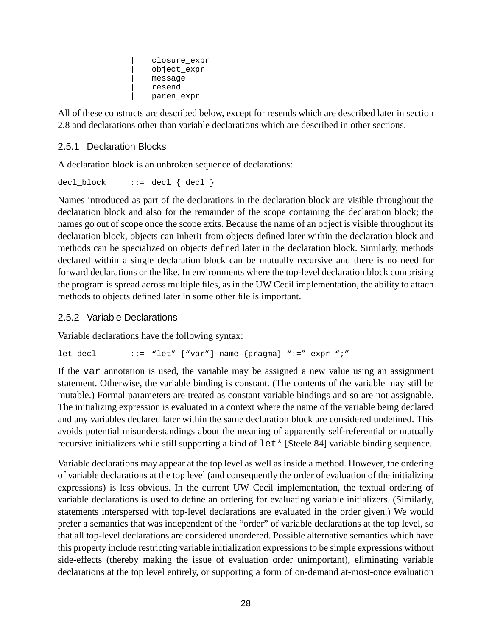```
| closure_expr
| object_expr
| message
| resend
| paren_expr
```
All of these constructs are described below, except for resends which are described later in section 2.8 and declarations other than variable declarations which are described in other sections.

#### 2.5.1 Declaration Blocks

A declaration block is an unbroken sequence of declarations:

decl\_block ::= decl { decl }

Names introduced as part of the declarations in the declaration block are visible throughout the declaration block and also for the remainder of the scope containing the declaration block; the names go out of scope once the scope exits. Because the name of an object is visible throughout its declaration block, objects can inherit from objects defined later within the declaration block and methods can be specialized on objects defined later in the declaration block. Similarly, methods declared within a single declaration block can be mutually recursive and there is no need for forward declarations or the like. In environments where the top-level declaration block comprising the program is spread across multiple files, as in the UW Cecil implementation, the ability to attach methods to objects defined later in some other file is important.

## 2.5.2 Variable Declarations

Variable declarations have the following syntax:

 $let\_decl$  ::= " $let"$  ["var"] name  ${pragna}$  ":="  $expr "i"$ 

If the var annotation is used, the variable may be assigned a new value using an assignment statement. Otherwise, the variable binding is constant. (The contents of the variable may still be mutable.) Formal parameters are treated as constant variable bindings and so are not assignable. The initializing expression is evaluated in a context where the name of the variable being declared and any variables declared later within the same declaration block are considered undefined. This avoids potential misunderstandings about the meaning of apparently self-referential or mutually recursive initializers while still supporting a kind of let\* [Steele 84] variable binding sequence.

Variable declarations may appear at the top level as well as inside a method. However, the ordering of variable declarations at the top level (and consequently the order of evaluation of the initializing expressions) is less obvious. In the current UW Cecil implementation, the textual ordering of variable declarations is used to define an ordering for evaluating variable initializers. (Similarly, statements interspersed with top-level declarations are evaluated in the order given.) We would prefer a semantics that was independent of the "order" of variable declarations at the top level, so that all top-level declarations are considered unordered. Possible alternative semantics which have this property include restricting variable initialization expressions to be simple expressions without side-effects (thereby making the issue of evaluation order unimportant), eliminating variable declarations at the top level entirely, or supporting a form of on-demand at-most-once evaluation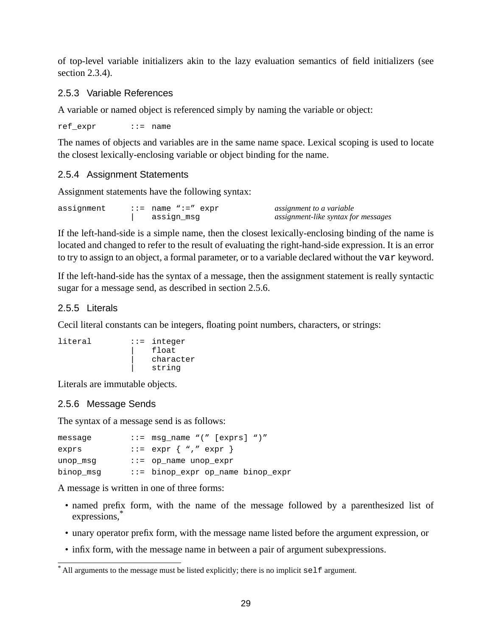of top-level variable initializers akin to the lazy evaluation semantics of field initializers (see section 2.3.4).

#### 2.5.3 Variable References

A variable or named object is referenced simply by naming the variable or object:

ref\_expr ::= name

The names of objects and variables are in the same name space. Lexical scoping is used to locate the closest lexically-enclosing variable or object binding for the name.

## 2.5.4 Assignment Statements

Assignment statements have the following syntax:

| assignment | $::=$ name " $:=$ " expr | assignment to a variable            |
|------------|--------------------------|-------------------------------------|
|            | assign_msg               | assignment-like syntax for messages |

If the left-hand-side is a simple name, then the closest lexically-enclosing binding of the name is located and changed to refer to the result of evaluating the right-hand-side expression. It is an error to try to assign to an object, a formal parameter, or to a variable declared without the var keyword.

If the left-hand-side has the syntax of a message, then the assignment statement is really syntactic sugar for a message send, as described in section 2.5.6.

## 2.5.5 Literals

Cecil literal constants can be integers, floating point numbers, characters, or strings:

```
literal ::= integer
                 | float
                  character
                  | string
```
Literals are immutable objects.

## 2.5.6 Message Sends

The syntax of a message send is as follows:

| message   | $::=$ msg_name "(" [exprs] ")"    |
|-----------|-----------------------------------|
| exprs     | $ ::= \text{expr} { " " " expr}$  |
| unop_msg  | $ ::=$ op_name unop_expr          |
| binop_msg | ::= binop_expr op_name binop_expr |

A message is written in one of three forms:

- named prefix form, with the name of the message followed by a parenthesized list of expressions,\*
- unary operator prefix form, with the message name listed before the argument expression, or
- infix form, with the message name in between a pair of argument subexpressions.

<sup>\*</sup> All arguments to the message must be listed explicitly; there is no implicit self argument.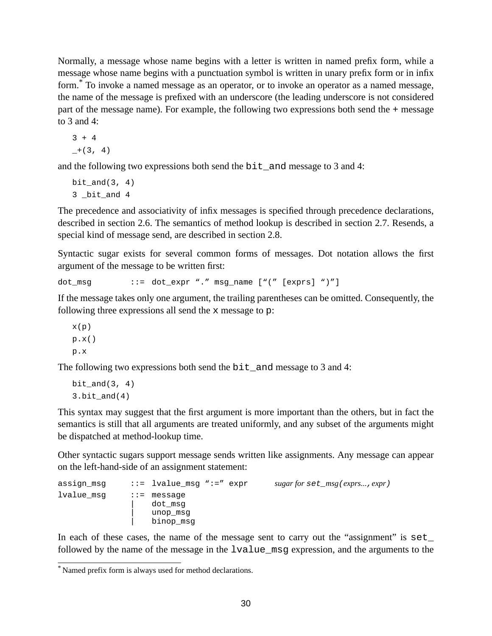Normally, a message whose name begins with a letter is written in named prefix form, while a message whose name begins with a punctuation symbol is written in unary prefix form or in infix form.\* To invoke a named message as an operator, or to invoke an operator as a named message, the name of the message is prefixed with an underscore (the leading underscore is not considered part of the message name). For example, the following two expressions both send the + message to 3 and  $4:$ 

$$
3 + 4
$$
  

$$
- (3, 4)
$$

and the following two expressions both send the bit\_and message to 3 and 4:

```
bit and(3, 4)3 bit and 4
```
The precedence and associativity of infix messages is specified through precedence declarations, described in section 2.6. The semantics of method lookup is described in section 2.7. Resends, a special kind of message send, are described in section 2.8.

Syntactic sugar exists for several common forms of messages. Dot notation allows the first argument of the message to be written first:

dot\_msg ::= dot\_expr "." msg\_name ["(" [exprs] ")"]

If the message takes only one argument, the trailing parentheses can be omitted. Consequently, the following three expressions all send the x message to p:

 $x(p)$ p.x() p.x

The following two expressions both send the bit\_and message to 3 and 4:

```
bit_and(3, 4)3.bit and(4)
```
This syntax may suggest that the first argument is more important than the others, but in fact the semantics is still that all arguments are treated uniformly, and any subset of the arguments might be dispatched at method-lookup time.

Other syntactic sugars support message sends written like assignments. Any message can appear on the left-hand-side of an assignment statement:

| assign msg | $::=$ lvalue msq ":=" expr                        |  | sugar for $set$ $msg(exprs$ , $expr)$ |
|------------|---------------------------------------------------|--|---------------------------------------|
| lvalue msg | $::=$ message<br>dot msg<br>unop msq<br>binop_msg |  |                                       |

In each of these cases, the name of the message sent to carry out the "assignment" is set followed by the name of the message in the lvalue\_msg expression, and the arguments to the

<sup>\*</sup> Named prefix form is always used for method declarations.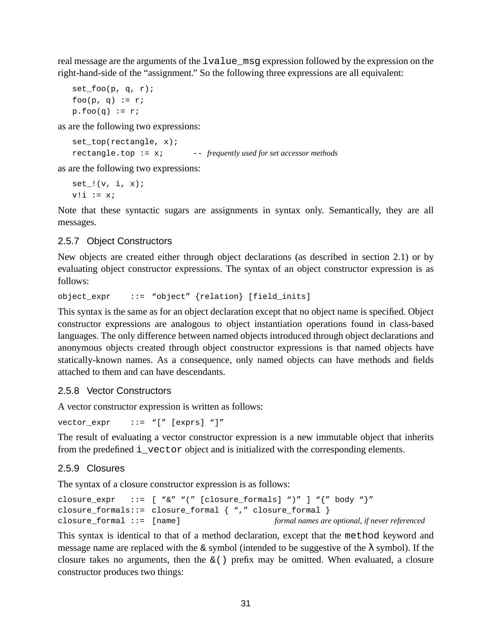real message are the arguments of the lvalue\_msg expression followed by the expression on the right-hand-side of the "assignment." So the following three expressions are all equivalent:

```
set_foo(p, q, r);
foo(p, q) := r;
p.foo(q) := r;
```
as are the following two expressions:

```
set_top(rectangle, x);
rectangle.top := x; -- frequently used for set accessor methods
```
as are the following two expressions:

```
set:(v, i, x);v! i := x;
```
Note that these syntactic sugars are assignments in syntax only. Semantically, they are all messages.

## 2.5.7 Object Constructors

New objects are created either through object declarations (as described in section 2.1) or by evaluating object constructor expressions. The syntax of an object constructor expression is as follows:

object  $expr$  ::= "object" {relation} [field inits]

This syntax is the same as for an object declaration except that no object name is specified. Object constructor expressions are analogous to object instantiation operations found in class-based languages. The only difference between named objects introduced through object declarations and anonymous objects created through object constructor expressions is that named objects have statically-known names. As a consequence, only named objects can have methods and fields attached to them and can have descendants.

## 2.5.8 Vector Constructors

A vector constructor expression is written as follows:

vector  $expr$  ::= "["  $[expression "]$ "

The result of evaluating a vector constructor expression is a new immutable object that inherits from the predefined i\_vector object and is initialized with the corresponding elements.

## 2.5.9 Closures

The syntax of a closure constructor expression is as follows:

```
closure_expr ::= [ % \xrightarrow{\infty} " ' " [closure_formals] " )" ] " { " body " } "closure_formals::= closure_formal { "," closure_formal }
closure_formal ::= [name] formal names are optional, if never referenced
```
This syntax is identical to that of a method declaration, except that the method keyword and message name are replaced with the & symbol (intended to be suggestive of the  $\lambda$  symbol). If the closure takes no arguments, then the  $\&$  () prefix may be omitted. When evaluated, a closure constructor produces two things: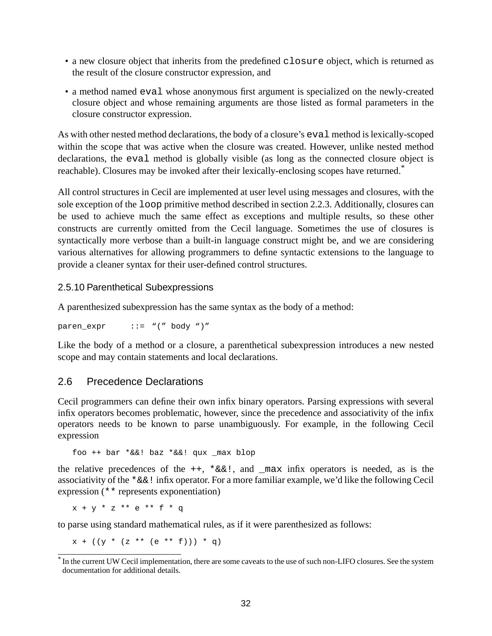- a new closure object that inherits from the predefined closure object, which is returned as the result of the closure constructor expression, and
- a method named eval whose anonymous first argument is specialized on the newly-created closure object and whose remaining arguments are those listed as formal parameters in the closure constructor expression.

As with other nested method declarations, the body of a closure's eval method is lexically-scoped within the scope that was active when the closure was created. However, unlike nested method declarations, the eval method is globally visible (as long as the connected closure object is reachable). Closures may be invoked after their lexically-enclosing scopes have returned.<sup>\*</sup>

All control structures in Cecil are implemented at user level using messages and closures, with the sole exception of the loop primitive method described in section 2.2.3. Additionally, closures can be used to achieve much the same effect as exceptions and multiple results, so these other constructs are currently omitted from the Cecil language. Sometimes the use of closures is syntactically more verbose than a built-in language construct might be, and we are considering various alternatives for allowing programmers to define syntactic extensions to the language to provide a cleaner syntax for their user-defined control structures.

#### 2.5.10 Parenthetical Subexpressions

A parenthesized subexpression has the same syntax as the body of a method:

paren expr  $::= "(" body ")"$ 

Like the body of a method or a closure, a parenthetical subexpression introduces a new nested scope and may contain statements and local declarations.

## 2.6 Precedence Declarations

Cecil programmers can define their own infix binary operators. Parsing expressions with several infix operators becomes problematic, however, since the precedence and associativity of the infix operators needs to be known to parse unambiguously. For example, in the following Cecil expression

foo ++  $bar *$ &&!  $bar *$ &&! qux max blop

the relative precedences of the  $++$ ,  $*\&&1$ , and  $\max$  infix operators is needed, as is the associativity of the \*&&! infix operator. For a more familiar example, we'd like the following Cecil expression (\*\* represents exponentiation)

 $x + y * z * e * f * f * q$ 

to parse using standard mathematical rules, as if it were parenthesized as follows:

 $x + ((y * (z * * (e * * f))) * q)$ 

<sup>&</sup>lt;sup>\*</sup> In the current UW Cecil implementation, there are some caveats to the use of such non-LIFO closures. See the system documentation for additional details.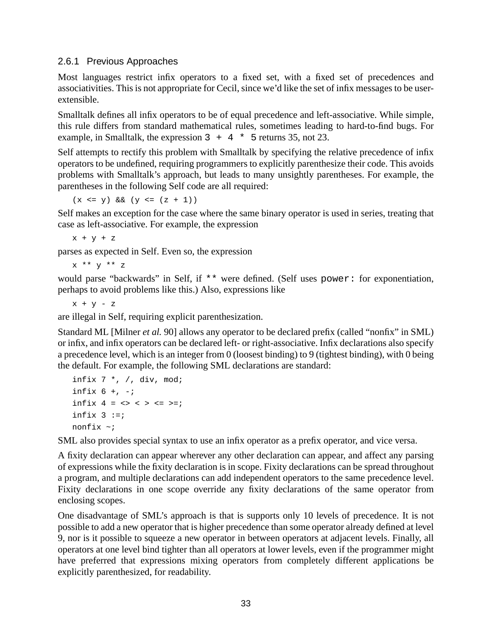## 2.6.1 Previous Approaches

Most languages restrict infix operators to a fixed set, with a fixed set of precedences and associativities. This is not appropriate for Cecil, since we'd like the set of infix messages to be userextensible.

Smalltalk defines all infix operators to be of equal precedence and left-associative. While simple, this rule differs from standard mathematical rules, sometimes leading to hard-to-find bugs. For example, in Smalltalk, the expression  $3 + 4 \times 5$  returns 35, not 23.

Self attempts to rectify this problem with Smalltalk by specifying the relative precedence of infix operators to be undefined, requiring programmers to explicitly parenthesize their code. This avoids problems with Smalltalk's approach, but leads to many unsightly parentheses. For example, the parentheses in the following Self code are all required:

 $(x \le y)$  &  $(y \le (z + 1))$ 

Self makes an exception for the case where the same binary operator is used in series, treating that case as left-associative. For example, the expression

 $x + y + z$ 

parses as expected in Self. Even so, the expression

 $x * * y * * z$ 

would parse "backwards" in Self, if \*\* were defined. (Self uses power: for exponentiation, perhaps to avoid problems like this.) Also, expressions like

 $x + v - z$ 

are illegal in Self, requiring explicit parenthesization.

Standard ML [Milner *et al.* 90] allows any operator to be declared prefix (called "nonfix" in SML) or infix, and infix operators can be declared left- or right-associative. Infix declarations also specify a precedence level, which is an integer from 0 (loosest binding) to 9 (tightest binding), with 0 being the default. For example, the following SML declarations are standard:

```
infix 7 *, /, div, mod;
infix 6 + 7 -7infix 4 = \langle \rangle \langle \rangle \langle \rangle \langle = \rangle =infix 3 := inonfix ~;
```
SML also provides special syntax to use an infix operator as a prefix operator, and vice versa.

A fixity declaration can appear wherever any other declaration can appear, and affect any parsing of expressions while the fixity declaration is in scope. Fixity declarations can be spread throughout a program, and multiple declarations can add independent operators to the same precedence level. Fixity declarations in one scope override any fixity declarations of the same operator from enclosing scopes.

One disadvantage of SML's approach is that is supports only 10 levels of precedence. It is not possible to add a new operator that is higher precedence than some operator already defined at level 9, nor is it possible to squeeze a new operator in between operators at adjacent levels. Finally, all operators at one level bind tighter than all operators at lower levels, even if the programmer might have preferred that expressions mixing operators from completely different applications be explicitly parenthesized, for readability.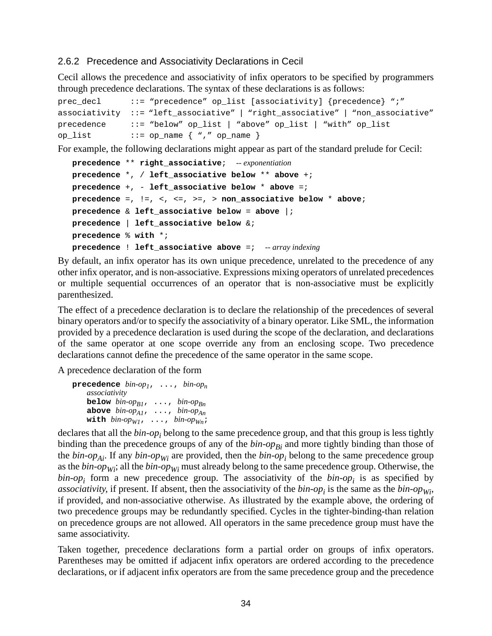#### 2.6.2 Precedence and Associativity Declarations in Cecil

Cecil allows the precedence and associativity of infix operators to be specified by programmers through precedence declarations. The syntax of these declarations is as follows:

```
prec_decl ::= "precedence" op_list [associativity] {precedence} ";"
associativity ::= "left_associative" | "right_associative" | "non_associative"
precedence ::= "below" op_list | "above" op_list | "with" op_list
op\_list ::= op\_name \{ "," op\_name \}
```
For example, the following declarations might appear as part of the standard prelude for Cecil:

```
precedence ** right_associative; -- exponentiation
precedence *, / left_associative below ** above +;
precedence +, - left_associative below * above =;
precedence =, !=, <, <=, >=, > non_associative below * above;
precedence & left_associative below = above |;
precedence | left_associative below &;
precedence % with *;
precedence ! left_associative above =; -- array indexing
```
By default, an infix operator has its own unique precedence, unrelated to the precedence of any other infix operator, and is non-associative. Expressions mixing operators of unrelated precedences or multiple sequential occurrences of an operator that is non-associative must be explicitly parenthesized.

The effect of a precedence declaration is to declare the relationship of the precedences of several binary operators and/or to specify the associativity of a binary operator. Like SML, the information provided by a precedence declaration is used during the scope of the declaration, and declarations of the same operator at one scope override any from an enclosing scope. Two precedence declarations cannot define the precedence of the same operator in the same scope.

A precedence declaration of the form

```
precedence bin-op1, ..., bin-opn
    associativity
    below bin-op<sub>B1</sub>, ..., bin-op<sub>Bn</sub>
    above bin-op_{A1}, ..., bin-op_{An}with bin-op_{W1}, ..., bin-op_{Wn};
```
declares that all the *bin-op<sup>i</sup>* belong to the same precedence group, and that this group is less tightly binding than the precedence groups of any of the *bin-op<sub>Bi</sub>* and more tightly binding than those of the  $bin-op_{Ai}$ . If any  $bin-op_{Wi}$  are provided, then the  $bin-op_i$  belong to the same precedence group as the *bin-opWi*; all the *bin-opWi* must already belong to the same precedence group. Otherwise, the  $bin-op<sub>i</sub>$  form a new precedence group. The associativity of the  $bin-op<sub>i</sub>$  is as specified by *associativity*, if present. If absent, then the associativity of the  $\phi$ *in-op<sub>i</sub>* is the same as the  $\phi$ *in-op<sub>Wi</sub>*, if provided, and non-associative otherwise. As illustrated by the example above, the ordering of two precedence groups may be redundantly specified. Cycles in the tighter-binding-than relation on precedence groups are not allowed. All operators in the same precedence group must have the same associativity.

Taken together, precedence declarations form a partial order on groups of infix operators. Parentheses may be omitted if adjacent infix operators are ordered according to the precedence declarations, or if adjacent infix operators are from the same precedence group and the precedence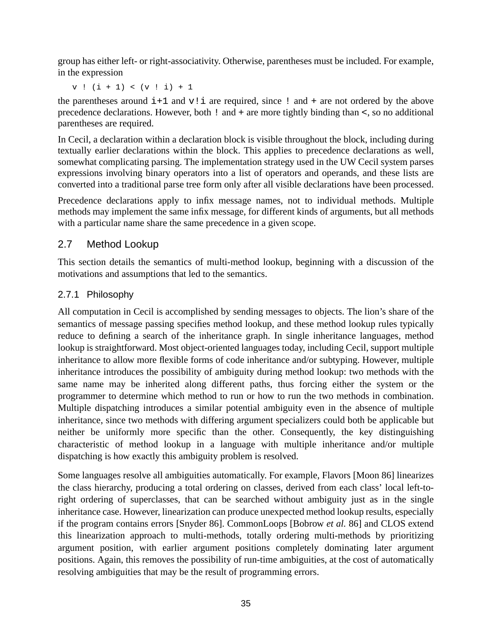group has either left- or right-associativity. Otherwise, parentheses must be included. For example, in the expression

 $v : (i + 1) < (v : i) + 1$ 

the parentheses around  $i+1$  and  $v:i$  are required, since ! and + are not ordered by the above precedence declarations. However, both ! and + are more tightly binding than <, so no additional parentheses are required.

In Cecil, a declaration within a declaration block is visible throughout the block, including during textually earlier declarations within the block. This applies to precedence declarations as well, somewhat complicating parsing. The implementation strategy used in the UW Cecil system parses expressions involving binary operators into a list of operators and operands, and these lists are converted into a traditional parse tree form only after all visible declarations have been processed.

Precedence declarations apply to infix message names, not to individual methods. Multiple methods may implement the same infix message, for different kinds of arguments, but all methods with a particular name share the same precedence in a given scope.

## 2.7 Method Lookup

This section details the semantics of multi-method lookup, beginning with a discussion of the motivations and assumptions that led to the semantics.

## 2.7.1 Philosophy

All computation in Cecil is accomplished by sending messages to objects. The lion's share of the semantics of message passing specifies method lookup, and these method lookup rules typically reduce to defining a search of the inheritance graph. In single inheritance languages, method lookup is straightforward. Most object-oriented languages today, including Cecil, support multiple inheritance to allow more flexible forms of code inheritance and/or subtyping. However, multiple inheritance introduces the possibility of ambiguity during method lookup: two methods with the same name may be inherited along different paths, thus forcing either the system or the programmer to determine which method to run or how to run the two methods in combination. Multiple dispatching introduces a similar potential ambiguity even in the absence of multiple inheritance, since two methods with differing argument specializers could both be applicable but neither be uniformly more specific than the other. Consequently, the key distinguishing characteristic of method lookup in a language with multiple inheritance and/or multiple dispatching is how exactly this ambiguity problem is resolved.

Some languages resolve all ambiguities automatically. For example, Flavors [Moon 86] linearizes the class hierarchy, producing a total ordering on classes, derived from each class' local left-toright ordering of superclasses, that can be searched without ambiguity just as in the single inheritance case. However, linearization can produce unexpected method lookup results, especially if the program contains errors [Snyder 86]. CommonLoops [Bobrow *et al.* 86] and CLOS extend this linearization approach to multi-methods, totally ordering multi-methods by prioritizing argument position, with earlier argument positions completely dominating later argument positions. Again, this removes the possibility of run-time ambiguities, at the cost of automatically resolving ambiguities that may be the result of programming errors.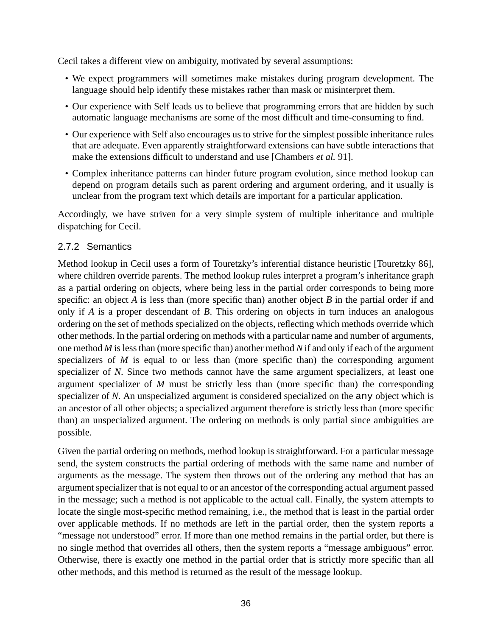Cecil takes a different view on ambiguity, motivated by several assumptions:

- We expect programmers will sometimes make mistakes during program development. The language should help identify these mistakes rather than mask or misinterpret them.
- Our experience with Self leads us to believe that programming errors that are hidden by such automatic language mechanisms are some of the most difficult and time-consuming to find.
- Our experience with Self also encourages us to strive for the simplest possible inheritance rules that are adequate. Even apparently straightforward extensions can have subtle interactions that make the extensions difficult to understand and use [Chambers *et al.* 91].
- Complex inheritance patterns can hinder future program evolution, since method lookup can depend on program details such as parent ordering and argument ordering, and it usually is unclear from the program text which details are important for a particular application.

Accordingly, we have striven for a very simple system of multiple inheritance and multiple dispatching for Cecil.

## 2.7.2 Semantics

Method lookup in Cecil uses a form of Touretzky's inferential distance heuristic [Touretzky 86], where children override parents. The method lookup rules interpret a program's inheritance graph as a partial ordering on objects, where being less in the partial order corresponds to being more specific: an object *A* is less than (more specific than) another object *B* in the partial order if and only if *A* is a proper descendant of *B*. This ordering on objects in turn induces an analogous ordering on the set of methods specialized on the objects, reflecting which methods override which other methods. In the partial ordering on methods with a particular name and number of arguments, one method *M* is less than (more specific than) another method *N* if and only if each of the argument specializers of *M* is equal to or less than (more specific than) the corresponding argument specializer of *N*. Since two methods cannot have the same argument specializers, at least one argument specializer of *M* must be strictly less than (more specific than) the corresponding specializer of *N*. An unspecialized argument is considered specialized on the any object which is an ancestor of all other objects; a specialized argument therefore is strictly less than (more specific than) an unspecialized argument. The ordering on methods is only partial since ambiguities are possible.

Given the partial ordering on methods, method lookup is straightforward. For a particular message send, the system constructs the partial ordering of methods with the same name and number of arguments as the message. The system then throws out of the ordering any method that has an argument specializer that is not equal to or an ancestor of the corresponding actual argument passed in the message; such a method is not applicable to the actual call. Finally, the system attempts to locate the single most-specific method remaining, i.e., the method that is least in the partial order over applicable methods. If no methods are left in the partial order, then the system reports a "message not understood" error. If more than one method remains in the partial order, but there is no single method that overrides all others, then the system reports a "message ambiguous" error. Otherwise, there is exactly one method in the partial order that is strictly more specific than all other methods, and this method is returned as the result of the message lookup.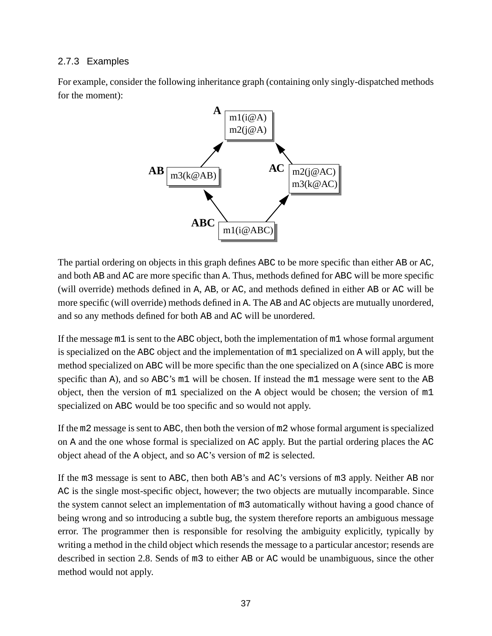### 2.7.3 Examples

For example, consider the following inheritance graph (containing only singly-dispatched methods for the moment):



The partial ordering on objects in this graph defines ABC to be more specific than either AB or AC, and both AB and AC are more specific than A. Thus, methods defined for ABC will be more specific (will override) methods defined in A, AB, or AC, and methods defined in either AB or AC will be more specific (will override) methods defined in A. The AB and AC objects are mutually unordered, and so any methods defined for both AB and AC will be unordered.

If the message m1 is sent to the ABC object, both the implementation of m1 whose formal argument is specialized on the ABC object and the implementation of m1 specialized on A will apply, but the method specialized on ABC will be more specific than the one specialized on A (since ABC is more specific than A), and so ABC's m1 will be chosen. If instead the m1 message were sent to the AB object, then the version of m1 specialized on the A object would be chosen; the version of m1 specialized on ABC would be too specific and so would not apply.

If the m2 message is sent to ABC, then both the version of m2 whose formal argument is specialized on A and the one whose formal is specialized on AC apply. But the partial ordering places the AC object ahead of the A object, and so AC's version of m2 is selected.

If the m3 message is sent to ABC, then both AB's and AC's versions of m3 apply. Neither AB nor AC is the single most-specific object, however; the two objects are mutually incomparable. Since the system cannot select an implementation of m3 automatically without having a good chance of being wrong and so introducing a subtle bug, the system therefore reports an ambiguous message error. The programmer then is responsible for resolving the ambiguity explicitly, typically by writing a method in the child object which resends the message to a particular ancestor; resends are described in section 2.8. Sends of m3 to either AB or AC would be unambiguous, since the other method would not apply.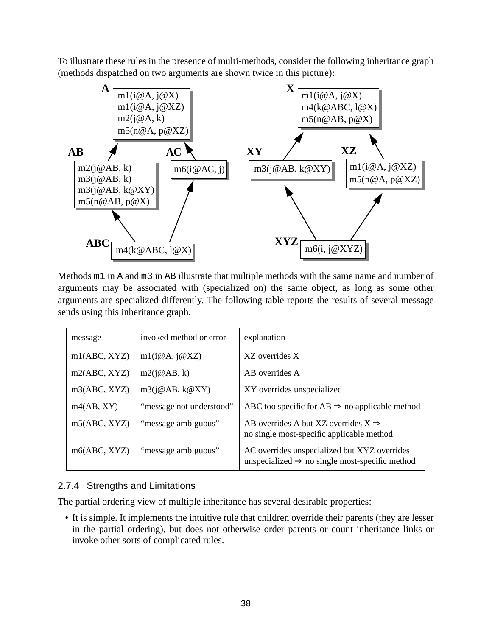To illustrate these rules in the presence of multi-methods, consider the following inheritance graph (methods dispatched on two arguments are shown twice in this picture):



Methods m1 in A and m3 in AB illustrate that multiple methods with the same name and number of arguments may be associated with (specialized on) the same object, as long as some other arguments are specialized differently. The following table reports the results of several message sends using this inheritance graph.

| message      | invoked method or error  | explanation                                                                                                |  |
|--------------|--------------------------|------------------------------------------------------------------------------------------------------------|--|
| m1(ABC, XYZ) | ml(i@A, j@XZ)            | XZ overrides X                                                                                             |  |
| m2(ABC, XYZ) | m2(j@AB, k)              | AB overrides A                                                                                             |  |
| m3(ABC, XYZ) | m3(j@AB, k@XY)           | XY overrides unspecialized                                                                                 |  |
| m4(AB, XY)   | "message not understood" | ABC too specific for AB $\Rightarrow$ no applicable method                                                 |  |
| m5(ABC, XYZ) | "message ambiguous"      | AB overrides A but XZ overrides $X \implies$<br>no single most-specific applicable method                  |  |
| m6(ABC, XYZ) | "message ambiguous"      | AC overrides unspecialized but XYZ overrides<br>unspecialized $\Rightarrow$ no single most-specific method |  |

#### 2.7.4 Strengths and Limitations

The partial ordering view of multiple inheritance has several desirable properties:

• It is simple. It implements the intuitive rule that children override their parents (they are lesser in the partial ordering), but does not otherwise order parents or count inheritance links or invoke other sorts of complicated rules.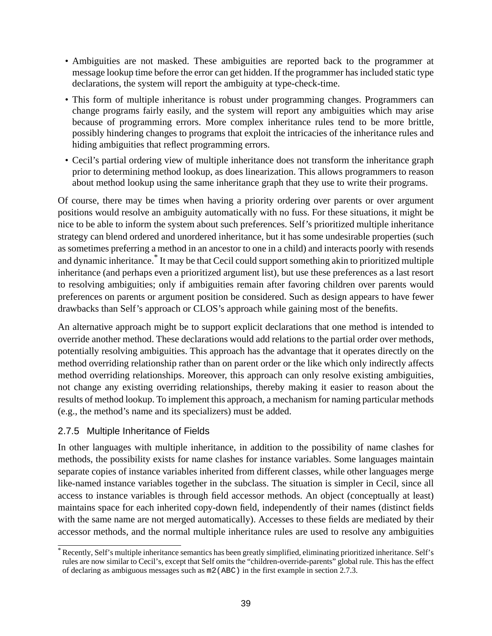- Ambiguities are not masked. These ambiguities are reported back to the programmer at message lookup time before the error can get hidden. If the programmer has included static type declarations, the system will report the ambiguity at type-check-time.
- This form of multiple inheritance is robust under programming changes. Programmers can change programs fairly easily, and the system will report any ambiguities which may arise because of programming errors. More complex inheritance rules tend to be more brittle, possibly hindering changes to programs that exploit the intricacies of the inheritance rules and hiding ambiguities that reflect programming errors.
- Cecil's partial ordering view of multiple inheritance does not transform the inheritance graph prior to determining method lookup, as does linearization. This allows programmers to reason about method lookup using the same inheritance graph that they use to write their programs.

Of course, there may be times when having a priority ordering over parents or over argument positions would resolve an ambiguity automatically with no fuss. For these situations, it might be nice to be able to inform the system about such preferences. Self's prioritized multiple inheritance strategy can blend ordered and unordered inheritance, but it has some undesirable properties (such as sometimes preferring a method in an ancestor to one in a child) and interacts poorly with resends and dynamic inheritance.\* It may be that Cecil could support something akin to prioritized multiple inheritance (and perhaps even a prioritized argument list), but use these preferences as a last resort to resolving ambiguities; only if ambiguities remain after favoring children over parents would preferences on parents or argument position be considered. Such as design appears to have fewer drawbacks than Self's approach or CLOS's approach while gaining most of the benefits.

An alternative approach might be to support explicit declarations that one method is intended to override another method. These declarations would add relations to the partial order over methods, potentially resolving ambiguities. This approach has the advantage that it operates directly on the method overriding relationship rather than on parent order or the like which only indirectly affects method overriding relationships. Moreover, this approach can only resolve existing ambiguities, not change any existing overriding relationships, thereby making it easier to reason about the results of method lookup. To implement this approach, a mechanism for naming particular methods (e.g., the method's name and its specializers) must be added.

### 2.7.5 Multiple Inheritance of Fields

In other languages with multiple inheritance, in addition to the possibility of name clashes for methods, the possibility exists for name clashes for instance variables. Some languages maintain separate copies of instance variables inherited from different classes, while other languages merge like-named instance variables together in the subclass. The situation is simpler in Cecil, since all access to instance variables is through field accessor methods. An object (conceptually at least) maintains space for each inherited copy-down field, independently of their names (distinct fields with the same name are not merged automatically). Accesses to these fields are mediated by their accessor methods, and the normal multiple inheritance rules are used to resolve any ambiguities

<sup>\*</sup> Recently, Self's multiple inheritance semantics has been greatly simplified, eliminating prioritized inheritance. Self's rules are now similar to Cecil's, except that Self omits the "children-override-parents" global rule. This has the effect of declaring as ambiguous messages such as  $m2(ABC)$  in the first example in section 2.7.3.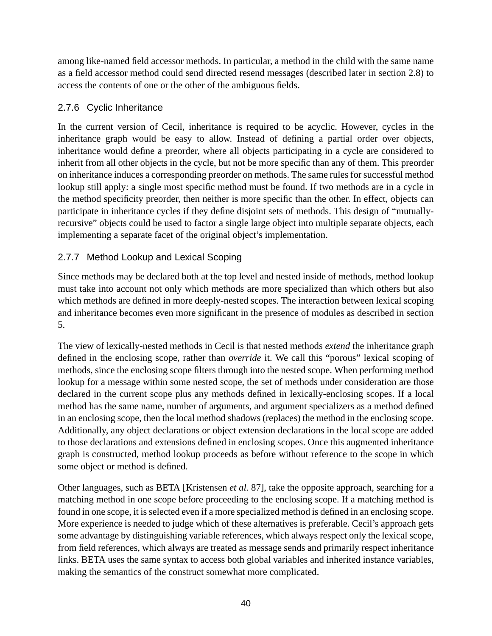among like-named field accessor methods. In particular, a method in the child with the same name as a field accessor method could send directed resend messages (described later in section 2.8) to access the contents of one or the other of the ambiguous fields.

### 2.7.6 Cyclic Inheritance

In the current version of Cecil, inheritance is required to be acyclic. However, cycles in the inheritance graph would be easy to allow. Instead of defining a partial order over objects, inheritance would define a preorder, where all objects participating in a cycle are considered to inherit from all other objects in the cycle, but not be more specific than any of them. This preorder on inheritance induces a corresponding preorder on methods. The same rules for successful method lookup still apply: a single most specific method must be found. If two methods are in a cycle in the method specificity preorder, then neither is more specific than the other. In effect, objects can participate in inheritance cycles if they define disjoint sets of methods. This design of "mutuallyrecursive" objects could be used to factor a single large object into multiple separate objects, each implementing a separate facet of the original object's implementation.

### 2.7.7 Method Lookup and Lexical Scoping

Since methods may be declared both at the top level and nested inside of methods, method lookup must take into account not only which methods are more specialized than which others but also which methods are defined in more deeply-nested scopes. The interaction between lexical scoping and inheritance becomes even more significant in the presence of modules as described in section 5.

The view of lexically-nested methods in Cecil is that nested methods *extend* the inheritance graph defined in the enclosing scope, rather than *override* it. We call this "porous" lexical scoping of methods, since the enclosing scope filters through into the nested scope. When performing method lookup for a message within some nested scope, the set of methods under consideration are those declared in the current scope plus any methods defined in lexically-enclosing scopes. If a local method has the same name, number of arguments, and argument specializers as a method defined in an enclosing scope, then the local method shadows (replaces) the method in the enclosing scope. Additionally, any object declarations or object extension declarations in the local scope are added to those declarations and extensions defined in enclosing scopes. Once this augmented inheritance graph is constructed, method lookup proceeds as before without reference to the scope in which some object or method is defined.

Other languages, such as BETA [Kristensen *et al.* 87], take the opposite approach, searching for a matching method in one scope before proceeding to the enclosing scope. If a matching method is found in one scope, it is selected even if a more specialized method is defined in an enclosing scope. More experience is needed to judge which of these alternatives is preferable. Cecil's approach gets some advantage by distinguishing variable references, which always respect only the lexical scope, from field references, which always are treated as message sends and primarily respect inheritance links. BETA uses the same syntax to access both global variables and inherited instance variables, making the semantics of the construct somewhat more complicated.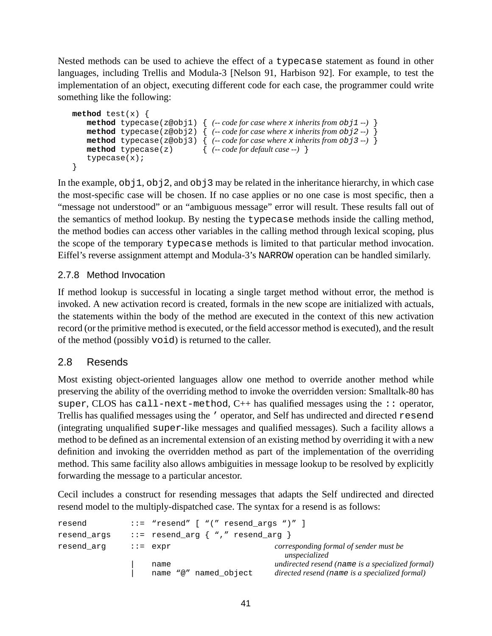Nested methods can be used to achieve the effect of a typecase statement as found in other languages, including Trellis and Modula-3 [Nelson 91, Harbison 92]. For example, to test the implementation of an object, executing different code for each case, the programmer could write something like the following:

```
method test(x) {
   method typecase(z@obj1) { (-- code for case where x inherits from obj1 --) }
   method typecase(z@obj2) { (-- code for case where x inherits from obj2 --) }
   method typecase(z@obj3) { (-- code for case where x inherits from obj3 --) }
   method typecase(z) { (-- code for default case --) }
   typecase(x);
}
```
In the example,  $obj1$ ,  $obj2$ , and  $obj3$  may be related in the inheritance hierarchy, in which case the most-specific case will be chosen. If no case applies or no one case is most specific, then a "message not understood" or an "ambiguous message" error will result. These results fall out of the semantics of method lookup. By nesting the typecase methods inside the calling method, the method bodies can access other variables in the calling method through lexical scoping, plus the scope of the temporary typecase methods is limited to that particular method invocation. Eiffel's reverse assignment attempt and Modula-3's NARROW operation can be handled similarly.

### 2.7.8 Method Invocation

If method lookup is successful in locating a single target method without error, the method is invoked. A new activation record is created, formals in the new scope are initialized with actuals, the statements within the body of the method are executed in the context of this new activation record (or the primitive method is executed, or the field accessor method is executed), and the result of the method (possibly void) is returned to the caller.

# 2.8 Resends

Most existing object-oriented languages allow one method to override another method while preserving the ability of the overriding method to invoke the overridden version: Smalltalk-80 has super, CLOS has call-next-method,  $C_{++}$  has qualified messages using the :: operator, Trellis has qualified messages using the ' operator, and Self has undirected and directed resend (integrating unqualified super-like messages and qualified messages). Such a facility allows a method to be defined as an incremental extension of an existing method by overriding it with a new definition and invoking the overridden method as part of the implementation of the overriding method. This same facility also allows ambiguities in message lookup to be resolved by explicitly forwarding the message to a particular ancestor.

Cecil includes a construct for resending messages that adapts the Self undirected and directed resend model to the multiply-dispatched case. The syntax for a resend is as follows:

| resend      | $::=$ "resend" $[$ " $($ " resend_args " $)$ " ] |                                                                                                    |  |
|-------------|--------------------------------------------------|----------------------------------------------------------------------------------------------------|--|
| resend args | $ ::=$ resend_arg $\{$ "," resend_arg $\}$       |                                                                                                    |  |
| resend arg  | $::=$ $expr$                                     | corresponding formal of sender must be<br>unspecialized                                            |  |
|             | name<br>"@" named object<br>name                 | undirected resend (name is a specialized formal)<br>directed resend (name is a specialized formal) |  |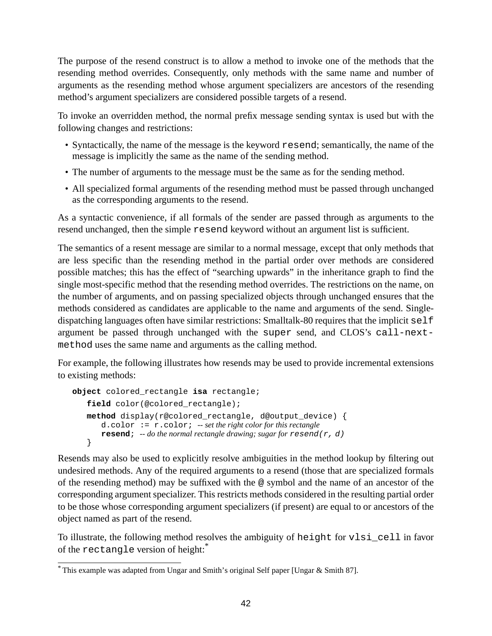The purpose of the resend construct is to allow a method to invoke one of the methods that the resending method overrides. Consequently, only methods with the same name and number of arguments as the resending method whose argument specializers are ancestors of the resending method's argument specializers are considered possible targets of a resend.

To invoke an overridden method, the normal prefix message sending syntax is used but with the following changes and restrictions:

- Syntactically, the name of the message is the keyword resend; semantically, the name of the message is implicitly the same as the name of the sending method.
- The number of arguments to the message must be the same as for the sending method.
- All specialized formal arguments of the resending method must be passed through unchanged as the corresponding arguments to the resend.

As a syntactic convenience, if all formals of the sender are passed through as arguments to the resend unchanged, then the simple resend keyword without an argument list is sufficient.

The semantics of a resent message are similar to a normal message, except that only methods that are less specific than the resending method in the partial order over methods are considered possible matches; this has the effect of "searching upwards" in the inheritance graph to find the single most-specific method that the resending method overrides. The restrictions on the name, on the number of arguments, and on passing specialized objects through unchanged ensures that the methods considered as candidates are applicable to the name and arguments of the send. Singledispatching languages often have similar restrictions: Smalltalk-80 requires that the implicit self argument be passed through unchanged with the super send, and CLOS's call-nextmethod uses the same name and arguments as the calling method.

For example, the following illustrates how resends may be used to provide incremental extensions to existing methods:

```
object colored_rectangle isa rectangle;
   field color(@colored rectangle);
   method display(r@colored_rectangle, d@output_device) {
      d.color := r.color; -- set the right color for this rectangle
      resend; -- do the normal rectangle drawing; sugar for resend(r, d)
   }
```
Resends may also be used to explicitly resolve ambiguities in the method lookup by filtering out undesired methods. Any of the required arguments to a resend (those that are specialized formals of the resending method) may be suffixed with the @ symbol and the name of an ancestor of the corresponding argument specializer. This restricts methods considered in the resulting partial order to be those whose corresponding argument specializers (if present) are equal to or ancestors of the object named as part of the resend.

To illustrate, the following method resolves the ambiguity of height for vlsi\_cell in favor of the rectangle version of height:\*

<sup>\*</sup> This example was adapted from Ungar and Smith's original Self paper [Ungar & Smith 87].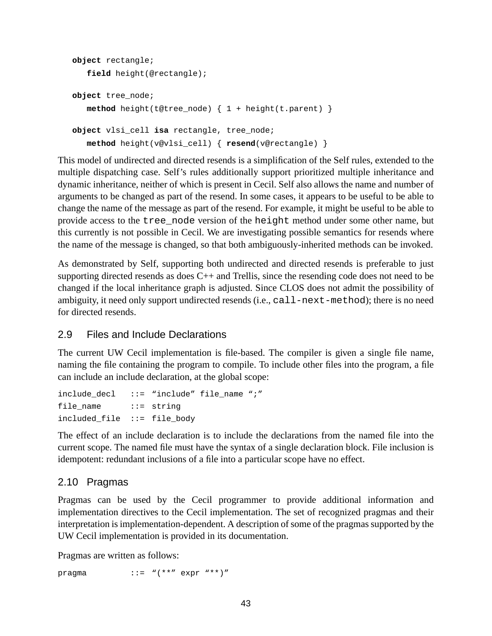```
object rectangle;
   field height(@rectangle);
object tree_node;
   method height(t@tree_node) { 1 + height(t.parent) }
object vlsi_cell isa rectangle, tree_node;
   method height(v@vlsi_cell) { resend(v@rectangle) }
```
This model of undirected and directed resends is a simplification of the Self rules, extended to the multiple dispatching case. Self's rules additionally support prioritized multiple inheritance and dynamic inheritance, neither of which is present in Cecil. Self also allows the name and number of arguments to be changed as part of the resend. In some cases, it appears to be useful to be able to change the name of the message as part of the resend. For example, it might be useful to be able to provide access to the tree\_node version of the height method under some other name, but this currently is not possible in Cecil. We are investigating possible semantics for resends where the name of the message is changed, so that both ambiguously-inherited methods can be invoked.

As demonstrated by Self, supporting both undirected and directed resends is preferable to just supporting directed resends as does C++ and Trellis, since the resending code does not need to be changed if the local inheritance graph is adjusted. Since CLOS does not admit the possibility of ambiguity, it need only support undirected resends (i.e., call-next-method); there is no need for directed resends.

### 2.9 Files and Include Declarations

The current UW Cecil implementation is file-based. The compiler is given a single file name, naming the file containing the program to compile. To include other files into the program, a file can include an include declaration, at the global scope:

```
include_decl ::= "include" file_name ";"
file name ::= string
included file ::= file body
```
The effect of an include declaration is to include the declarations from the named file into the current scope. The named file must have the syntax of a single declaration block. File inclusion is idempotent: redundant inclusions of a file into a particular scope have no effect.

#### 2.10 Pragmas

Pragmas can be used by the Cecil programmer to provide additional information and implementation directives to the Cecil implementation. The set of recognized pragmas and their interpretation is implementation-dependent. A description of some of the pragmas supported by the UW Cecil implementation is provided in its documentation.

Pragmas are written as follows:

pragma  $::=$  " $(**"$  expr "\*\*)"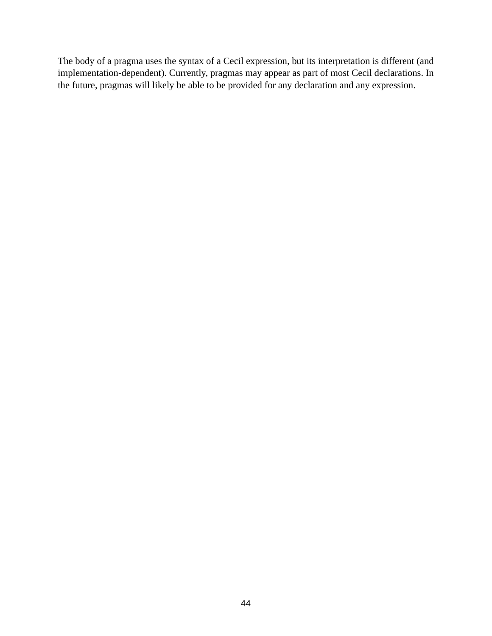The body of a pragma uses the syntax of a Cecil expression, but its interpretation is different (and implementation-dependent). Currently, pragmas may appear as part of most Cecil declarations. In the future, pragmas will likely be able to be provided for any declaration and any expression.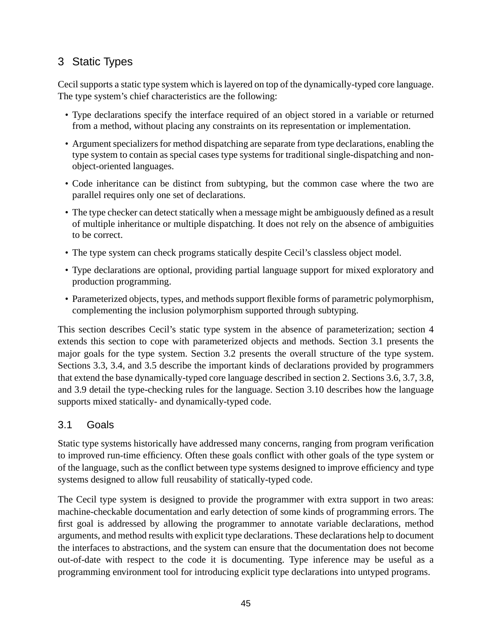# 3 Static Types

Cecil supports a static type system which is layered on top of the dynamically-typed core language. The type system's chief characteristics are the following:

- Type declarations specify the interface required of an object stored in a variable or returned from a method, without placing any constraints on its representation or implementation.
- Argument specializers for method dispatching are separate from type declarations, enabling the type system to contain as special cases type systems for traditional single-dispatching and nonobject-oriented languages.
- Code inheritance can be distinct from subtyping, but the common case where the two are parallel requires only one set of declarations.
- The type checker can detect statically when a message might be ambiguously defined as a result of multiple inheritance or multiple dispatching. It does not rely on the absence of ambiguities to be correct.
- The type system can check programs statically despite Cecil's classless object model.
- Type declarations are optional, providing partial language support for mixed exploratory and production programming.
- Parameterized objects, types, and methods support flexible forms of parametric polymorphism, complementing the inclusion polymorphism supported through subtyping.

This section describes Cecil's static type system in the absence of parameterization; section 4 extends this section to cope with parameterized objects and methods. Section 3.1 presents the major goals for the type system. Section 3.2 presents the overall structure of the type system. Sections 3.3, 3.4, and 3.5 describe the important kinds of declarations provided by programmers that extend the base dynamically-typed core language described in section 2. Sections 3.6, 3.7, 3.8, and 3.9 detail the type-checking rules for the language. Section 3.10 describes how the language supports mixed statically- and dynamically-typed code.

# 3.1 Goals

Static type systems historically have addressed many concerns, ranging from program verification to improved run-time efficiency. Often these goals conflict with other goals of the type system or of the language, such as the conflict between type systems designed to improve efficiency and type systems designed to allow full reusability of statically-typed code.

The Cecil type system is designed to provide the programmer with extra support in two areas: machine-checkable documentation and early detection of some kinds of programming errors. The first goal is addressed by allowing the programmer to annotate variable declarations, method arguments, and method results with explicit type declarations. These declarations help to document the interfaces to abstractions, and the system can ensure that the documentation does not become out-of-date with respect to the code it is documenting. Type inference may be useful as a programming environment tool for introducing explicit type declarations into untyped programs.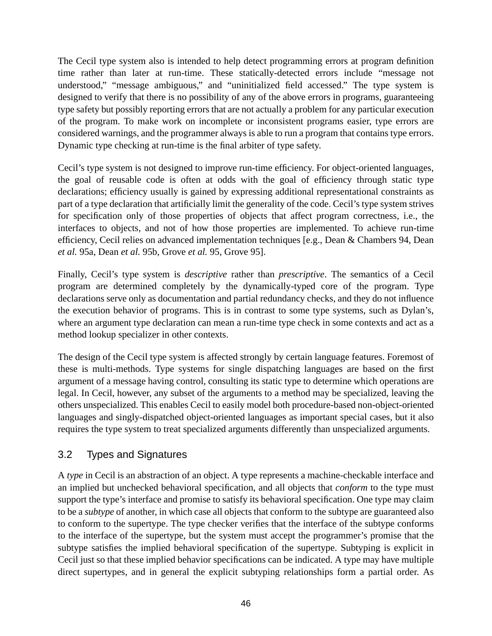The Cecil type system also is intended to help detect programming errors at program definition time rather than later at run-time. These statically-detected errors include "message not understood," "message ambiguous," and "uninitialized field accessed." The type system is designed to verify that there is no possibility of any of the above errors in programs, guaranteeing type safety but possibly reporting errors that are not actually a problem for any particular execution of the program. To make work on incomplete or inconsistent programs easier, type errors are considered warnings, and the programmer always is able to run a program that contains type errors. Dynamic type checking at run-time is the final arbiter of type safety.

Cecil's type system is not designed to improve run-time efficiency. For object-oriented languages, the goal of reusable code is often at odds with the goal of efficiency through static type declarations; efficiency usually is gained by expressing additional representational constraints as part of a type declaration that artificially limit the generality of the code. Cecil's type system strives for specification only of those properties of objects that affect program correctness, i.e., the interfaces to objects, and not of how those properties are implemented. To achieve run-time efficiency, Cecil relies on advanced implementation techniques [e.g., Dean & Chambers 94, Dean *et al.* 95a, Dean *et al.* 95b, Grove *et al.* 95, Grove 95].

Finally, Cecil's type system is *descriptive* rather than *prescriptive*. The semantics of a Cecil program are determined completely by the dynamically-typed core of the program. Type declarations serve only as documentation and partial redundancy checks, and they do not influence the execution behavior of programs. This is in contrast to some type systems, such as Dylan's, where an argument type declaration can mean a run-time type check in some contexts and act as a method lookup specializer in other contexts.

The design of the Cecil type system is affected strongly by certain language features. Foremost of these is multi-methods. Type systems for single dispatching languages are based on the first argument of a message having control, consulting its static type to determine which operations are legal. In Cecil, however, any subset of the arguments to a method may be specialized, leaving the others unspecialized. This enables Cecil to easily model both procedure-based non-object-oriented languages and singly-dispatched object-oriented languages as important special cases, but it also requires the type system to treat specialized arguments differently than unspecialized arguments.

# 3.2 Types and Signatures

A *type* in Cecil is an abstraction of an object. A type represents a machine-checkable interface and an implied but unchecked behavioral specification, and all objects that *conform* to the type must support the type's interface and promise to satisfy its behavioral specification. One type may claim to be a *subtype* of another, in which case all objects that conform to the subtype are guaranteed also to conform to the supertype. The type checker verifies that the interface of the subtype conforms to the interface of the supertype, but the system must accept the programmer's promise that the subtype satisfies the implied behavioral specification of the supertype. Subtyping is explicit in Cecil just so that these implied behavior specifications can be indicated. A type may have multiple direct supertypes, and in general the explicit subtyping relationships form a partial order. As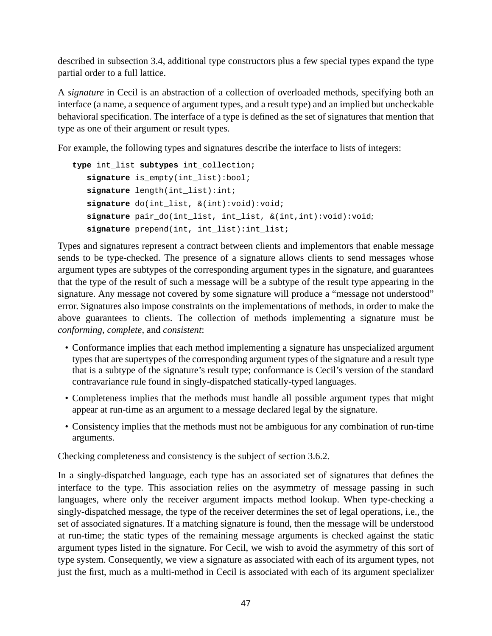described in subsection 3.4, additional type constructors plus a few special types expand the type partial order to a full lattice.

A *signature* in Cecil is an abstraction of a collection of overloaded methods, specifying both an interface (a name, a sequence of argument types, and a result type) and an implied but uncheckable behavioral specification. The interface of a type is defined as the set of signatures that mention that type as one of their argument or result types.

For example, the following types and signatures describe the interface to lists of integers:

```
type int_list subtypes int_collection;
   signature is_empty(int_list):bool;
  signature length(int_list):int;
  signature do(int_list, &(int):void):void;
  signature pair_do(int_list, int_list, &(int,int):void):void;
  signature prepend(int, int_list):int_list;
```
Types and signatures represent a contract between clients and implementors that enable message sends to be type-checked. The presence of a signature allows clients to send messages whose argument types are subtypes of the corresponding argument types in the signature, and guarantees that the type of the result of such a message will be a subtype of the result type appearing in the signature. Any message not covered by some signature will produce a "message not understood" error. Signatures also impose constraints on the implementations of methods, in order to make the above guarantees to clients. The collection of methods implementing a signature must be *conforming*, *complete*, and *consistent*:

- Conformance implies that each method implementing a signature has unspecialized argument types that are supertypes of the corresponding argument types of the signature and a result type that is a subtype of the signature's result type; conformance is Cecil's version of the standard contravariance rule found in singly-dispatched statically-typed languages.
- Completeness implies that the methods must handle all possible argument types that might appear at run-time as an argument to a message declared legal by the signature.
- Consistency implies that the methods must not be ambiguous for any combination of run-time arguments.

Checking completeness and consistency is the subject of section 3.6.2.

In a singly-dispatched language, each type has an associated set of signatures that defines the interface to the type. This association relies on the asymmetry of message passing in such languages, where only the receiver argument impacts method lookup. When type-checking a singly-dispatched message, the type of the receiver determines the set of legal operations, i.e., the set of associated signatures. If a matching signature is found, then the message will be understood at run-time; the static types of the remaining message arguments is checked against the static argument types listed in the signature. For Cecil, we wish to avoid the asymmetry of this sort of type system. Consequently, we view a signature as associated with each of its argument types, not just the first, much as a multi-method in Cecil is associated with each of its argument specializer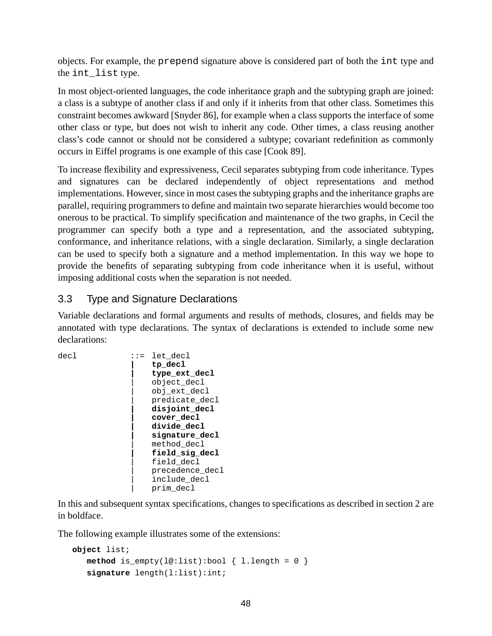objects. For example, the prepend signature above is considered part of both the int type and the int\_list type.

In most object-oriented languages, the code inheritance graph and the subtyping graph are joined: a class is a subtype of another class if and only if it inherits from that other class. Sometimes this constraint becomes awkward [Snyder 86], for example when a class supports the interface of some other class or type, but does not wish to inherit any code. Other times, a class reusing another class's code cannot or should not be considered a subtype; covariant redefinition as commonly occurs in Eiffel programs is one example of this case [Cook 89].

To increase flexibility and expressiveness, Cecil separates subtyping from code inheritance. Types and signatures can be declared independently of object representations and method implementations. However, since in most cases the subtyping graphs and the inheritance graphs are parallel, requiring programmers to define and maintain two separate hierarchies would become too onerous to be practical. To simplify specification and maintenance of the two graphs, in Cecil the programmer can specify both a type and a representation, and the associated subtyping, conformance, and inheritance relations, with a single declaration. Similarly, a single declaration can be used to specify both a signature and a method implementation. In this way we hope to provide the benefits of separating subtyping from code inheritance when it is useful, without imposing additional costs when the separation is not needed.

# 3.3 Type and Signature Declarations

Variable declarations and formal arguments and results of methods, closures, and fields may be annotated with type declarations. The syntax of declarations is extended to include some new declarations:

```
decl ::= let decl
                    | tp_decl
                    | type_ext_decl
                    | object_decl
                    | obj_ext_decl
                    | predicate_decl
                    | disjoint_decl
                    | cover_decl
                    | divide_decl
                    | signature_decl
                    method_decl
                    | field_sig_decl
                    field decl
                    | precedence_decl
                    include decl
                    prim decl
```
In this and subsequent syntax specifications, changes to specifications as described in section 2 are in boldface.

The following example illustrates some of the extensions:

```
object list;
   method is_empty(l@:list):bool \{ l.length = 0 \}signature length(l:list):int;
```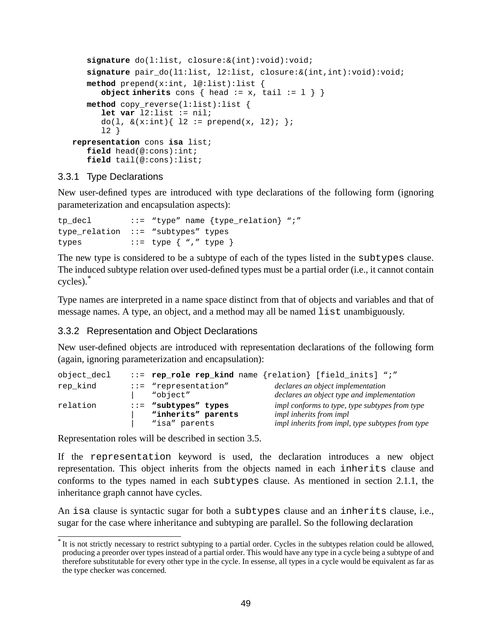```
signature do(l:list, closure: &(int): void): void;
   signature pair do(l1:list, l2:list, closure: &(int,int):void):void;
  method prepend(x:int, l@:list):list {
      object inherits cons { head := x, tail := 1 } }
  method copy_reverse(l:list):list {
      let var l2:list := nil;
      do(1, \&(x:int) { 12 := prepend(x, 12); };
      l2 }
representation cons isa list;
   field head(@:cons):int;
   field tail(@:cons):list;
```
#### 3.3.1 Type Declarations

New user-defined types are introduced with type declarations of the following form (ignoring parameterization and encapsulation aspects):

```
tp_decl ::= "type" name {type_relation} ";"
type_relation ::= "subtypes" types
types \cdots ::= type \{ "," type \}
```
The new type is considered to be a subtype of each of the types listed in the subtypes clause. The induced subtype relation over used-defined types must be a partial order (i.e., it cannot contain cycles).\*

Type names are interpreted in a name space distinct from that of objects and variables and that of message names. A type, an object, and a method may all be named list unambiguously.

#### 3.3.2 Representation and Object Declarations

New user-defined objects are introduced with representation declarations of the following form (again, ignoring parameterization and encapsulation):

| object decl |                                                                  | ::= rep_role rep_kind name {relation} [field_inits] ";"                                                                                            |
|-------------|------------------------------------------------------------------|----------------------------------------------------------------------------------------------------------------------------------------------------|
| rep kind    | $ ::=$ "representation"<br>"object"                              | declares an object implementation<br>declares an object type and implementation                                                                    |
| relation    | $\cdots$ "subtypes" types<br>"inherits" parents<br>"isa" parents | <i>impl conforms to type, type subtypes from type</i><br><i>impl inherits from impl</i><br><i>impl inherits from impl, type subtypes from type</i> |

Representation roles will be described in section 3.5.

If the representation keyword is used, the declaration introduces a new object representation. This object inherits from the objects named in each inherits clause and conforms to the types named in each subtypes clause. As mentioned in section 2.1.1, the inheritance graph cannot have cycles.

An isa clause is syntactic sugar for both a subtypes clause and an inherits clause, i.e., sugar for the case where inheritance and subtyping are parallel. So the following declaration

<sup>\*</sup> It is not strictly necessary to restrict subtyping to a partial order. Cycles in the subtypes relation could be allowed, producing a preorder over types instead of a partial order. This would have any type in a cycle being a subtype of and therefore substitutable for every other type in the cycle. In essense, all types in a cycle would be equivalent as far as the type checker was concerned.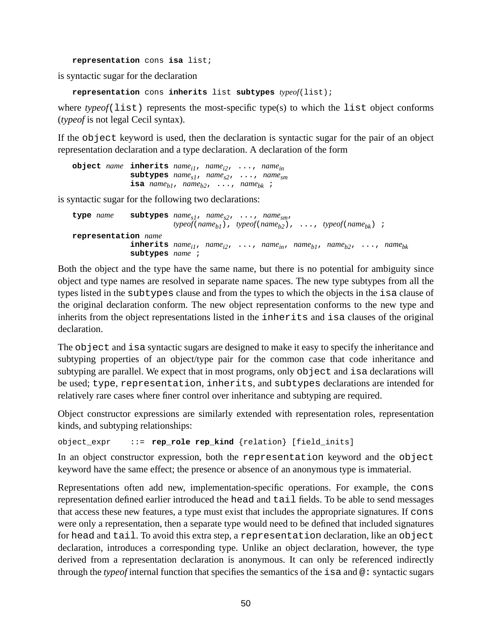**representation** cons **isa** list;

is syntactic sugar for the declaration

**representation** cons **inherits** list **subtypes** *typeof*(list);

where  $typeof(iist)$  represents the most-specific type(s) to which the list object conforms (*typeof* is not legal Cecil syntax).

If the object keyword is used, then the declaration is syntactic sugar for the pair of an object representation declaration and a type declaration. A declaration of the form

**object** *name* **inherits** *namei1*, *namei2*, ..., *namein*  $\textbf{subtypes}$  *name*<sub>s1</sub>, *name*<sub>s2</sub>, ..., *name*<sub>sm</sub> isa  $name_{b1}$ ,  $name_{b2}$ , ...,  $name_{bk}$  ;

is syntactic sugar for the following two declarations:

```
\tt type name \t subtypes name_{s1}, name_{s2}, ..., name_{sm},typeof(name_{b1}), typeof(name_{b2}), ..., typeof(name_{bk});
representation name
                inherits name_{i1}, name_{i2}, ..., name_{in}, name_{b1}, name_{b2}, ..., name_{bk}subtypes name ;
```
Both the object and the type have the same name, but there is no potential for ambiguity since object and type names are resolved in separate name spaces. The new type subtypes from all the types listed in the subtypes clause and from the types to which the objects in the isa clause of the original declaration conform. The new object representation conforms to the new type and inherits from the object representations listed in the inherits and isa clauses of the original declaration.

The object and isa syntactic sugars are designed to make it easy to specify the inheritance and subtyping properties of an object/type pair for the common case that code inheritance and subtyping are parallel. We expect that in most programs, only object and isa declarations will be used; type, representation, inherits, and subtypes declarations are intended for relatively rare cases where finer control over inheritance and subtyping are required.

Object constructor expressions are similarly extended with representation roles, representation kinds, and subtyping relationships:

object\_expr ::= **rep\_role rep\_kind** {relation} [field\_inits]

In an object constructor expression, both the representation keyword and the object keyword have the same effect; the presence or absence of an anonymous type is immaterial.

Representations often add new, implementation-specific operations. For example, the cons representation defined earlier introduced the head and tail fields. To be able to send messages that access these new features, a type must exist that includes the appropriate signatures. If cons were only a representation, then a separate type would need to be defined that included signatures for head and tail. To avoid this extra step, a representation declaration, like an object declaration, introduces a corresponding type. Unlike an object declaration, however, the type derived from a representation declaration is anonymous. It can only be referenced indirectly through the *typeof* internal function that specifies the semantics of the isa and @: syntactic sugars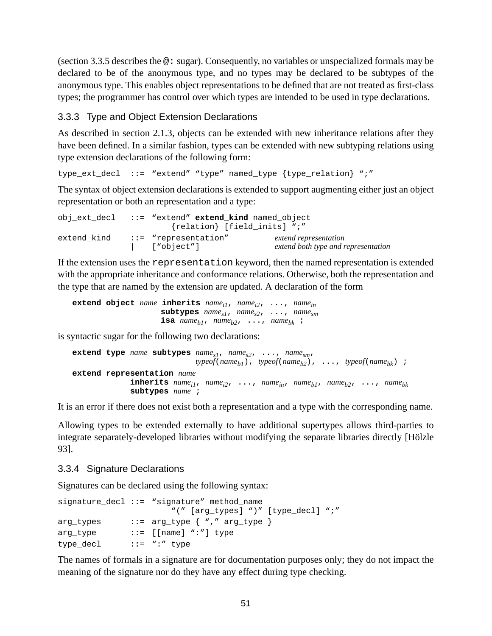(section 3.3.5 describes the @: sugar). Consequently, no variables or unspecialized formals may be declared to be of the anonymous type, and no types may be declared to be subtypes of the anonymous type. This enables object representations to be defined that are not treated as first-class types; the programmer has control over which types are intended to be used in type declarations.

### 3.3.3 Type and Object Extension Declarations

As described in section 2.1.3, objects can be extended with new inheritance relations after they have been defined. In a similar fashion, types can be extended with new subtyping relations using type extension declarations of the following form:

type\_ext\_decl ::= "extend" "type" named\_type {type\_relation} ";"

The syntax of object extension declarations is extended to support augmenting either just an object representation or both an representation and a type:

| obj ext decl | ::= "extend" <b>extend kind</b> named object<br>{relation} [field_inits] ";" |                                                              |
|--------------|------------------------------------------------------------------------------|--------------------------------------------------------------|
| extend kind  | $::=$ "representation"<br>["object"]                                         | extend representation<br>extend both type and representation |

If the extension uses the representation keyword, then the named representation is extended with the appropriate inheritance and conformance relations. Otherwise, both the representation and the type that are named by the extension are updated. A declaration of the form

```
extend object name inherits name<sub>i1</sub>, name<sub>i2</sub>, ..., name<sub>in</sub>
                                 \textbf{subtypes} name<sub>s1</sub>, name<sub>s2</sub>, ..., name<sub>sm</sub>
                                 isa name_{b1}, name_{b2}, ..., name_{bk};
```
is syntactic sugar for the following two declarations:

```
extend type name subtypes name_{s1}, name_{s2}, ..., name_{sm},
                                    typeof(name_{b1}), typeof(name_{b2}), ..., typeof(name_{bk});
extend representation name
                inherits name_{i1}, name_{i2}, ..., name_{i1}, name_{i2}, name_{i3}, name_{i4}, name_{i5}, cdot, name_{i6}subtypes name ;
```
It is an error if there does not exist both a representation and a type with the corresponding name.

Allowing types to be extended externally to have additional supertypes allows third-parties to integrate separately-developed libraries without modifying the separate libraries directly [Hölzle 93].

#### 3.3.4 Signature Declarations

Signatures can be declared using the following syntax:

```
signature decl ::= "signature" method name
                     "(" [arg_types] ")" [type_decl] ";"
arg_type ::= arg_type { "," arg_type }
arg_type ::= [[name] ":"] type
type_decl ::= ":" type
```
The names of formals in a signature are for documentation purposes only; they do not impact the meaning of the signature nor do they have any effect during type checking.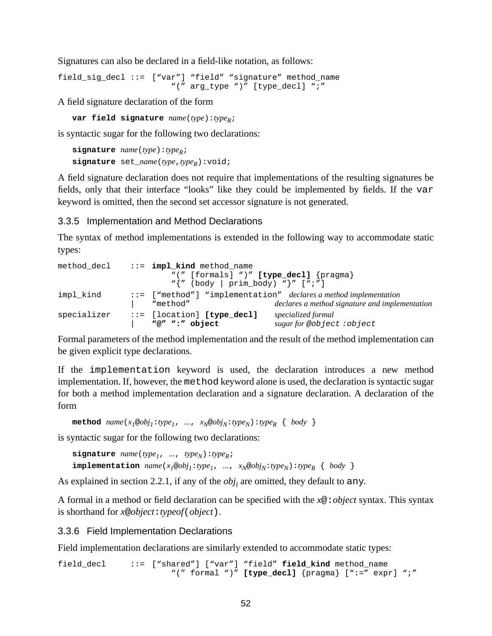Signatures can also be declared in a field-like notation, as follows:

```
field_sig_decl ::= ["var"] "field" "signature" method_name
                       "(" arg type ")" [type decl] ";"
```
A field signature declaration of the form

```
var field signature name(type):typeR;
```
is syntactic sugar for the following two declarations:

```
signature name(type):typeR;
signature set_name(type,typeR):void;
```
A field signature declaration does not require that implementations of the resulting signatures be fields, only that their interface "looks" like they could be implemented by fields. If the var keyword is omitted, then the second set accessor signature is not generated.

3.3.5 Implementation and Method Declarations

The syntax of method implementations is extended in the following way to accommodate static types:

| method_decl | ::= <b>impl_kind</b> method_name                                                                |                                                                                                                           |
|-------------|-------------------------------------------------------------------------------------------------|---------------------------------------------------------------------------------------------------------------------------|
|             | "(" [formals] ")" [type_decl] {pragma}<br>" ${N, n \in \mathbb{Z} \mid \text{prod\_body}}$ ", " |                                                                                                                           |
| impl kind   | "method"                                                                                        | ::= ["method"] "implementation" <i>declares a method implementation</i><br>declares a method signature and implementation |
| specializer | $\cdots =$ [location] [type decl]<br>"@" ":" object                                             | specialized formal<br>sugar for @object : object                                                                          |

Formal parameters of the method implementation and the result of the method implementation can be given explicit type declarations.

If the implementation keyword is used, the declaration introduces a new method implementation. If, however, the method keyword alone is used, the declaration is syntactic sugar for both a method implementation declaration and a signature declaration. A declaration of the form

```
\mathbf{method} name(x_1@obj_1:type_1, \ldots, x_N@obj_N:type_N):type_R \{ body\}
```
is syntactic sugar for the following two declarations:

```
signature name(type1, ..., typeN):typeR;
\text{implementation} name(x_1@obj_1:type_1, ..., x_N@obj_N:type_N):type_R { body }
```
As explained in section 2.2.1, if any of the  $obj_i$  are omitted, they default to any.

A formal in a method or field declaration can be specified with the *x*@:*object* syntax. This syntax is shorthand for *x*@*object*:*typeof*(*object*).

#### 3.3.6 Field Implementation Declarations

Field implementation declarations are similarly extended to accommodate static types:

```
field_decl ::= ["shared"] ["var"] "field" field_kind method_name
                      "(" formal ")" [type_decl] {pragma} [":=" expr] ";"
```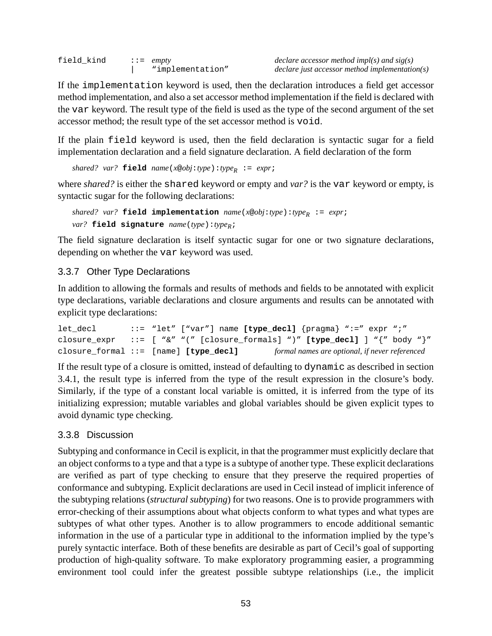field\_kind ::= *empty declare accessor method impl(s) and sig(s)*

| "implementation" *declare just accessor method implementation(s)*

If the implementation keyword is used, then the declaration introduces a field get accessor method implementation, and also a set accessor method implementation if the field is declared with the var keyword. The result type of the field is used as the type of the second argument of the set accessor method; the result type of the set accessor method is void.

If the plain field keyword is used, then the field declaration is syntactic sugar for a field implementation declaration and a field signature declaration. A field declaration of the form

```
shared? var? field name(x@obj:type):typeR := expr;
```
where *shared?* is either the shared keyword or empty and *var?* is the var keyword or empty, is syntactic sugar for the following declarations:

```
shared? var? field implementation name(x@obj:type):typeR := expr;
var? field signature name(type):typeR;
```
The field signature declaration is itself syntactic sugar for one or two signature declarations, depending on whether the var keyword was used.

### 3.3.7 Other Type Declarations

In addition to allowing the formals and results of methods and fields to be annotated with explicit type declarations, variable declarations and closure arguments and results can be annotated with explicit type declarations:

```
let_decl ::= "let" ["var"] name [type_decl] {pragma} ":=" expr ";"
closure_expr ::= [ "&" "(" [closure_formals] ")" [type_decl] ] "{" body "}"
closure_formal ::= [name] [type_decl] formal names are optional, if never referenced
```
If the result type of a closure is omitted, instead of defaulting to dynamic as described in section 3.4.1, the result type is inferred from the type of the result expression in the closure's body. Similarly, if the type of a constant local variable is omitted, it is inferred from the type of its initializing expression; mutable variables and global variables should be given explicit types to avoid dynamic type checking.

#### 3.3.8 Discussion

Subtyping and conformance in Cecil is explicit, in that the programmer must explicitly declare that an object conforms to a type and that a type is a subtype of another type. These explicit declarations are verified as part of type checking to ensure that they preserve the required properties of conformance and subtyping. Explicit declarations are used in Cecil instead of implicit inference of the subtyping relations (*structural subtyping*) for two reasons. One is to provide programmers with error-checking of their assumptions about what objects conform to what types and what types are subtypes of what other types. Another is to allow programmers to encode additional semantic information in the use of a particular type in additional to the information implied by the type's purely syntactic interface. Both of these benefits are desirable as part of Cecil's goal of supporting production of high-quality software. To make exploratory programming easier, a programming environment tool could infer the greatest possible subtype relationships (i.e., the implicit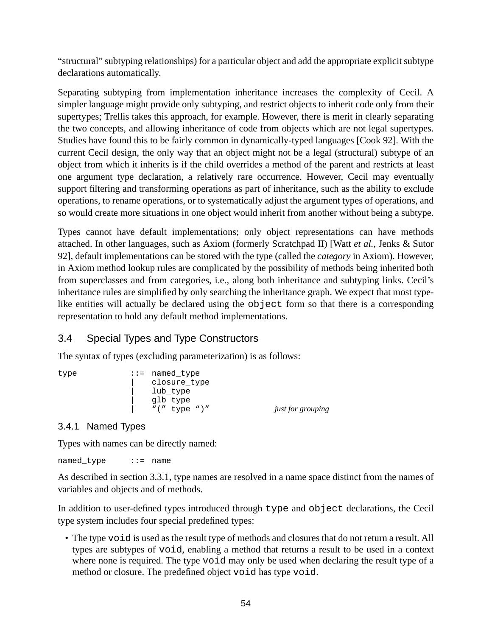"structural" subtyping relationships) for a particular object and add the appropriate explicit subtype declarations automatically.

Separating subtyping from implementation inheritance increases the complexity of Cecil. A simpler language might provide only subtyping, and restrict objects to inherit code only from their supertypes; Trellis takes this approach, for example. However, there is merit in clearly separating the two concepts, and allowing inheritance of code from objects which are not legal supertypes. Studies have found this to be fairly common in dynamically-typed languages [Cook 92]. With the current Cecil design, the only way that an object might not be a legal (structural) subtype of an object from which it inherits is if the child overrides a method of the parent and restricts at least one argument type declaration, a relatively rare occurrence. However, Cecil may eventually support filtering and transforming operations as part of inheritance, such as the ability to exclude operations, to rename operations, or to systematically adjust the argument types of operations, and so would create more situations in one object would inherit from another without being a subtype.

Types cannot have default implementations; only object representations can have methods attached. In other languages, such as Axiom (formerly Scratchpad II) [Watt *et al.*, Jenks & Sutor 92], default implementations can be stored with the type (called the *category* in Axiom). However, in Axiom method lookup rules are complicated by the possibility of methods being inherited both from superclasses and from categories, i.e., along both inheritance and subtyping links. Cecil's inheritance rules are simplified by only searching the inheritance graph. We expect that most typelike entities will actually be declared using the object form so that there is a corresponding representation to hold any default method implementations.

# 3.4 Special Types and Type Constructors

The syntax of types (excluding parameterization) is as follows:

```
type ::= named type
                      | closure_type
                      | lub_type
                      glb_type<br>"(" type ")"
                                                    just for grouping
```
# 3.4.1 Named Types

Types with names can be directly named:

named type ::= name

As described in section 3.3.1, type names are resolved in a name space distinct from the names of variables and objects and of methods.

In addition to user-defined types introduced through type and object declarations, the Cecil type system includes four special predefined types:

• The type void is used as the result type of methods and closures that do not return a result. All types are subtypes of void, enabling a method that returns a result to be used in a context where none is required. The type void may only be used when declaring the result type of a method or closure. The predefined object void has type void.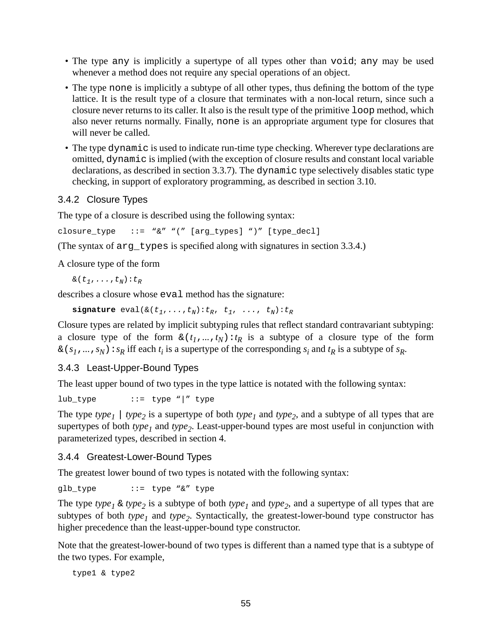- The type any is implicitly a supertype of all types other than void; any may be used whenever a method does not require any special operations of an object.
- The type none is implicitly a subtype of all other types, thus defining the bottom of the type lattice. It is the result type of a closure that terminates with a non-local return, since such a closure never returns to its caller. It also is the result type of the primitive loop method, which also never returns normally. Finally, none is an appropriate argument type for closures that will never be called.
- The type dynamic is used to indicate run-time type checking. Wherever type declarations are omitted, dynamic is implied (with the exception of closure results and constant local variable declarations, as described in section 3.3.7). The dynamic type selectively disables static type checking, in support of exploratory programming, as described in section 3.10.

#### 3.4.2 Closure Types

The type of a closure is described using the following syntax:

```
closure type ::= "&" "(" [arg types] ")" [type decl]
```
(The syntax of arg\_types is specified along with signatures in section 3.3.4.)

A closure type of the form

 $\&(t_1,\ldots,t_N):t_p$ 

describes a closure whose eval method has the signature:

```
signature eval(\&(t_1, \ldots, t_N): t_R, t_1, \ldots, t_N): t_R
```
Closure types are related by implicit subtyping rules that reflect standard contravariant subtyping: a closure type of the form  $\& (t_1, \ldots, t_N) : t_R$  is a subtype of a closure type of the form  $\& (s_1, \ldots, s_N) : s_R$  iff each  $t_i$  is a supertype of the corresponding  $s_i$  and  $t_R$  is a subtype of  $s_R$ .

#### 3.4.3 Least-Upper-Bound Types

The least upper bound of two types in the type lattice is notated with the following syntax:

lub\_type ::= type "|" type

The type  $type_1$  |  $type_2$  is a supertype of both  $type_1$  and  $type_2$ , and a subtype of all types that are supertypes of both *type<sup>1</sup>* and *type<sup>2</sup>* . Least-upper-bound types are most useful in conjunction with parameterized types, described in section 4.

#### 3.4.4 Greatest-Lower-Bound Types

The greatest lower bound of two types is notated with the following syntax:

glb\_type ::= type "&" type

The type *type<sup>1</sup>* & *type<sup>2</sup>* is a subtype of both *type<sup>1</sup>* and *type<sup>2</sup>* , and a supertype of all types that are subtypes of both *type<sup>1</sup>* and *type<sup>2</sup>* . Syntactically, the greatest-lower-bound type constructor has higher precedence than the least-upper-bound type constructor.

Note that the greatest-lower-bound of two types is different than a named type that is a subtype of the two types. For example,

```
type1 & type2
```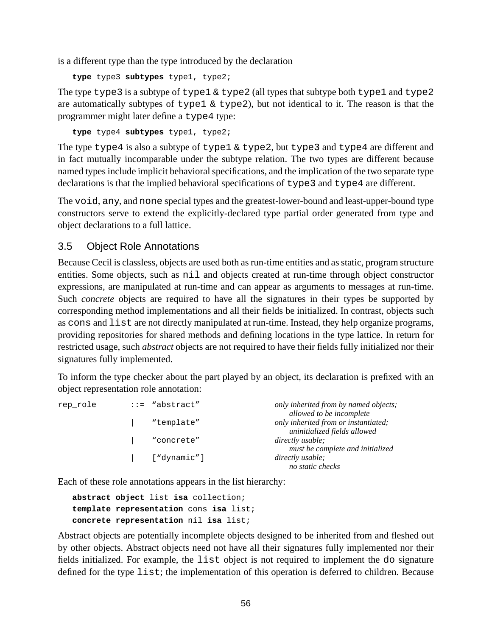is a different type than the type introduced by the declaration

**type** type3 **subtypes** type1, type2;

The type type3 is a subtype of type1  $\&$  type2 (all types that subtype both type1 and type2 are automatically subtypes of type1 & type2), but not identical to it. The reason is that the programmer might later define a type4 type:

**type** type4 **subtypes** type1, type2;

The type type4 is also a subtype of type1 & type2, but type3 and type4 are different and in fact mutually incomparable under the subtype relation. The two types are different because named types include implicit behavioral specifications, and the implication of the two separate type declarations is that the implied behavioral specifications of type3 and type4 are different.

The void, any, and none special types and the greatest-lower-bound and least-upper-bound type constructors serve to extend the explicitly-declared type partial order generated from type and object declarations to a full lattice.

# 3.5 Object Role Annotations

Because Cecil is classless, objects are used both asrun-time entities and asstatic, program structure entities. Some objects, such as nil and objects created at run-time through object constructor expressions, are manipulated at run-time and can appear as arguments to messages at run-time. Such *concrete* objects are required to have all the signatures in their types be supported by corresponding method implementations and all their fields be initialized. In contrast, objects such as cons and list are not directly manipulated at run-time. Instead, they help organize programs, providing repositories for shared methods and defining locations in the type lattice. In return for restricted usage, such *abstract* objects are not required to have their fields fully initialized nor their signatures fully implemented.

To inform the type checker about the part played by an object, its declaration is prefixed with an object representation role annotation:

| rep role | $::=$ "abstract" | only inherited from by named objects;<br>allowed to be incomplete    |
|----------|------------------|----------------------------------------------------------------------|
|          | "template"       | only inherited from or instantiated;<br>uninitialized fields allowed |
|          | "concrete"       | directly usable;<br>must be complete and initialized                 |
|          | ["dynamic"]      | directly usable;<br>no static checks                                 |

Each of these role annotations appears in the list hierarchy:

```
abstract object list isa collection;
template representation cons isa list;
concrete representation nil isa list;
```
Abstract objects are potentially incomplete objects designed to be inherited from and fleshed out by other objects. Abstract objects need not have all their signatures fully implemented nor their fields initialized. For example, the list object is not required to implement the do signature defined for the type list; the implementation of this operation is deferred to children. Because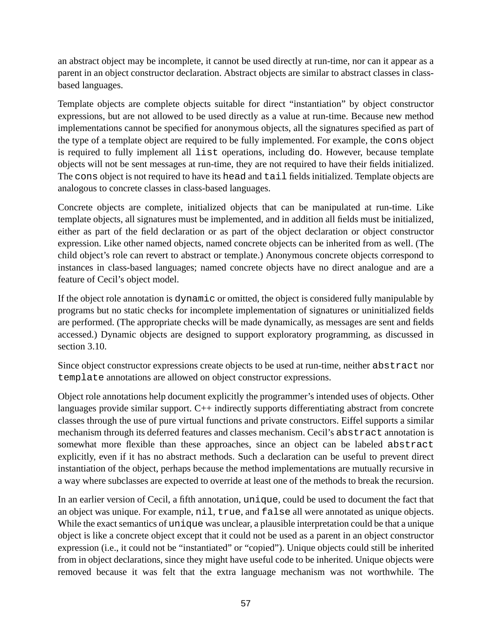an abstract object may be incomplete, it cannot be used directly at run-time, nor can it appear as a parent in an object constructor declaration. Abstract objects are similar to abstract classes in classbased languages.

Template objects are complete objects suitable for direct "instantiation" by object constructor expressions, but are not allowed to be used directly as a value at run-time. Because new method implementations cannot be specified for anonymous objects, all the signatures specified as part of the type of a template object are required to be fully implemented. For example, the cons object is required to fully implement all list operations, including do. However, because template objects will not be sent messages at run-time, they are not required to have their fields initialized. The cons object is not required to have its head and tail fields initialized. Template objects are analogous to concrete classes in class-based languages.

Concrete objects are complete, initialized objects that can be manipulated at run-time. Like template objects, all signatures must be implemented, and in addition all fields must be initialized, either as part of the field declaration or as part of the object declaration or object constructor expression. Like other named objects, named concrete objects can be inherited from as well. (The child object's role can revert to abstract or template.) Anonymous concrete objects correspond to instances in class-based languages; named concrete objects have no direct analogue and are a feature of Cecil's object model.

If the object role annotation is dynamic or omitted, the object is considered fully manipulable by programs but no static checks for incomplete implementation of signatures or uninitialized fields are performed. (The appropriate checks will be made dynamically, as messages are sent and fields accessed.) Dynamic objects are designed to support exploratory programming, as discussed in section 3.10.

Since object constructor expressions create objects to be used at run-time, neither abstract nor template annotations are allowed on object constructor expressions.

Object role annotations help document explicitly the programmer's intended uses of objects. Other languages provide similar support. C++ indirectly supports differentiating abstract from concrete classes through the use of pure virtual functions and private constructors. Eiffel supports a similar mechanism through its deferred features and classes mechanism. Cecil's abstract annotation is somewhat more flexible than these approaches, since an object can be labeled abstract explicitly, even if it has no abstract methods. Such a declaration can be useful to prevent direct instantiation of the object, perhaps because the method implementations are mutually recursive in a way where subclasses are expected to override at least one of the methods to break the recursion.

In an earlier version of Cecil, a fifth annotation, unique, could be used to document the fact that an object was unique. For example,  $nil$ , true, and false all were annotated as unique objects. While the exact semantics of unique was unclear, a plausible interpretation could be that a unique object is like a concrete object except that it could not be used as a parent in an object constructor expression (i.e., it could not be "instantiated" or "copied"). Unique objects could still be inherited from in object declarations, since they might have useful code to be inherited. Unique objects were removed because it was felt that the extra language mechanism was not worthwhile. The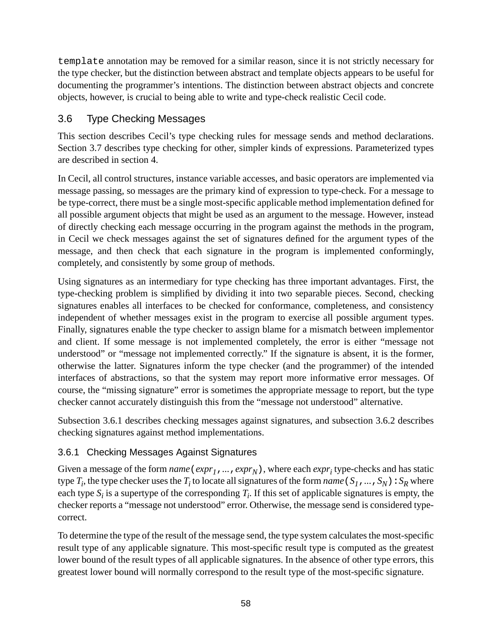template annotation may be removed for a similar reason, since it is not strictly necessary for the type checker, but the distinction between abstract and template objects appears to be useful for documenting the programmer's intentions. The distinction between abstract objects and concrete objects, however, is crucial to being able to write and type-check realistic Cecil code.

# 3.6 Type Checking Messages

This section describes Cecil's type checking rules for message sends and method declarations. Section 3.7 describes type checking for other, simpler kinds of expressions. Parameterized types are described in section 4.

In Cecil, all control structures, instance variable accesses, and basic operators are implemented via message passing, so messages are the primary kind of expression to type-check. For a message to be type-correct, there must be a single most-specific applicable method implementation defined for all possible argument objects that might be used as an argument to the message. However, instead of directly checking each message occurring in the program against the methods in the program, in Cecil we check messages against the set of signatures defined for the argument types of the message, and then check that each signature in the program is implemented conformingly, completely, and consistently by some group of methods.

Using signatures as an intermediary for type checking has three important advantages. First, the type-checking problem is simplified by dividing it into two separable pieces. Second, checking signatures enables all interfaces to be checked for conformance, completeness, and consistency independent of whether messages exist in the program to exercise all possible argument types. Finally, signatures enable the type checker to assign blame for a mismatch between implementor and client. If some message is not implemented completely, the error is either "message not understood" or "message not implemented correctly." If the signature is absent, it is the former, otherwise the latter. Signatures inform the type checker (and the programmer) of the intended interfaces of abstractions, so that the system may report more informative error messages. Of course, the "missing signature" error is sometimes the appropriate message to report, but the type checker cannot accurately distinguish this from the "message not understood" alternative.

Subsection 3.6.1 describes checking messages against signatures, and subsection 3.6.2 describes checking signatures against method implementations.

### 3.6.1 Checking Messages Against Signatures

Given a message of the form *name* (*expr*<sub>1</sub>, ..., *expr*<sub>N</sub>), where each *expr*<sub>i</sub> type-checks and has static type  $T_i$ , the type checker uses the  $T_i$  to locate all signatures of the form *name* ( $S_1$ , ...,  $S_N$ ) :  $S_R$  where each type  $S_i$  is a supertype of the corresponding  $T_i$ . If this set of applicable signatures is empty, the checker reports a "message not understood" error. Otherwise, the message send is considered typecorrect.

To determine the type of the result of the message send, the type system calculates the most-specific result type of any applicable signature. This most-specific result type is computed as the greatest lower bound of the result types of all applicable signatures. In the absence of other type errors, this greatest lower bound will normally correspond to the result type of the most-specific signature.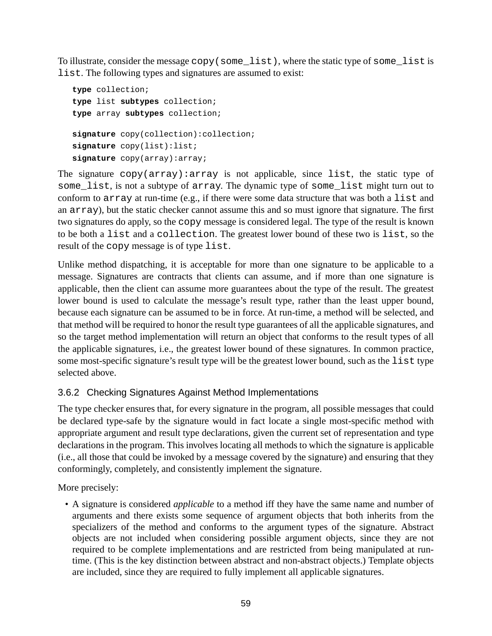To illustrate, consider the message copy(some\_list), where the static type of some\_list is list. The following types and signatures are assumed to exist:

```
type collection;
type list subtypes collection;
type array subtypes collection;
signature copy(collection):collection;
signature copy(list):list;
signature copy(array):array;
```
The signature  $copy(array)$ : array is not applicable, since list, the static type of some list, is not a subtype of array. The dynamic type of some list might turn out to conform to array at run-time (e.g., if there were some data structure that was both a list and an array), but the static checker cannot assume this and so must ignore that signature. The first two signatures do apply, so the copy message is considered legal. The type of the result is known to be both a list and a collection. The greatest lower bound of these two is list, so the result of the copy message is of type list.

Unlike method dispatching, it is acceptable for more than one signature to be applicable to a message. Signatures are contracts that clients can assume, and if more than one signature is applicable, then the client can assume more guarantees about the type of the result. The greatest lower bound is used to calculate the message's result type, rather than the least upper bound, because each signature can be assumed to be in force. At run-time, a method will be selected, and that method will be required to honor the result type guarantees of all the applicable signatures, and so the target method implementation will return an object that conforms to the result types of all the applicable signatures, i.e., the greatest lower bound of these signatures. In common practice, some most-specific signature's result type will be the greatest lower bound, such as the list type selected above.

# 3.6.2 Checking Signatures Against Method Implementations

The type checker ensures that, for every signature in the program, all possible messages that could be declared type-safe by the signature would in fact locate a single most-specific method with appropriate argument and result type declarations, given the current set of representation and type declarations in the program. This involves locating all methods to which the signature is applicable (i.e., all those that could be invoked by a message covered by the signature) and ensuring that they conformingly, completely, and consistently implement the signature.

More precisely:

• A signature is considered *applicable* to a method iff they have the same name and number of arguments and there exists some sequence of argument objects that both inherits from the specializers of the method and conforms to the argument types of the signature. Abstract objects are not included when considering possible argument objects, since they are not required to be complete implementations and are restricted from being manipulated at runtime. (This is the key distinction between abstract and non-abstract objects.) Template objects are included, since they are required to fully implement all applicable signatures.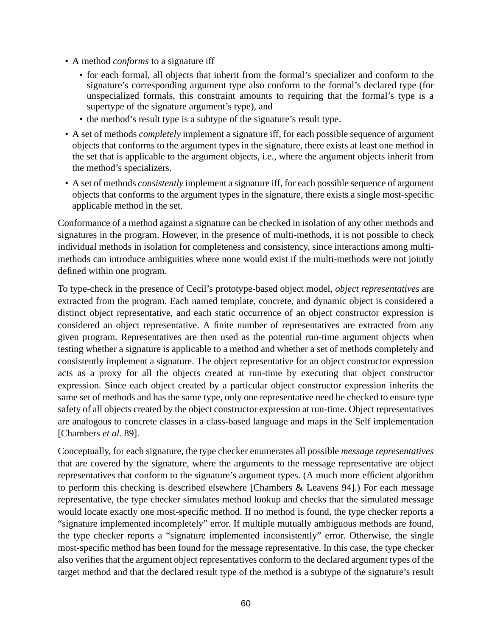- A method *conforms* to a signature iff
	- for each formal, all objects that inherit from the formal's specializer and conform to the signature's corresponding argument type also conform to the formal's declared type (for unspecialized formals, this constraint amounts to requiring that the formal's type is a supertype of the signature argument's type), and
	- the method's result type is a subtype of the signature's result type.
- A set of methods *completely* implement a signature iff, for each possible sequence of argument objects that conforms to the argument types in the signature, there exists at least one method in the set that is applicable to the argument objects, i.e., where the argument objects inherit from the method's specializers.
- A set of methods *consistently* implement a signature iff, for each possible sequence of argument objects that conforms to the argument types in the signature, there exists a single most-specific applicable method in the set.

Conformance of a method against a signature can be checked in isolation of any other methods and signatures in the program. However, in the presence of multi-methods, it is not possible to check individual methods in isolation for completeness and consistency, since interactions among multimethods can introduce ambiguities where none would exist if the multi-methods were not jointly defined within one program.

To type-check in the presence of Cecil's prototype-based object model, *object representatives* are extracted from the program. Each named template, concrete, and dynamic object is considered a distinct object representative, and each static occurrence of an object constructor expression is considered an object representative. A finite number of representatives are extracted from any given program. Representatives are then used as the potential run-time argument objects when testing whether a signature is applicable to a method and whether a set of methods completely and consistently implement a signature. The object representative for an object constructor expression acts as a proxy for all the objects created at run-time by executing that object constructor expression. Since each object created by a particular object constructor expression inherits the same set of methods and has the same type, only one representative need be checked to ensure type safety of all objects created by the object constructor expression at run-time. Object representatives are analogous to concrete classes in a class-based language and maps in the Self implementation [Chambers *et al.* 89].

Conceptually, for each signature, the type checker enumerates all possible *message representatives* that are covered by the signature, where the arguments to the message representative are object representatives that conform to the signature's argument types. (A much more efficient algorithm to perform this checking is described elsewhere [Chambers & Leavens 94].) For each message representative, the type checker simulates method lookup and checks that the simulated message would locate exactly one most-specific method. If no method is found, the type checker reports a "signature implemented incompletely" error. If multiple mutually ambiguous methods are found, the type checker reports a "signature implemented inconsistently" error. Otherwise, the single most-specific method has been found for the message representative. In this case, the type checker also verifies that the argument object representatives conform to the declared argument types of the target method and that the declared result type of the method is a subtype of the signature's result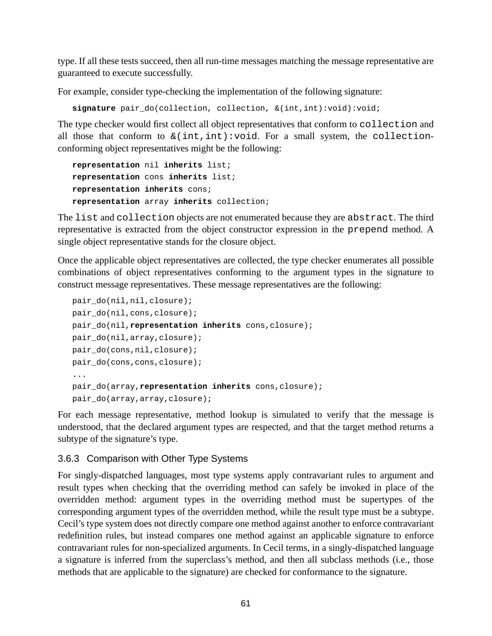type. If all these tests succeed, then all run-time messages matching the message representative are guaranteed to execute successfully.

For example, consider type-checking the implementation of the following signature:

```
signature pair do(collection, collection, \&(int, int):void):void;
```
The type checker would first collect all object representatives that conform to collection and all those that conform to  $\&$  (int,int):void. For a small system, the collectionconforming object representatives might be the following:

```
representation nil inherits list;
representation cons inherits list;
representation inherits cons;
representation array inherits collection;
```
The list and collection objects are not enumerated because they are abstract. The third representative is extracted from the object constructor expression in the prepend method. A single object representative stands for the closure object.

Once the applicable object representatives are collected, the type checker enumerates all possible combinations of object representatives conforming to the argument types in the signature to construct message representatives. These message representatives are the following:

```
pair_do(nil,nil,closure);
pair_do(nil,cons,closure);
pair_do(nil,representation inherits cons,closure);
pair_do(nil,array,closure);
pair do(cons,nil,closure);
pair_do(cons,cons,closure);
...
pair_do(array,representation inherits cons,closure);
pair do(array, array, closure);
```
For each message representative, method lookup is simulated to verify that the message is understood, that the declared argument types are respected, and that the target method returns a subtype of the signature's type.

### 3.6.3 Comparison with Other Type Systems

For singly-dispatched languages, most type systems apply contravariant rules to argument and result types when checking that the overriding method can safely be invoked in place of the overridden method: argument types in the overriding method must be supertypes of the corresponding argument types of the overridden method, while the result type must be a subtype. Cecil's type system does not directly compare one method against another to enforce contravariant redefinition rules, but instead compares one method against an applicable signature to enforce contravariant rules for non-specialized arguments. In Cecil terms, in a singly-dispatched language a signature is inferred from the superclass's method, and then all subclass methods (i.e., those methods that are applicable to the signature) are checked for conformance to the signature.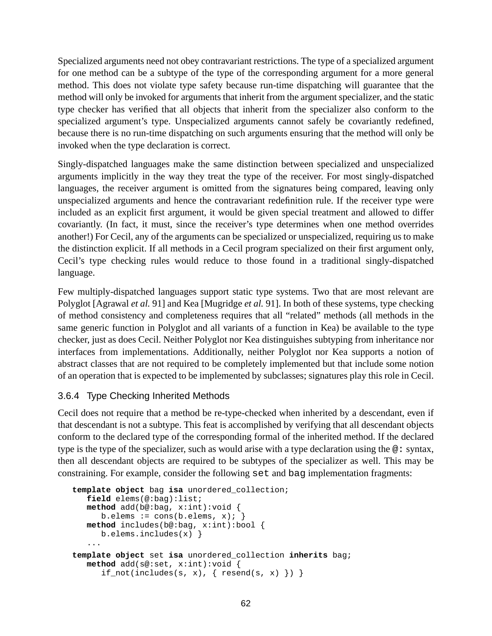Specialized arguments need not obey contravariant restrictions. The type of a specialized argument for one method can be a subtype of the type of the corresponding argument for a more general method. This does not violate type safety because run-time dispatching will guarantee that the method will only be invoked for arguments that inherit from the argument specializer, and the static type checker has verified that all objects that inherit from the specializer also conform to the specialized argument's type. Unspecialized arguments cannot safely be covariantly redefined, because there is no run-time dispatching on such arguments ensuring that the method will only be invoked when the type declaration is correct.

Singly-dispatched languages make the same distinction between specialized and unspecialized arguments implicitly in the way they treat the type of the receiver. For most singly-dispatched languages, the receiver argument is omitted from the signatures being compared, leaving only unspecialized arguments and hence the contravariant redefinition rule. If the receiver type were included as an explicit first argument, it would be given special treatment and allowed to differ covariantly. (In fact, it must, since the receiver's type determines when one method overrides another!) For Cecil, any of the arguments can be specialized or unspecialized, requiring us to make the distinction explicit. If all methods in a Cecil program specialized on their first argument only, Cecil's type checking rules would reduce to those found in a traditional singly-dispatched language.

Few multiply-dispatched languages support static type systems. Two that are most relevant are Polyglot [Agrawal *et al.* 91] and Kea [Mugridge *et al.* 91]. In both of these systems, type checking of method consistency and completeness requires that all "related" methods (all methods in the same generic function in Polyglot and all variants of a function in Kea) be available to the type checker, just as does Cecil. Neither Polyglot nor Kea distinguishes subtyping from inheritance nor interfaces from implementations. Additionally, neither Polyglot nor Kea supports a notion of abstract classes that are not required to be completely implemented but that include some notion of an operation that is expected to be implemented by subclasses; signatures play this role in Cecil.

### 3.6.4 Type Checking Inherited Methods

Cecil does not require that a method be re-type-checked when inherited by a descendant, even if that descendant is not a subtype. This feat is accomplished by verifying that all descendant objects conform to the declared type of the corresponding formal of the inherited method. If the declared type is the type of the specializer, such as would arise with a type declaration using the @: syntax, then all descendant objects are required to be subtypes of the specializer as well. This may be constraining. For example, consider the following set and bag implementation fragments:

```
template object bag isa unordered_collection;
  field elems(@:bag):list;
  method add(b@:bag, x:int):void {
     b.elems := cons(b.elems, x);method includes(b@:bag, x:int):bool {
     b.elems.includes(x) }
   ...
template object set isa unordered_collection inherits bag;
  method add(s@:set, x:int):void {
      if_not(includes(s, x), \{ resend(s, x) \}) }
```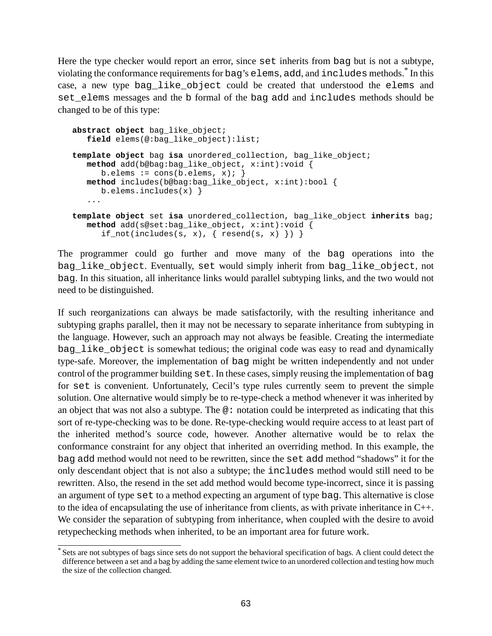Here the type checker would report an error, since set inherits from bag but is not a subtype, violating the conformance requirements for bag's elems, add, and includes methods. $^*$  In this case, a new type bag\_like\_object could be created that understood the elems and set elems messages and the b formal of the bag add and includes methods should be changed to be of this type:

```
abstract object bag_like_object;
  field elems(@:baq_like_object):list;
template object bag isa unordered_collection, bag_like_object;
  method add(b@bag:bag_like_object, x:int):void {
     b.elems := cons(b.elems, x); }
  method includes(b@bag:bag_like_object, x:int):bool {
     b.elems.includes(x) }
   ...
template object set isa unordered_collection, bag_like_object inherits bag;
  method add(s@set:bag_like_object, x:int):void {
      if\_not(includes(s, x), {reesend(s, x)} )
```
The programmer could go further and move many of the bag operations into the bag\_like\_object. Eventually, set would simply inherit from bag\_like\_object, not bag. In this situation, all inheritance links would parallel subtyping links, and the two would not need to be distinguished.

If such reorganizations can always be made satisfactorily, with the resulting inheritance and subtyping graphs parallel, then it may not be necessary to separate inheritance from subtyping in the language. However, such an approach may not always be feasible. Creating the intermediate bag like object is somewhat tedious; the original code was easy to read and dynamically type-safe. Moreover, the implementation of bag might be written independently and not under control of the programmer building set. In these cases, simply reusing the implementation of bag for set is convenient. Unfortunately, Cecil's type rules currently seem to prevent the simple solution. One alternative would simply be to re-type-check a method whenever it was inherited by an object that was not also a subtype. The  $\omega$ : notation could be interpreted as indicating that this sort of re-type-checking was to be done. Re-type-checking would require access to at least part of the inherited method's source code, however. Another alternative would be to relax the conformance constraint for any object that inherited an overriding method. In this example, the bag add method would not need to be rewritten, since the set add method "shadows" it for the only descendant object that is not also a subtype; the includes method would still need to be rewritten. Also, the resend in the set add method would become type-incorrect, since it is passing an argument of type set to a method expecting an argument of type bag. This alternative is close to the idea of encapsulating the use of inheritance from clients, as with private inheritance in C++. We consider the separation of subtyping from inheritance, when coupled with the desire to avoid retypechecking methods when inherited, to be an important area for future work.

<sup>\*</sup>Sets are not subtypes of bags since sets do not support the behavioral specification of bags. A client could detect the difference between a set and a bag by adding the same element twice to an unordered collection and testing how much the size of the collection changed.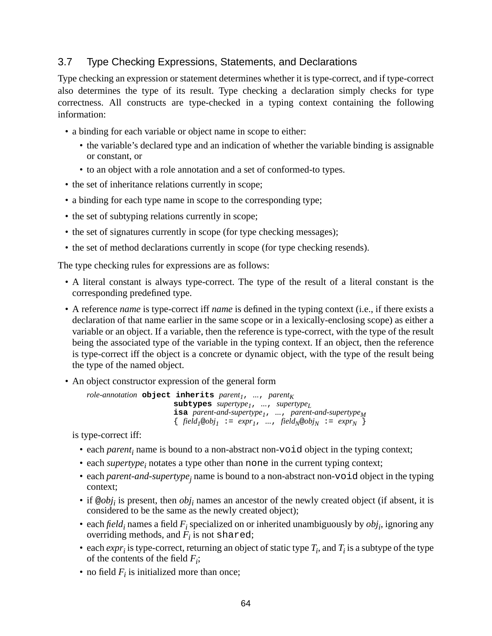# 3.7 Type Checking Expressions, Statements, and Declarations

Type checking an expression or statement determines whether it is type-correct, and if type-correct also determines the type of its result. Type checking a declaration simply checks for type correctness. All constructs are type-checked in a typing context containing the following information:

- a binding for each variable or object name in scope to either:
	- the variable's declared type and an indication of whether the variable binding is assignable or constant, or
	- to an object with a role annotation and a set of conformed-to types.
- the set of inheritance relations currently in scope;
- a binding for each type name in scope to the corresponding type;
- the set of subtyping relations currently in scope;
- the set of signatures currently in scope (for type checking messages);
- the set of method declarations currently in scope (for type checking resends).

The type checking rules for expressions are as follows:

- A literal constant is always type-correct. The type of the result of a literal constant is the corresponding predefined type.
- A reference *name* is type-correct iff *name* is defined in the typing context (i.e., if there exists a declaration of that name earlier in the same scope or in a lexically-enclosing scope) as either a variable or an object. If a variable, then the reference is type-correct, with the type of the result being the associated type of the variable in the typing context. If an object, then the reference is type-correct iff the object is a concrete or dynamic object, with the type of the result being the type of the named object.
- An object constructor expression of the general form

```
role-annotation object inherits parent_1, \dots, parent_Ksubtypes supertype1, ..., supertypeL
                                isa parent-and-supertype1, ..., parent-and-supertypeM
                                \{ \text{field}_1 \otimes \text{obj}_1 : \text{= } expr_1, \text{...}, \text{field}_N \otimes \text{obj}_N : \text{= } expr_N \}
```
is type-correct iff:

- each *parent<sub>i</sub>* name is bound to a non-abstract non-void object in the typing context;
- each *supertype*<sup>*i*</sup> notates a type other than none in the current typing context;
- each *parent-and-supertype*<sup>*j*</sup> name is bound to a non-abstract non-void object in the typing context;
- if @*obj<sup>i</sup>* is present, then *obj<sup>i</sup>* names an ancestor of the newly created object (if absent, it is considered to be the same as the newly created object);
- each *field*<sub>*i*</sub> names a field  $F_i$  specialized on or inherited unambiguously by  $obj_i$ , ignoring any overriding methods, and  $F_i$  is not shared;
- each  $\exp r_i$  is type-correct, returning an object of static type  $T_i$ , and  $T_i$  is a subtype of the type of the contents of the field *F<sup>i</sup>* ;
- no field  $F_i$  is initialized more than once;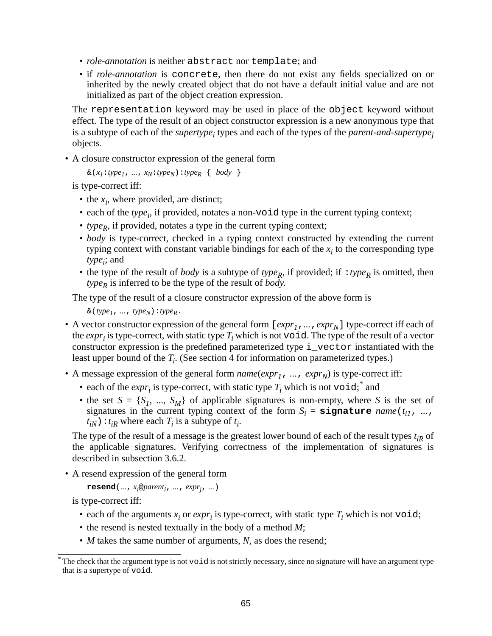- *role-annotation* is neither abstract nor template; and
- if *role-annotation* is concrete, then there do not exist any fields specialized on or inherited by the newly created object that do not have a default initial value and are not initialized as part of the object creation expression.

The representation keyword may be used in place of the object keyword without effect. The type of the result of an object constructor expression is a new anonymous type that is a subtype of each of the *supertype<sup>i</sup>* types and each of the types of the *parent-and-supertype<sup>j</sup>* objects.

• A closure constructor expression of the general form

 $\& (x_1 : type_1, ..., x_N : type_N) : type_R \{ body\}$ 

is type-correct iff:

- the  $x_i$ , where provided, are distinct;
- each of the *type*<sub>*i*</sub>, if provided, notates a non-void type in the current typing context;
- *type<sup>R</sup>* , if provided, notates a type in the current typing context;
- *body* is type-correct, checked in a typing context constructed by extending the current typing context with constant variable bindings for each of the  $x_i$  to the corresponding type *type<sup>i</sup>* ; and
- the type of the result of *body* is a subtype of *type*<sub>*R*</sub>, if provided; if : *type*<sub>*R*</sub> is omitted, then *type<sup>R</sup>* is inferred to be the type of the result of *body*.

The type of the result of a closure constructor expression of the above form is

&(*type1*, *...*, *typeN*):*typeR*.

- A vector constructor expression of the general form  $[expr_1, ..., expr_N]$  type-correct iff each of the  $expr_i$  is type-correct, with static type  $T_i$  which is not void. The type of the result of a vector constructor expression is the predefined parameterized type i\_vector instantiated with the least upper bound of the *T<sup>i</sup>* . (See section 4 for information on parameterized types.)
- A message expression of the general form *name*(*expr1*, *...*, *exprN*) is type-correct iff:
	- each of the  $\exp r_i$  is type-correct, with static type  $T_i$  which is not void;<sup>\*</sup> and
	- the set  $S = \{S_1, ..., S_M\}$  of applicable signatures is non-empty, where *S* is the set of signatures in the current typing context of the form  $S_i =$  **signature** *name* ( $t_{i1}$ , ...,  $t_{iN}$ ):  $t_{iR}$  where each  $T_i$  is a subtype of  $t_i$ .

The type of the result of a message is the greatest lower bound of each of the result types *t iR* of the applicable signatures. Verifying correctness of the implementation of signatures is described in subsection 3.6.2.

• A resend expression of the general form

 $\text{resend}(..., x_i \text{aparent}_i, ..., \text{expr}_i, ...)$ 

is type-correct iff:

- each of the arguments  $x_i$  or  $expr_i$  is type-correct, with static type  $T_i$  which is not void;
- the resend is nested textually in the body of a method *M*;
- *M* takes the same number of arguments, *N*, as does the resend;

<sup>\*</sup> The check that the argument type is not void is not strictly necessary, since no signature will have an argument type that is a supertype of void.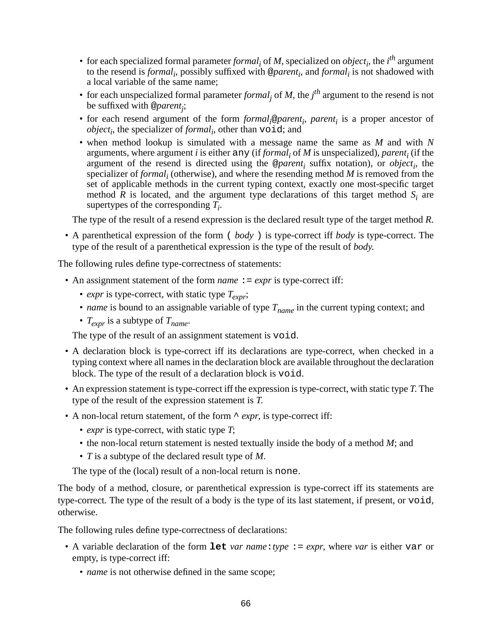- for each specialized formal parameter *formal*<sup>*i*</sup> of *M*, specialized on *object*<sup>*i*</sup>, the *i*<sup>th</sup> argument to the resend is *formal<sup>i</sup>* , possibly suffixed with @*parent<sup>i</sup>* , and *formal<sup>i</sup>* is not shadowed with a local variable of the same name;
- for each unspecialized formal parameter *formal<sup>j</sup>* of *M*, the *j th* argument to the resend is not be suffixed with @*parent<sup>j</sup>* ;
- for each resend argument of the form *formali*@*parent<sup>i</sup>* , *parent<sup>i</sup>* is a proper ancestor of *object<sup>i</sup>* , the specializer of *formal<sup>i</sup>* , other than void; and
- when method lookup is simulated with a message name the same as *M* and with *N* arguments, where argument *i* is either any (if *formal<sup>i</sup>* of *M* is unspecialized), *parent<sup>i</sup>* (if the argument of the resend is directed using the @*parent<sup>i</sup>* suffix notation), or *object<sup>i</sup>* , the specializer of *formal<sup>i</sup>* (otherwise), and where the resending method *M* is removed from the set of applicable methods in the current typing context, exactly one most-specific target method *R* is located, and the argument type declarations of this target method  $S_i$  are supertypes of the corresponding *T<sup>i</sup>* .

The type of the result of a resend expression is the declared result type of the target method *R*.

• A parenthetical expression of the form ( *body* ) is type-correct iff *body* is type-correct. The type of the result of a parenthetical expression is the type of the result of *body*.

The following rules define type-correctness of statements:

- An assignment statement of the form *name* : = *expr* is type-correct iff:
	- *expr* is type-correct, with static type *Texpr*;
	- *name* is bound to an assignable variable of type  $T_{name}$  in the current typing context; and
	- *Texpr* is a subtype of *Tname*.

The type of the result of an assignment statement is void.

- A declaration block is type-correct iff its declarations are type-correct, when checked in a typing context where all namesin the declaration block are available throughout the declaration block. The type of the result of a declaration block is void.
- An expression statement is type-correct iff the expression is type-correct, with static type *T*. The type of the result of the expression statement is *T*.
- A non-local return statement, of the form  $\land$  *expr*, is type-correct iff:
	- *expr* is type-correct, with static type *T*;
	- the non-local return statement is nested textually inside the body of a method *M*; and
	- *T* is a subtype of the declared result type of *M*.

The type of the (local) result of a non-local return is none.

The body of a method, closure, or parenthetical expression is type-correct iff its statements are type-correct*.* The type of the result of a body is the type of its last statement, if present, or void, otherwise.

The following rules define type-correctness of declarations:

- A variable declaration of the form **let** *var name*:*type* := *expr*, where *var* is either var or empty, is type-correct iff:
	- *name* is not otherwise defined in the same scope;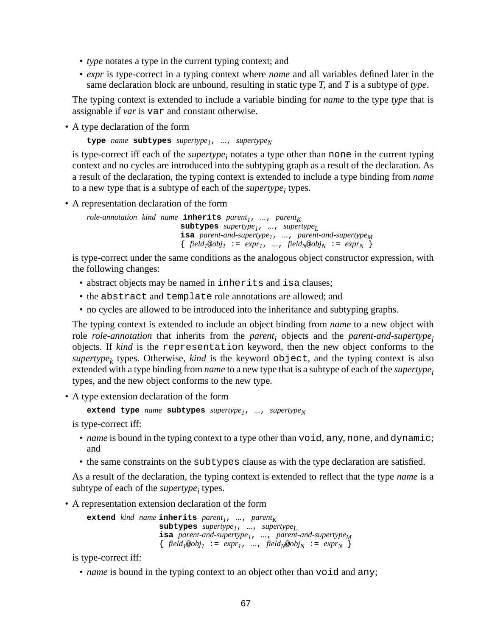- *type* notates a type in the current typing context; and
- *expr* is type-correct in a typing context where *name* and all variables defined later in the same declaration block are unbound, resulting in static type *T*, and *T* is a subtype of *type*.

The typing context is extended to include a variable binding for *name* to the type *type* that is assignable if *var* is var and constant otherwise.

• A type declaration of the form

**type** *name* **subtypes** *supertype1*, *...*, *supertype<sup>N</sup>*

is type-correct iff each of the *supertype<sup>i</sup>* notates a type other than none in the current typing context and no cycles are introduced into the subtyping graph as a result of the declaration. As a result of the declaration, the typing context is extended to include a type binding from *name* to a new type that is a subtype of each of the *supertype<sup>i</sup>* types.

• A representation declaration of the form

*role-annotation kind name* **inherits**  $parent_1$ , ...,  $parent_K$ **subtypes** *supertype1*, *...*, *supertype<sup>L</sup>* **isa** *parent-and-supertype1*, *...*, *parent-and-supertype<sup>M</sup>*  $\{ \text{field}_1 \otimes \text{obj}_1 : \text{= } expr_1, \dots, \text{field}_N \otimes \text{obj}_N : \text{= } expr_N \}$ 

is type-correct under the same conditions as the analogous object constructor expression, with the following changes:

- abstract objects may be named in inherits and is a clauses;
- the abstract and template role annotations are allowed; and
- no cycles are allowed to be introduced into the inheritance and subtyping graphs.

The typing context is extended to include an object binding from *name* to a new object with role *role-annotation* that inherits from the *parent<sup>i</sup>* objects and the *parent-and-supertype<sup>j</sup>* objects. If *kind* is the representation keyword, then the new object conforms to the  $supportype<sub>k</sub>$  types. Otherwise, *kind* is the keyword  $object$ , and the typing context is also extended with a type binding from *name* to a new type that is a subtype of each of the *supertype<sup>i</sup>* types, and the new object conforms to the new type.

• A type extension declaration of the form

**extend type** *name* **subtypes** *supertype1*, *...*, *supertype<sup>N</sup>*

is type-correct iff:

- *name* is bound in the typing context to a type other than void, any, none, and dynamic; and
- the same constraints on the subtypes clause as with the type declaration are satisfied.

As a result of the declaration, the typing context is extended to reflect that the type *name* is a subtype of each of the *supertype<sup>i</sup>* types.

• A representation extension declaration of the form

**extend** *kind name* **inherits**  $parent_1$ , ...,  $parent_K$ **subtypes** *supertype1*, *...*, *supertype<sup>L</sup>* **isa** *parent-and-supertype1*, *...*, *parent-and-supertype<sup>M</sup>*  $\{ \text{field}_1 \otimes \text{obj}_1 := \text{expr}_1, \dots, \text{field}_N \otimes \text{obj}_N := \text{expr}_N \}$ 

is type-correct iff:

• *name* is bound in the typing context to an object other than void and any;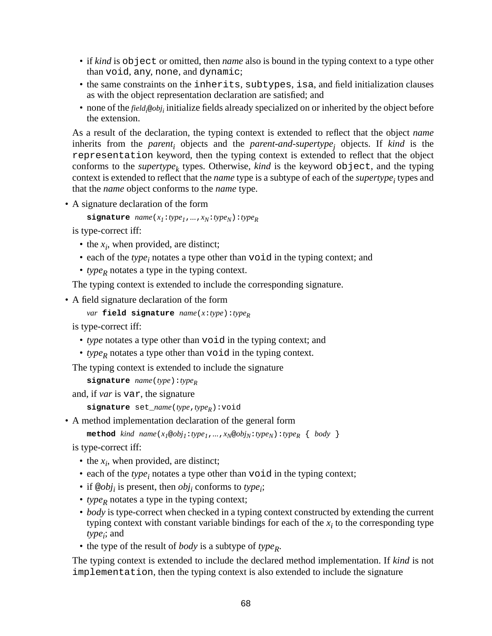- if *kind* is object or omitted, then *name* also is bound in the typing context to a type other than void, any, none, and dynamic;
- the same constraints on the inherits, subtypes, isa, and field initialization clauses as with the object representation declaration are satisfied; and
- none of the *field*<sub>*i*</sub>@*obj*<sub>*i*</sub> initialize fields already specialized on or inherited by the object before the extension.

As a result of the declaration, the typing context is extended to reflect that the object *name* inherits from the *parent<sup>i</sup>* objects and the *parent-and-supertype<sup>j</sup>* objects. If *kind* is the representation keyword, then the typing context is extended to reflect that the object conforms to the *supertype<sup>k</sup>* types. Otherwise, *kind* is the keyword object, and the typing context is extended to reflect that the *name* type is a subtype of each of the *supertype<sup>i</sup>* types and that the *name* object conforms to the *name* type.

• A signature declaration of the form

```
\text{signature} name(x_1: type_1, \ldots, x_N: type_N): type_R
```
is type-correct iff:

- the  $x_i$ , when provided, are distinct;
- each of the *type*<sup>*i*</sup> notates a type other than void in the typing context; and
- *type<sup>R</sup>* notates a type in the typing context.

The typing context is extended to include the corresponding signature.

• A field signature declaration of the form

```
var field signature name(x:type):typeR
```
is type-correct iff:

- *type* notates a type other than void in the typing context; and
- *type<sup>R</sup>* notates a type other than void in the typing context.

The typing context is extended to include the signature

```
signature name(type):typeR
```
and, if *var* is var, the signature

```
signature set_name(type,typeR):void
```
• A method implementation declaration of the general form

**method** *kind*  $name(x_1@obj_1:type_1, ..., x_N@obj_N:type_N):type_R \{ body\}$ 

is type-correct iff:

- the  $x_i$ , when provided, are distinct;
- each of the *type*<sup>*i*</sup> notates a type other than void in the typing context;
- if  $\omega$ *obj<sub>i</sub>* is present, then *obj<sub>i</sub>* conforms to *type<sub>i</sub>*;
- *type<sup>R</sup>* notates a type in the typing context;
- *body* is type-correct when checked in a typing context constructed by extending the current typing context with constant variable bindings for each of the  $x_i$  to the corresponding type *type<sup>i</sup>* ; and
- the type of the result of *body* is a subtype of *type<sup>R</sup>* .

The typing context is extended to include the declared method implementation. If *kind* is not implementation, then the typing context is also extended to include the signature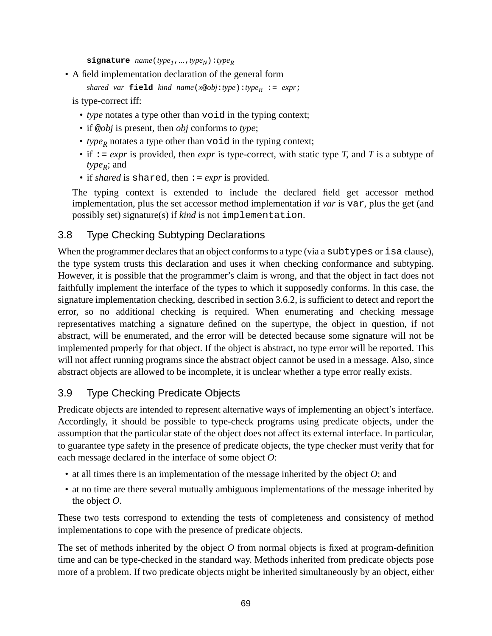**signature** *name*(*type1*,*...*,*typeN*):*type<sup>R</sup>*

• A field implementation declaration of the general form

```
shared var field kind name(x@obj:type):typeR := expr;
```
is type-correct iff:

- *type* notates a type other than void in the typing context;
- if @*obj* is present, then *obj* conforms to *type*;
- *type<sup>R</sup>* notates a type other than void in the typing context;
- if  $:= \text{expr}$  is provided, then *expr* is type-correct, with static type *T*, and *T* is a subtype of *type<sup>R</sup>* ; and
- if *shared* is shared, then := *expr* is provided*.*

The typing context is extended to include the declared field get accessor method implementation, plus the set accessor method implementation if *var* is var, plus the get (and possibly set) signature(s) if *kind* is not implementation.

# 3.8 Type Checking Subtyping Declarations

When the programmer declares that an object conforms to a type (via a subtypes or isa clause), the type system trusts this declaration and uses it when checking conformance and subtyping. However, it is possible that the programmer's claim is wrong, and that the object in fact does not faithfully implement the interface of the types to which it supposedly conforms. In this case, the signature implementation checking, described in section 3.6.2, is sufficient to detect and report the error, so no additional checking is required. When enumerating and checking message representatives matching a signature defined on the supertype, the object in question, if not abstract, will be enumerated, and the error will be detected because some signature will not be implemented properly for that object. If the object is abstract, no type error will be reported. This will not affect running programs since the abstract object cannot be used in a message. Also, since abstract objects are allowed to be incomplete, it is unclear whether a type error really exists.

# 3.9 Type Checking Predicate Objects

Predicate objects are intended to represent alternative ways of implementing an object's interface. Accordingly, it should be possible to type-check programs using predicate objects, under the assumption that the particular state of the object does not affect its external interface. In particular, to guarantee type safety in the presence of predicate objects, the type checker must verify that for each message declared in the interface of some object *O*:

- at all times there is an implementation of the message inherited by the object *O*; and
- at no time are there several mutually ambiguous implementations of the message inherited by the object *O*.

These two tests correspond to extending the tests of completeness and consistency of method implementations to cope with the presence of predicate objects.

The set of methods inherited by the object *O* from normal objects is fixed at program-definition time and can be type-checked in the standard way. Methods inherited from predicate objects pose more of a problem. If two predicate objects might be inherited simultaneously by an object, either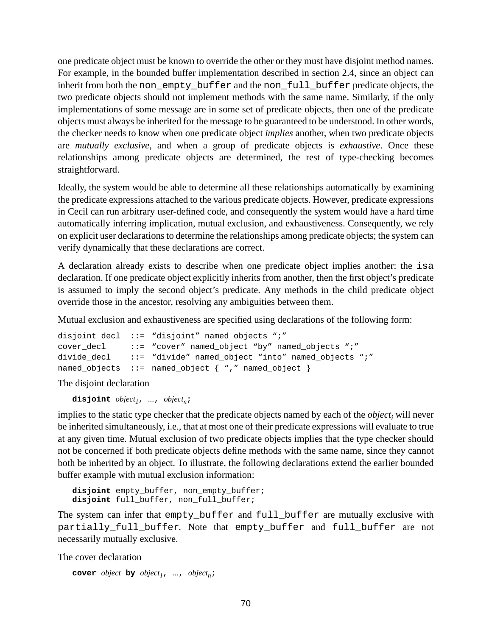one predicate object must be known to override the other or they must have disjoint method names. For example, in the bounded buffer implementation described in section 2.4, since an object can inherit from both the non\_empty\_buffer and the non\_full\_buffer predicate objects, the two predicate objects should not implement methods with the same name. Similarly, if the only implementations of some message are in some set of predicate objects, then one of the predicate objects must always be inherited for the message to be guaranteed to be understood. In other words, the checker needs to know when one predicate object *implies* another, when two predicate objects are *mutually exclusive*, and when a group of predicate objects is *exhaustive*. Once these relationships among predicate objects are determined, the rest of type-checking becomes straightforward.

Ideally, the system would be able to determine all these relationships automatically by examining the predicate expressions attached to the various predicate objects. However, predicate expressions in Cecil can run arbitrary user-defined code, and consequently the system would have a hard time automatically inferring implication, mutual exclusion, and exhaustiveness. Consequently, we rely on explicit user declarations to determine the relationships among predicate objects; the system can verify dynamically that these declarations are correct.

A declaration already exists to describe when one predicate object implies another: the isa declaration. If one predicate object explicitly inherits from another, then the first object's predicate is assumed to imply the second object's predicate. Any methods in the child predicate object override those in the ancestor, resolving any ambiguities between them.

Mutual exclusion and exhaustiveness are specified using declarations of the following form:

```
disjoint_decl ::= "disjoint" named_objects ";"
cover_decl ::= "cover" named_object "by" named_objects ";"
divide_decl ::= "divide" named_object "into" named_objects ";"
named_objects ::= named_object { "," named_object }
```
The disjoint declaration

**disjoint** *object1*, *...*, *objectn*;

implies to the static type checker that the predicate objects named by each of the *object<sup>i</sup>* will never be inherited simultaneously, i.e., that at most one of their predicate expressions will evaluate to true at any given time. Mutual exclusion of two predicate objects implies that the type checker should not be concerned if both predicate objects define methods with the same name, since they cannot both be inherited by an object. To illustrate, the following declarations extend the earlier bounded buffer example with mutual exclusion information:

**disjoint** empty\_buffer, non\_empty\_buffer; **disjoint** full\_buffer, non\_full\_buffer;

The system can infer that empty\_buffer and full\_buffer are mutually exclusive with partially full buffer. Note that empty buffer and full buffer are not necessarily mutually exclusive.

The cover declaration

```
cover object by object<sub>1</sub>, ..., object<sub>n</sub>;
```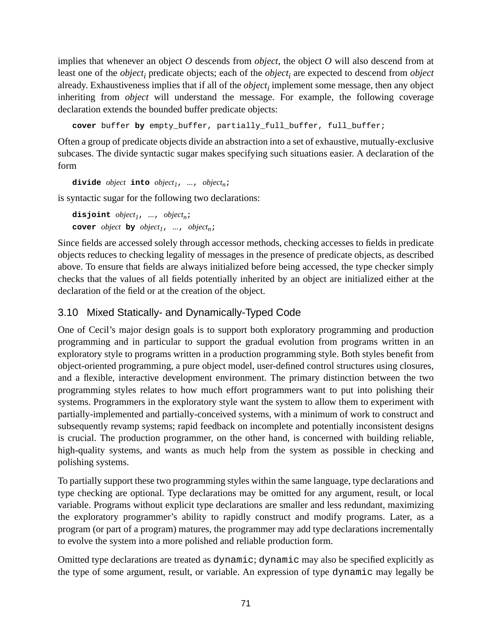implies that whenever an object *O* descends from *object*, the object *O* will also descend from at least one of the *object<sup>i</sup>* predicate objects; each of the *object<sup>i</sup>* are expected to descend from *object* already. Exhaustiveness implies that if all of the *object<sup>i</sup>* implement some message, then any object inheriting from *object* will understand the message. For example, the following coverage declaration extends the bounded buffer predicate objects:

**cover** buffer **by** empty\_buffer, partially\_full\_buffer, full\_buffer;

Often a group of predicate objects divide an abstraction into a set of exhaustive, mutually-exclusive subcases. The divide syntactic sugar makes specifying such situations easier. A declaration of the form

```
divide object into object_1, ..., object<sub>n</sub>;
```
is syntactic sugar for the following two declarations:

**disjoint** *object1*, *...*, *objectn*; **cover** *object* **by** *object<sub>1</sub></sub>, ..., <i>object<sub>n</sub></sub>*;

Since fields are accessed solely through accessor methods, checking accesses to fields in predicate objects reduces to checking legality of messages in the presence of predicate objects, as described above. To ensure that fields are always initialized before being accessed, the type checker simply checks that the values of all fields potentially inherited by an object are initialized either at the declaration of the field or at the creation of the object.

# 3.10 Mixed Statically- and Dynamically-Typed Code

One of Cecil's major design goals is to support both exploratory programming and production programming and in particular to support the gradual evolution from programs written in an exploratory style to programs written in a production programming style. Both styles benefit from object-oriented programming, a pure object model, user-defined control structures using closures, and a flexible, interactive development environment. The primary distinction between the two programming styles relates to how much effort programmers want to put into polishing their systems. Programmers in the exploratory style want the system to allow them to experiment with partially-implemented and partially-conceived systems, with a minimum of work to construct and subsequently revamp systems; rapid feedback on incomplete and potentially inconsistent designs is crucial. The production programmer, on the other hand, is concerned with building reliable, high-quality systems, and wants as much help from the system as possible in checking and polishing systems.

To partially support these two programming styles within the same language, type declarations and type checking are optional. Type declarations may be omitted for any argument, result, or local variable. Programs without explicit type declarations are smaller and less redundant, maximizing the exploratory programmer's ability to rapidly construct and modify programs. Later, as a program (or part of a program) matures, the programmer may add type declarations incrementally to evolve the system into a more polished and reliable production form.

Omitted type declarations are treated as dynamic; dynamic may also be specified explicitly as the type of some argument, result, or variable. An expression of type dynamic may legally be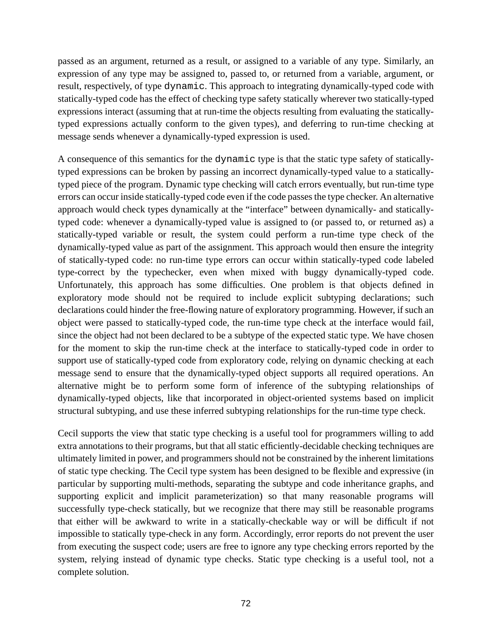passed as an argument, returned as a result, or assigned to a variable of any type. Similarly, an expression of any type may be assigned to, passed to, or returned from a variable, argument, or result, respectively, of type dynamic. This approach to integrating dynamically-typed code with statically-typed code has the effect of checking type safety statically wherever two statically-typed expressions interact (assuming that at run-time the objects resulting from evaluating the staticallytyped expressions actually conform to the given types), and deferring to run-time checking at message sends whenever a dynamically-typed expression is used.

A consequence of this semantics for the dynamic type is that the static type safety of staticallytyped expressions can be broken by passing an incorrect dynamically-typed value to a staticallytyped piece of the program. Dynamic type checking will catch errors eventually, but run-time type errors can occur inside statically-typed code even if the code passes the type checker. An alternative approach would check types dynamically at the "interface" between dynamically- and staticallytyped code: whenever a dynamically-typed value is assigned to (or passed to, or returned as) a statically-typed variable or result, the system could perform a run-time type check of the dynamically-typed value as part of the assignment. This approach would then ensure the integrity of statically-typed code: no run-time type errors can occur within statically-typed code labeled type-correct by the typechecker, even when mixed with buggy dynamically-typed code. Unfortunately, this approach has some difficulties. One problem is that objects defined in exploratory mode should not be required to include explicit subtyping declarations; such declarations could hinder the free-flowing nature of exploratory programming. However, if such an object were passed to statically-typed code, the run-time type check at the interface would fail, since the object had not been declared to be a subtype of the expected static type. We have chosen for the moment to skip the run-time check at the interface to statically-typed code in order to support use of statically-typed code from exploratory code, relying on dynamic checking at each message send to ensure that the dynamically-typed object supports all required operations. An alternative might be to perform some form of inference of the subtyping relationships of dynamically-typed objects, like that incorporated in object-oriented systems based on implicit structural subtyping, and use these inferred subtyping relationships for the run-time type check.

Cecil supports the view that static type checking is a useful tool for programmers willing to add extra annotations to their programs, but that all static efficiently-decidable checking techniques are ultimately limited in power, and programmers should not be constrained by the inherent limitations of static type checking. The Cecil type system has been designed to be flexible and expressive (in particular by supporting multi-methods, separating the subtype and code inheritance graphs, and supporting explicit and implicit parameterization) so that many reasonable programs will successfully type-check statically, but we recognize that there may still be reasonable programs that either will be awkward to write in a statically-checkable way or will be difficult if not impossible to statically type-check in any form. Accordingly, error reports do not prevent the user from executing the suspect code; users are free to ignore any type checking errors reported by the system, relying instead of dynamic type checks. Static type checking is a useful tool, not a complete solution.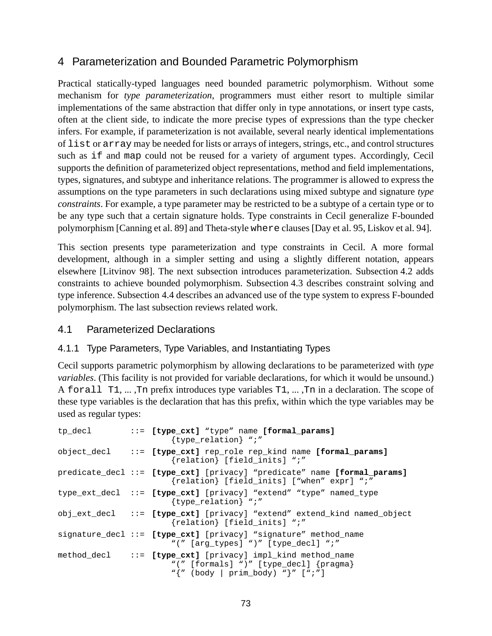# 4 Parameterization and Bounded Parametric Polymorphism

Practical statically-typed languages need bounded parametric polymorphism. Without some mechanism for *type parameterization*, programmers must either resort to multiple similar implementations of the same abstraction that differ only in type annotations, or insert type casts, often at the client side, to indicate the more precise types of expressions than the type checker infers. For example, if parameterization is not available, several nearly identical implementations of list or array may be needed for lists or arrays of integers, strings, etc., and control structures such as if and map could not be reused for a variety of argument types. Accordingly, Cecil supports the definition of parameterized object representations, method and field implementations, types, signatures, and subtype and inheritance relations. The programmer is allowed to express the assumptions on the type parameters in such declarations using mixed subtype and signature *type constraints*. For example, a type parameter may be restricted to be a subtype of a certain type or to be any type such that a certain signature holds. Type constraints in Cecil generalize F-bounded polymorphism [Canning et al. 89] and Theta-style where clauses [Day et al. 95, Liskov et al. 94].

This section presents type parameterization and type constraints in Cecil. A more formal development, although in a simpler setting and using a slightly different notation, appears elsewhere [Litvinov 98]. The next subsection introduces parameterization. Subsection 4.2 adds constraints to achieve bounded polymorphism. Subsection 4.3 describes constraint solving and type inference. Subsection 4.4 describes an advanced use of the type system to express F-bounded polymorphism. The last subsection reviews related work.

## 4.1 Parameterized Declarations

## 4.1.1 Type Parameters, Type Variables, and Instantiating Types

Cecil supports parametric polymorphism by allowing declarations to be parameterized with *type variables*. (This facility is not provided for variable declarations, for which it would be unsound.) A forall T1, ... ,Tn prefix introduces type variables T1, ... ,Tn in a declaration. The scope of these type variables is the declaration that has this prefix, within which the type variables may be used as regular types:

```
tp_decl ::= [type_cxt] "type" name [formal_params]
                       {type_relation} ";"
object_decl ::= [type_cxt] rep_role rep_kind name [formal_params]
                       {relation} [field_inits] ";"
predicate_decl ::= [type_cxt] [privacy] "predicate" name [formal_params]
                       {relation} [field_inits] ["when" expr] ";"
type_ext_decl ::= [type_cxt] [privacy] "extend" "type" named_type
                       {type_relation} ";"
obj_ext_decl ::= [type_cxt] [privacy] "extend" extend_kind named_object
                       {relation} [field_inits] ";"
signature_decl ::= [type_cxt] [privacy] "signature" method_name
                       "(" [arg_types] ")" [type_decl] ";"
method_decl ::= [type_cxt] [privacy] impl_kind method_name
                       "(" [formals] ")" [type_decl] {pragma}
                       "{" (body | prim_body) "}" [";"]
```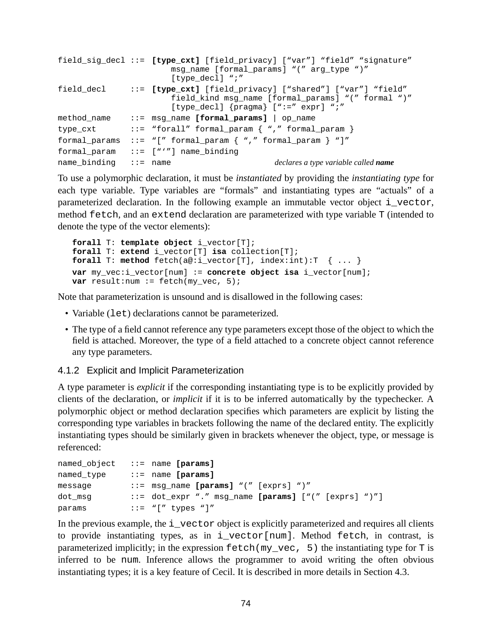```
field_sig_decl ::= [type_cxt] [field_privacy] ["var"] "field" "signature"
                      msg_name [formal_params] "(" arg_type ")"
                      [type decl] ";"
field_decl ::= [type_cxt] [field_privacy] ["shared"] ["var"] "field"
                      field_kind msg_name [formal_params] "(" formal ")"
                      [type decl] {pragma} [":=" expr] ";"
method_name ::= msg_name [formal_params] | op_name
type_cxt ::= "forall" formal_param { "," formal_param }
formal_params ::= "[" formal_param { "," formal_param } "]"
formal_param ::= ["'"] name_binding
name_binding ::= name declares a type variable called name
```
To use a polymorphic declaration, it must be *instantiated* by providing the *instantiating type* for each type variable. Type variables are "formals" and instantiating types are "actuals" of a parameterized declaration. In the following example an immutable vector object i\_vector, method fetch, and an extend declaration are parameterized with type variable T (intended to denote the type of the vector elements):

```
forall T: template object i_vector[T];
forall T: extend i_vector[T] isa collection[T];
forall T: method fectch(a@:i\_vector[T], index:int):T \{ ... \}var my_vec:i_vector[num] := concrete object isa i_vector[num];
var result:num := fetch(my_vec, 5);
```
Note that parameterization is unsound and is disallowed in the following cases:

- Variable (let) declarations cannot be parameterized.
- The type of a field cannot reference any type parameters except those of the object to which the field is attached. Moreover, the type of a field attached to a concrete object cannot reference any type parameters.

#### 4.1.2 Explicit and Implicit Parameterization

A type parameter is *explicit* if the corresponding instantiating type is to be explicitly provided by clients of the declaration, or *implicit* if it is to be inferred automatically by the typechecker. A polymorphic object or method declaration specifies which parameters are explicit by listing the corresponding type variables in brackets following the name of the declared entity. The explicitly instantiating types should be similarly given in brackets whenever the object, type, or message is referenced:

```
named_object ::= name [params]
named_type ::= name [params]
message ::= msg_name [params] "(" [exprs] ")"
dot_msg ::= dot_expr "." msg_name [params] ["(" [exprs] ")"]
params ::= "[" types "]"
```
In the previous example, the i\_vector object is explicitly parameterized and requires all clients to provide instantiating types, as in i\_vector[num]. Method fetch, in contrast, is parameterized implicitly; in the expression  $f(t) = \frac{1}{2}$  the instantiating type for T is inferred to be num. Inference allows the programmer to avoid writing the often obvious instantiating types; it is a key feature of Cecil. It is described in more details in Section 4.3.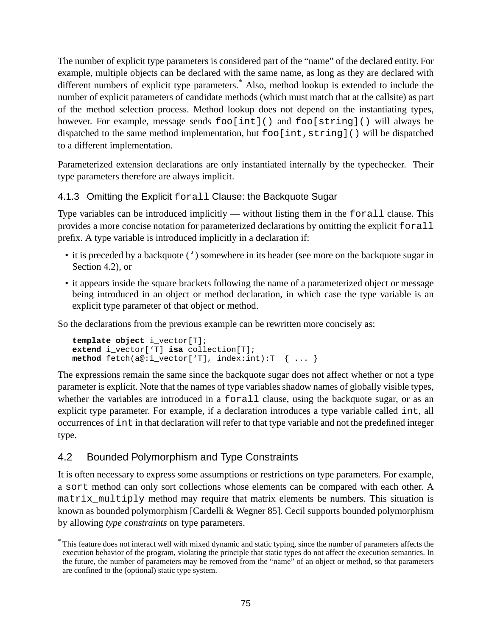The number of explicit type parameters is considered part of the "name" of the declared entity. For example, multiple objects can be declared with the same name, as long as they are declared with different numbers of explicit type parameters.\* Also, method lookup is extended to include the number of explicit parameters of candidate methods (which must match that at the callsite) as part of the method selection process. Method lookup does not depend on the instantiating types, however. For example, message sends  $foo[int]()$  and  $foo[string]()$  will always be dispatched to the same method implementation, but  $f \circ \text{dist}$ , string]() will be dispatched to a different implementation.

Parameterized extension declarations are only instantiated internally by the typechecker. Their type parameters therefore are always implicit.

4.1.3 Omitting the Explicit forall Clause: the Backquote Sugar

Type variables can be introduced implicitly — without listing them in the forall clause. This provides a more concise notation for parameterized declarations by omitting the explicit forall prefix. A type variable is introduced implicitly in a declaration if:

- it is preceded by a backquote (') somewhere in its header (see more on the backquote sugar in Section 4.2), or
- it appears inside the square brackets following the name of a parameterized object or message being introduced in an object or method declaration, in which case the type variable is an explicit type parameter of that object or method.

So the declarations from the previous example can be rewritten more concisely as:

```
template object i_vector[T];
extend i_vector['T] isa collection[T];
method fetch(a@:i_vector['T], index:int):T { ... }
```
The expressions remain the same since the backquote sugar does not affect whether or not a type parameter is explicit. Note that the names of type variables shadow names of globally visible types, whether the variables are introduced in a forall clause, using the backquote sugar, or as an explicit type parameter. For example, if a declaration introduces a type variable called int, all occurrences of int in that declaration will refer to that type variable and not the predefined integer type.

## 4.2 Bounded Polymorphism and Type Constraints

It is often necessary to express some assumptions or restrictions on type parameters. For example, a sort method can only sort collections whose elements can be compared with each other. A matrix\_multiply method may require that matrix elements be numbers. This situation is known as bounded polymorphism [Cardelli & Wegner 85]. Cecil supports bounded polymorphism by allowing *type constraints* on type parameters.

<sup>\*</sup> This feature does not interact well with mixed dynamic and static typing, since the number of parameters affects the execution behavior of the program, violating the principle that static types do not affect the execution semantics. In the future, the number of parameters may be removed from the "name" of an object or method, so that parameters are confined to the (optional) static type system.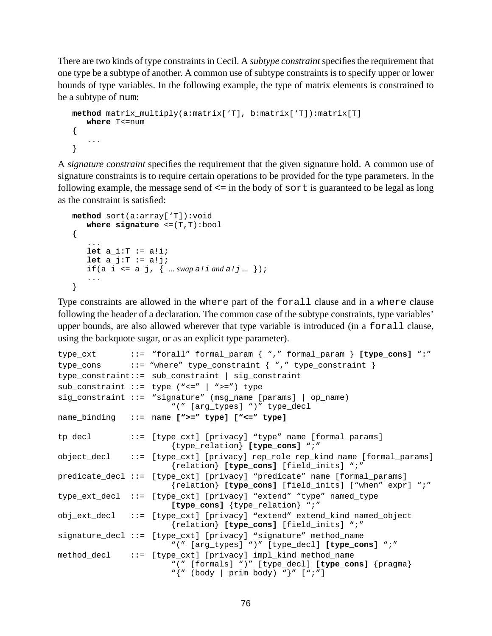There are two kinds of type constraints in Cecil. A *subtype constraint* specifies the requirement that one type be a subtype of another. A common use of subtype constraints is to specify upper or lower bounds of type variables. In the following example, the type of matrix elements is constrained to be a subtype of num:

```
method matrix_multiply(a:matrix['T], b:matrix['T]):matrix[T]
   where T<=num
{
   ...
}
```
A *signature constraint* specifies the requirement that the given signature hold. A common use of signature constraints is to require certain operations to be provided for the type parameters. In the following example, the message send of  $\leq$  in the body of sort is guaranteed to be legal as long as the constraint is satisfied:

```
method sort(a:array['T]):void
   where signature <=(T,T):bool
{
   ...
   let a_i:T := a!i;let a_i : r := a_i;
   if(a_i <= a_j, { ... swap a!i and a!j ... });
   ...
}
```
Type constraints are allowed in the where part of the forall clause and in a where clause following the header of a declaration. The common case of the subtype constraints, type variables' upper bounds, are also allowed wherever that type variable is introduced (in a forall clause, using the backquote sugar, or as an explicit type parameter).

```
type_cxt ::= "forall" formal_param { "," formal_param } [type_cons] ":"
type_cons ::= "where" type_constraint { "," type_constraint }
type_constraint::= sub_constraint | sig_constraint
sub_constraint ::= type ("<=" | ">=") type
sig_constraint ::= "signature" (msg_name [params] | op_name)
                       "(" [arg_types] ")" type_decl
name_binding ::= name [">=" type] ["<=" type]
tp_decl ::= [type_cxt] [privacy] "type" name [formal_params]
                       {type_relation} [type_cons] ";"
object_decl ::= [type_cxt] [privacy] rep_role rep_kind name [formal_params]
                       {relation} [type_cons] [field_inits] ";"
predicate_decl ::= [type_cxt] [privacy] "predicate" name [formal_params]
                       {relation} [type_cons] [field_inits] ["when" expr] ";"
type_ext_decl ::= [type_cxt] [privacy] "extend" "type" named_type
                       [type_cons] {type_relation} ";"
obj_ext_decl ::= [type_cxt] [privacy] "extend" extend_kind named_object
                       {relation} [type_cons] [field_inits] ";"
signature_decl ::= [type_cxt] [privacy] "signature" method_name
                       "(" [arg_types] ")" [type_decl] [type_cons] ";"
method_decl ::= [type_cxt] [privacy] impl_kind method_name
                       "(" [formals] ")" [type_decl] [type_cons] {pragma}
                       "{" (body | prim_body) "}" [";"]
```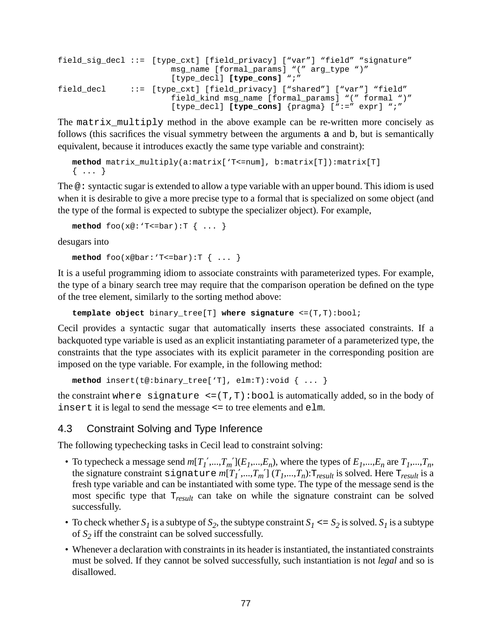```
field_sig_decl ::= [type_cxt] [field_privacy] ["var"] "field" "signature"
                       msg_name [formal_params] "(" arg_type ")"
                       [type_decl] [type_cons] ";"
field_decl ::= [type_cxt] [field_privacy] ["shared"] ["var"] "field"
                       field_kind msg_name [formal_params] "(" formal ")"
                        [type_decl] [type_cons] {pragma} [":=" expr] ";"
```
The matrix\_multiply method in the above example can be re-written more concisely as follows (this sacrifices the visual symmetry between the arguments a and b, but is semantically equivalent, because it introduces exactly the same type variable and constraint):

```
method matrix_multiply(a:matrix['T<=num], b:matrix[T]):matrix[T]
{ ... }
```
The @: syntactic sugar is extended to allow a type variable with an upper bound. This idiom is used when it is desirable to give a more precise type to a formal that is specialized on some object (and the type of the formal is expected to subtype the specializer object). For example,

```
method foo(x@: 'T<=bar) : T { ... }
```
desugars into

```
\texttt{method} foo(x@bar:'T<=bar):T { ... }
```
It is a useful programming idiom to associate constraints with parameterized types. For example, the type of a binary search tree may require that the comparison operation be defined on the type of the tree element, similarly to the sorting method above:

```
template object binary_tree[T] where signature <=(T,T):bool;
```
Cecil provides a syntactic sugar that automatically inserts these associated constraints. If a backquoted type variable is used as an explicit instantiating parameter of a parameterized type, the constraints that the type associates with its explicit parameter in the corresponding position are imposed on the type variable. For example, in the following method:

```
method insert(t@:binary_tree['T], elm:T):void { ... }
```
the constraint where signature  $\leq (T,T)$ : bool is automatically added, so in the body of insert it is legal to send the message <= to tree elements and elm.

#### 4.3 Constraint Solving and Type Inference

The following typechecking tasks in Cecil lead to constraint solving:

- To typecheck a message send  $m[T_1',...,T_m'](E_1,...,E_n)$ , where the types of  $E_1,...,E_n$  are  $T_1,...,T_n$ , the signature constraint  $\texttt{signature}~m[T_1',...,T_m']$   $(T_1,...,T_n)$ : $\texttt{T}_{result}$  is solved. Here  $\texttt{T}_{result}$  is a fresh type variable and can be instantiated with some type. The type of the message send is the most specific type that T*result* can take on while the signature constraint can be solved successfully.
- To check whether  $S_I$  is a subtype of  $S_2$ , the subtype constraint  $S_I \leq S_2$  is solved.  $S_I$  is a subtype of *S<sup>2</sup>* iff the constraint can be solved successfully.
- Whenever a declaration with constraints in its header is instantiated, the instantiated constraints must be solved. If they cannot be solved successfully, such instantiation is not *legal* and so is disallowed.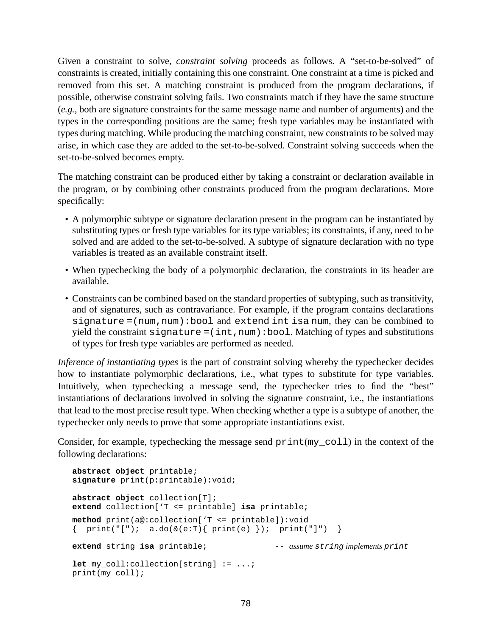Given a constraint to solve, *constraint solving* proceeds as follows. A "set-to-be-solved" of constraints is created, initially containing this one constraint. One constraint at a time is picked and removed from this set. A matching constraint is produced from the program declarations, if possible, otherwise constraint solving fails. Two constraints match if they have the same structure (*e.g.*, both are signature constraints for the same message name and number of arguments) and the types in the corresponding positions are the same; fresh type variables may be instantiated with types during matching. While producing the matching constraint, new constraints to be solved may arise, in which case they are added to the set-to-be-solved. Constraint solving succeeds when the set-to-be-solved becomes empty.

The matching constraint can be produced either by taking a constraint or declaration available in the program, or by combining other constraints produced from the program declarations. More specifically:

- A polymorphic subtype or signature declaration present in the program can be instantiated by substituting types or fresh type variables for its type variables; its constraints, if any, need to be solved and are added to the set-to-be-solved. A subtype of signature declaration with no type variables is treated as an available constraint itself.
- When typechecking the body of a polymorphic declaration, the constraints in its header are available.
- Constraints can be combined based on the standard properties of subtyping, such as transitivity, and of signatures, such as contravariance. For example, if the program contains declarations signature = (num, num): bool and extend int isa num, they can be combined to yield the constraint  $signature = (int, num):bool.$  Matching of types and substitutions of types for fresh type variables are performed as needed.

*Inference of instantiating types* is the part of constraint solving whereby the typechecker decides how to instantiate polymorphic declarations, i.e., what types to substitute for type variables. Intuitively, when typechecking a message send, the typechecker tries to find the "best" instantiations of declarations involved in solving the signature constraint, i.e., the instantiations that lead to the most precise result type. When checking whether a type is a subtype of another, the typechecker only needs to prove that some appropriate instantiations exist.

Consider, for example, typechecking the message send  $\text{print}(\text{my}_\text{coll})$  in the context of the following declarations:

```
abstract object printable;
signature print(p:printable):void;
abstract object collection[T];
extend collection['T <= printable] isa printable;
method print(a@:collection['T <= printable]):void
{ print("["); a.do(\&(e:T)\{ print(e) \}); print("]") }
extend string isa printable; -- assume string implements print
let my coll:collection[string] := ...;
print(my_coll);
```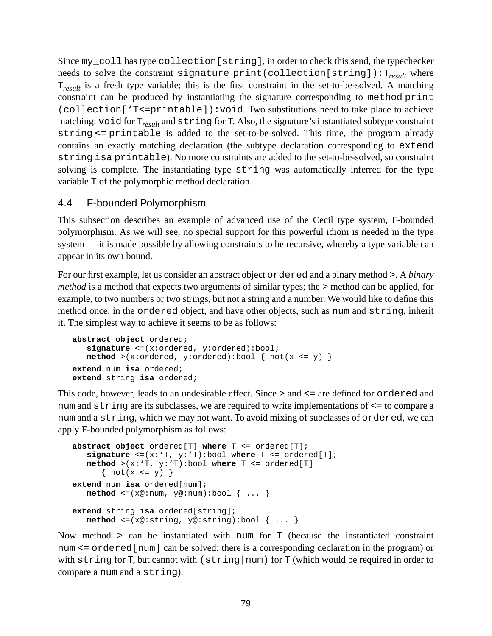Since my\_coll has type collection[string], in order to check this send, the typechecker needs to solve the constraint signature print(collection[string]):T*result* where T*result* is a fresh type variable; this is the first constraint in the set-to-be-solved. A matching constraint can be produced by instantiating the signature corresponding to method print (collection['T<=printable]):void. Two substitutions need to take place to achieve matching: void for T*result* and string for T. Also, the signature's instantiated subtype constraint string <= printable is added to the set-to-be-solved. This time, the program already contains an exactly matching declaration (the subtype declaration corresponding to extend string isa printable). No more constraints are added to the set-to-be-solved, so constraint solving is complete. The instantiating type string was automatically inferred for the type variable T of the polymorphic method declaration.

## 4.4 F-bounded Polymorphism

This subsection describes an example of advanced use of the Cecil type system, F-bounded polymorphism. As we will see, no special support for this powerful idiom is needed in the type system — it is made possible by allowing constraints to be recursive, whereby a type variable can appear in its own bound.

For our first example, let us consider an abstract object ordered and a binary method >. A *binary method* is a method that expects two arguments of similar types; the  $>$  method can be applied, for example, to two numbers or two strings, but not a string and a number. We would like to define this method once, in the ordered object, and have other objects, such as num and string, inherit it. The simplest way to achieve it seems to be as follows:

```
abstract object ordered;
   signature <=(x:ordered, y:ordered):bool;
  \texttt{method} >(x:ordered, y:ordered):bool { not(x <= y) }
extend num isa ordered;
extend string isa ordered;
```
This code, however, leads to an undesirable effect. Since > and <= are defined for ordered and num and string are its subclasses, we are required to write implementations of <= to compare a num and a string, which we may not want. To avoid mixing of subclasses of ordered, we can apply F-bounded polymorphism as follows:

```
abstract object ordered[T] where T <= ordered[T];
   signature <=(x:'T, y:'T):bool where T <= ordered[T];
   method >(x:'T, y:'T):bool where T <= ordered[T]
      \{ \text{not}(x \leq y) \}extend num isa ordered[num];
   method \leq (x@:num, y@:num): bool \{ \ldots \}extend string isa ordered[string];
   method \leq (x@:string, y@:string):bool \{ \ldots \}
```
Now method > can be instantiated with num for T (because the instantiated constraint num <= ordered[num] can be solved: there is a corresponding declaration in the program) or with string for T, but cannot with  $(s^{string} | num)$  for T (which would be required in order to compare a num and a string).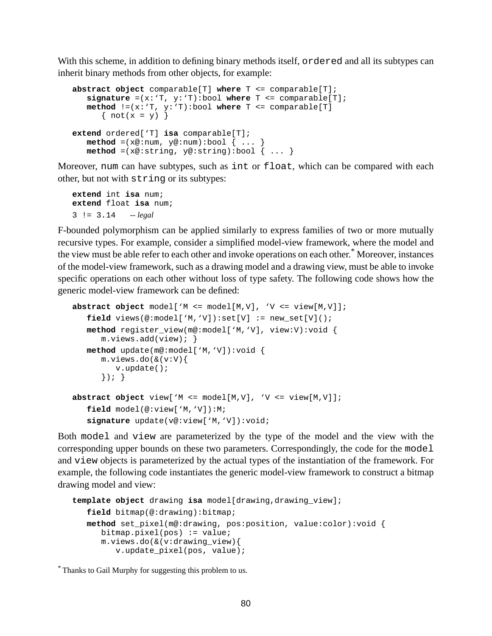With this scheme, in addition to defining binary methods itself, ordered and all its subtypes can inherit binary methods from other objects, for example:

```
abstract object comparable[T] where T <= comparable[T];
   signature =(x:'T, y:'T):bool where T <= comparable[T];
   method !=(x:'T, y:'T):bool where T <= comparable[T]
      \{ \text{not}(x = y) \}extend ordered['T] isa comparable[T];
   \text{method} = (x@:num, y@:num):bool \{ \dots \}\texttt{method} = (x@:string, y@:string):bool \{ ... \}
```
Moreover, num can have subtypes, such as int or float, which can be compared with each other, but not with string or its subtypes:

**extend** int **isa** num; **extend** float **isa** num; 3 != 3.14 *-- legal*

F-bounded polymorphism can be applied similarly to express families of two or more mutually recursive types. For example, consider a simplified model-view framework, where the model and the view must be able refer to each other and invoke operations on each other. \* Moreover, instances of the model-view framework, such as a drawing model and a drawing view, must be able to invoke specific operations on each other without loss of type safety. The following code shows how the generic model-view framework can be defined:

```
abstract object model['M <= model[M,V], 'V <= view[M,V]];
   field views(@:model['M,'V]):set[V] := new_set[V]();
  method register_view(m@:model['M,'V], view:V):void {
     m.views.add(view); }
  method update(m@:model['M,'V]):void {
     m.views.do(&(v:V){
        v.update();
      }); }
abstract object view['M <= model[M,V], 'V <= view[M,V]];
   field model(@:view['M,'V]):M;
   signature update(v@:view['M,'V]):void;
```
Both model and view are parameterized by the type of the model and the view with the corresponding upper bounds on these two parameters. Correspondingly, the code for the model and view objects is parameterized by the actual types of the instantiation of the framework. For example, the following code instantiates the generic model-view framework to construct a bitmap drawing model and view:

```
template object drawing isa model[drawing,drawing_view];
   field bitmap(@:drawing):bitmap;
  method set_pixel(m@:drawing, pos:position, value:color):void {
     bitmap.pixel(pos) := value;
     m.views.do(&(v:drawing_view){
        v.update_pixel(pos, value);
```
\* Thanks to Gail Murphy for suggesting this problem to us.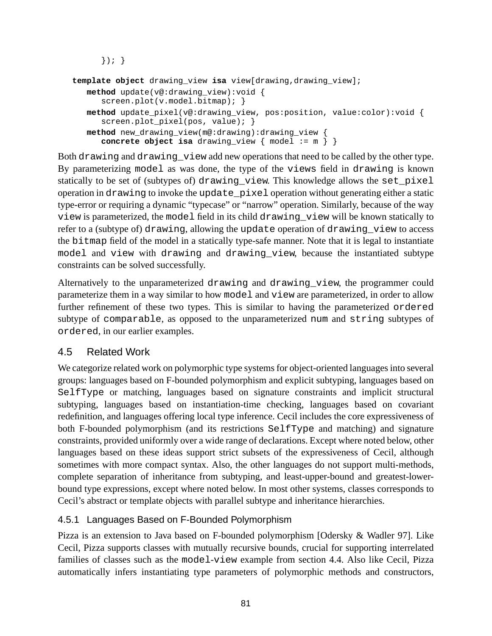```
template object drawing_view isa view[drawing,drawing_view];
  method update(v@:drawing_view):void {
      screen.plot(v.model.bitmap); }
  method update pixel(v@:drawing view, pos:position, value:color):void {
      screen.plot_pixel(pos, value); }
  method new_drawing_view(m@:drawing):drawing_view {
      concrete object isa drawing_view { model := m } }
```
Both drawing and drawing view add new operations that need to be called by the other type. By parameterizing model as was done, the type of the views field in drawing is known statically to be set of (subtypes of) drawing\_view. This knowledge allows the set\_pixel operation in drawing to invoke the update\_pixel operation without generating either a static type-error or requiring a dynamic "typecase" or "narrow" operation. Similarly, because of the way view is parameterized, the model field in its child drawing\_view will be known statically to refer to a (subtype of) drawing, allowing the update operation of drawing\_view to access the bitmap field of the model in a statically type-safe manner. Note that it is legal to instantiate model and view with drawing and drawing\_view, because the instantiated subtype constraints can be solved successfully.

Alternatively to the unparameterized drawing and drawing\_view, the programmer could parameterize them in a way similar to how model and view are parameterized, in order to allow further refinement of these two types. This is similar to having the parameterized ordered subtype of comparable, as opposed to the unparameterized num and string subtypes of ordered, in our earlier examples.

## 4.5 Related Work

 $\}$ ) ;  $\}$ 

We categorize related work on polymorphic type systems for object-oriented languages into several groups: languages based on F-bounded polymorphism and explicit subtyping, languages based on SelfType or matching, languages based on signature constraints and implicit structural subtyping, languages based on instantiation-time checking, languages based on covariant redefinition, and languages offering local type inference. Cecil includes the core expressiveness of both F-bounded polymorphism (and its restrictions SelfType and matching) and signature constraints, provided uniformly over a wide range of declarations. Except where noted below, other languages based on these ideas support strict subsets of the expressiveness of Cecil, although sometimes with more compact syntax. Also, the other languages do not support multi-methods, complete separation of inheritance from subtyping, and least-upper-bound and greatest-lowerbound type expressions, except where noted below. In most other systems, classes corresponds to Cecil's abstract or template objects with parallel subtype and inheritance hierarchies.

#### 4.5.1 Languages Based on F-Bounded Polymorphism

Pizza is an extension to Java based on F-bounded polymorphism [Odersky & Wadler 97]. Like Cecil, Pizza supports classes with mutually recursive bounds, crucial for supporting interrelated families of classes such as the model-view example from section 4.4. Also like Cecil, Pizza automatically infers instantiating type parameters of polymorphic methods and constructors,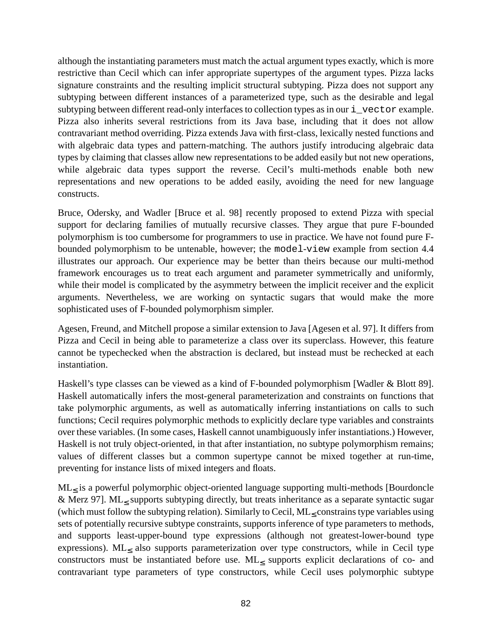although the instantiating parameters must match the actual argument types exactly, which is more restrictive than Cecil which can infer appropriate supertypes of the argument types. Pizza lacks signature constraints and the resulting implicit structural subtyping. Pizza does not support any subtyping between different instances of a parameterized type, such as the desirable and legal subtyping between different read-only interfaces to collection types as in our i\_vector example. Pizza also inherits several restrictions from its Java base, including that it does not allow contravariant method overriding. Pizza extends Java with first-class, lexically nested functions and with algebraic data types and pattern-matching. The authors justify introducing algebraic data types by claiming that classes allow new representations to be added easily but not new operations, while algebraic data types support the reverse. Cecil's multi-methods enable both new representations and new operations to be added easily, avoiding the need for new language constructs.

Bruce, Odersky, and Wadler [Bruce et al. 98] recently proposed to extend Pizza with special support for declaring families of mutually recursive classes. They argue that pure F-bounded polymorphism is too cumbersome for programmers to use in practice. We have not found pure Fbounded polymorphism to be untenable, however; the model-view example from section 4.4 illustrates our approach. Our experience may be better than theirs because our multi-method framework encourages us to treat each argument and parameter symmetrically and uniformly, while their model is complicated by the asymmetry between the implicit receiver and the explicit arguments. Nevertheless, we are working on syntactic sugars that would make the more sophisticated uses of F-bounded polymorphism simpler.

Agesen, Freund, and Mitchell propose a similar extension to Java [Agesen et al. 97]. It differs from Pizza and Cecil in being able to parameterize a class over its superclass. However, this feature cannot be typechecked when the abstraction is declared, but instead must be rechecked at each instantiation.

Haskell's type classes can be viewed as a kind of F-bounded polymorphism [Wadler & Blott 89]. Haskell automatically infers the most-general parameterization and constraints on functions that take polymorphic arguments, as well as automatically inferring instantiations on calls to such functions; Cecil requires polymorphic methods to explicitly declare type variables and constraints over these variables. (In some cases, Haskell cannot unambiguously infer instantiations.) However, Haskell is not truly object-oriented, in that after instantiation, no subtype polymorphism remains; values of different classes but a common supertype cannot be mixed together at run-time, preventing for instance lists of mixed integers and floats.

ML<sup>≤</sup> is a powerful polymorphic object-oriented language supporting multi-methods [Bourdoncle & Merz 97]. ML<sub>≤</sub> supports subtyping directly, but treats inheritance as a separate syntactic sugar (which must follow the subtyping relation). Similarly to Cecil,  $\text{ML}_\leq$  constrains type variables using sets of potentially recursive subtype constraints, supports inference of type parameters to methods, and supports least-upper-bound type expressions (although not greatest-lower-bound type expressions).  $ML_{\le}$  also supports parameterization over type constructors, while in Cecil type constructors must be instantiated before use.  $ML_\leq$  supports explicit declarations of co- and contravariant type parameters of type constructors, while Cecil uses polymorphic subtype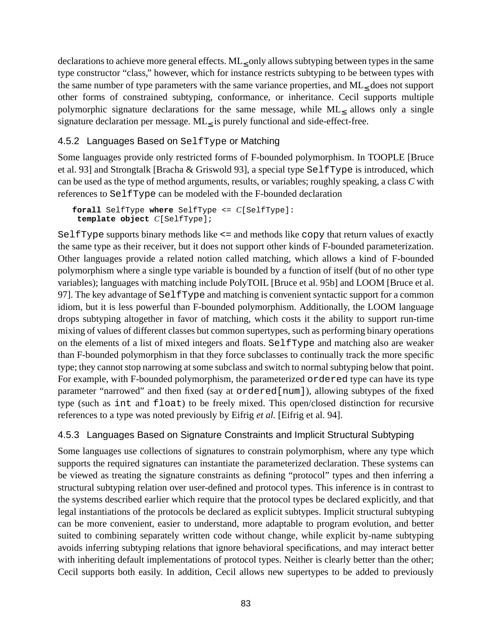declarations to achieve more general effects.  $ML<sub>≤</sub>$  only allows subtyping between types in the same type constructor "class," however, which for instance restricts subtyping to be between types with the same number of type parameters with the same variance properties, and ML<sup>≤</sup> does not support other forms of constrained subtyping, conformance, or inheritance. Cecil supports multiple polymorphic signature declarations for the same message, while  $ML_\leq$  allows only a single signature declaration per message.  $ML_{\leq}$  is purely functional and side-effect-free.

## 4.5.2 Languages Based on SelfType or Matching

Some languages provide only restricted forms of F-bounded polymorphism. In TOOPLE [Bruce et al. 93] and Strongtalk [Bracha & Griswold 93], a special type SelfType is introduced, which can be used as the type of method arguments, results, or variables; roughly speaking, a class *C* with references to SelfType can be modeled with the F-bounded declaration

```
forall SelfType where SelfType <= C[SelfType]:
 template object C[SelfType];
```
SelfType supports binary methods like <= and methods like copy that return values of exactly the same type as their receiver, but it does not support other kinds of F-bounded parameterization. Other languages provide a related notion called matching, which allows a kind of F-bounded polymorphism where a single type variable is bounded by a function of itself (but of no other type variables); languages with matching include PolyTOIL [Bruce et al. 95b] and LOOM [Bruce et al. 97]. The key advantage of SelfType and matching is convenient syntactic support for a common idiom, but it is less powerful than F-bounded polymorphism. Additionally, the LOOM language drops subtyping altogether in favor of matching, which costs it the ability to support run-time mixing of values of different classes but common supertypes, such as performing binary operations on the elements of a list of mixed integers and floats. SelfType and matching also are weaker than F-bounded polymorphism in that they force subclasses to continually track the more specific type; they cannot stop narrowing at some subclass and switch to normal subtyping below that point. For example, with F-bounded polymorphism, the parameterized ordered type can have its type parameter "narrowed" and then fixed (say at ordered[num]), allowing subtypes of the fixed type (such as int and float) to be freely mixed. This open/closed distinction for recursive references to a type was noted previously by Eifrig *et al.* [Eifrig et al. 94].

## 4.5.3 Languages Based on Signature Constraints and Implicit Structural Subtyping

Some languages use collections of signatures to constrain polymorphism, where any type which supports the required signatures can instantiate the parameterized declaration. These systems can be viewed as treating the signature constraints as defining "protocol" types and then inferring a structural subtyping relation over user-defined and protocol types. This inference is in contrast to the systems described earlier which require that the protocol types be declared explicitly, and that legal instantiations of the protocols be declared as explicit subtypes. Implicit structural subtyping can be more convenient, easier to understand, more adaptable to program evolution, and better suited to combining separately written code without change, while explicit by-name subtyping avoids inferring subtyping relations that ignore behavioral specifications, and may interact better with inheriting default implementations of protocol types. Neither is clearly better than the other; Cecil supports both easily. In addition, Cecil allows new supertypes to be added to previously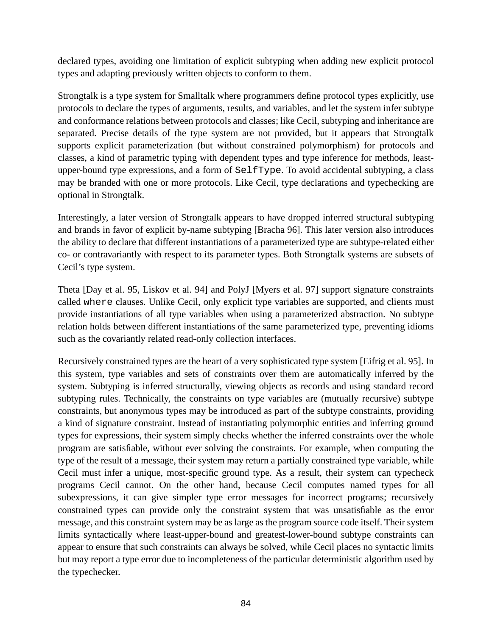declared types, avoiding one limitation of explicit subtyping when adding new explicit protocol types and adapting previously written objects to conform to them.

Strongtalk is a type system for Smalltalk where programmers define protocol types explicitly, use protocols to declare the types of arguments, results, and variables, and let the system infer subtype and conformance relations between protocols and classes; like Cecil, subtyping and inheritance are separated. Precise details of the type system are not provided, but it appears that Strongtalk supports explicit parameterization (but without constrained polymorphism) for protocols and classes, a kind of parametric typing with dependent types and type inference for methods, leastupper-bound type expressions, and a form of SelfType. To avoid accidental subtyping, a class may be branded with one or more protocols. Like Cecil, type declarations and typechecking are optional in Strongtalk.

Interestingly, a later version of Strongtalk appears to have dropped inferred structural subtyping and brands in favor of explicit by-name subtyping [Bracha 96]. This later version also introduces the ability to declare that different instantiations of a parameterized type are subtype-related either co- or contravariantly with respect to its parameter types. Both Strongtalk systems are subsets of Cecil's type system.

Theta [Day et al. 95, Liskov et al. 94] and PolyJ [Myers et al. 97] support signature constraints called where clauses. Unlike Cecil, only explicit type variables are supported, and clients must provide instantiations of all type variables when using a parameterized abstraction. No subtype relation holds between different instantiations of the same parameterized type, preventing idioms such as the covariantly related read-only collection interfaces.

Recursively constrained types are the heart of a very sophisticated type system [Eifrig et al. 95]. In this system, type variables and sets of constraints over them are automatically inferred by the system. Subtyping is inferred structurally, viewing objects as records and using standard record subtyping rules. Technically, the constraints on type variables are (mutually recursive) subtype constraints, but anonymous types may be introduced as part of the subtype constraints, providing a kind of signature constraint. Instead of instantiating polymorphic entities and inferring ground types for expressions, their system simply checks whether the inferred constraints over the whole program are satisfiable, without ever solving the constraints. For example, when computing the type of the result of a message, their system may return a partially constrained type variable, while Cecil must infer a unique, most-specific ground type. As a result, their system can typecheck programs Cecil cannot. On the other hand, because Cecil computes named types for all subexpressions, it can give simpler type error messages for incorrect programs; recursively constrained types can provide only the constraint system that was unsatisfiable as the error message, and this constraint system may be as large as the program source code itself. Their system limits syntactically where least-upper-bound and greatest-lower-bound subtype constraints can appear to ensure that such constraints can always be solved, while Cecil places no syntactic limits but may report a type error due to incompleteness of the particular deterministic algorithm used by the typechecker.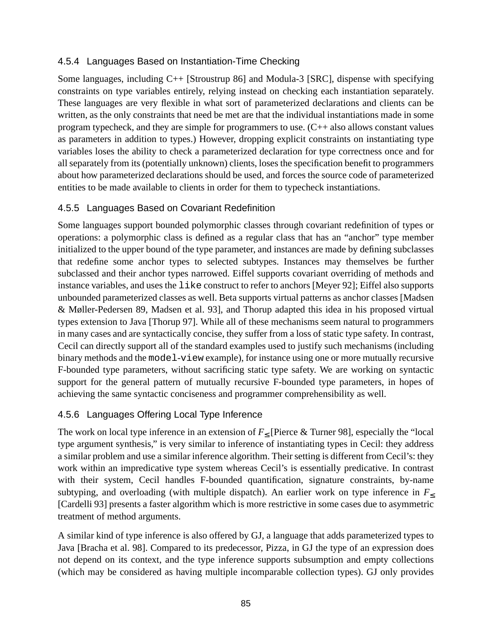## 4.5.4 Languages Based on Instantiation-Time Checking

Some languages, including C++ [Stroustrup 86] and Modula-3 [SRC], dispense with specifying constraints on type variables entirely, relying instead on checking each instantiation separately. These languages are very flexible in what sort of parameterized declarations and clients can be written, as the only constraints that need be met are that the individual instantiations made in some program typecheck, and they are simple for programmers to use. (C++ also allows constant values as parameters in addition to types.) However, dropping explicit constraints on instantiating type variables loses the ability to check a parameterized declaration for type correctness once and for all separately from its (potentially unknown) clients, loses the specification benefit to programmers about how parameterized declarations should be used, and forces the source code of parameterized entities to be made available to clients in order for them to typecheck instantiations.

## 4.5.5 Languages Based on Covariant Redefinition

Some languages support bounded polymorphic classes through covariant redefinition of types or operations: a polymorphic class is defined as a regular class that has an "anchor" type member initialized to the upper bound of the type parameter, and instances are made by defining subclasses that redefine some anchor types to selected subtypes. Instances may themselves be further subclassed and their anchor types narrowed. Eiffel supports covariant overriding of methods and instance variables, and uses the like construct to refer to anchors [Meyer 92]; Eiffel also supports unbounded parameterized classes as well. Beta supports virtual patterns as anchor classes [Madsen & Møller-Pedersen 89, Madsen et al. 93], and Thorup adapted this idea in his proposed virtual types extension to Java [Thorup 97]. While all of these mechanisms seem natural to programmers in many cases and are syntactically concise, they suffer from a loss of static type safety. In contrast, Cecil can directly support all of the standard examples used to justify such mechanisms (including binary methods and the model-view example), for instance using one or more mutually recursive F-bounded type parameters, without sacrificing static type safety. We are working on syntactic support for the general pattern of mutually recursive F-bounded type parameters, in hopes of achieving the same syntactic conciseness and programmer comprehensibility as well.

## 4.5.6 Languages Offering Local Type Inference

The work on local type inference in an extension of  $F_{\leq}$  [Pierce & Turner 98], especially the "local type argument synthesis," is very similar to inference of instantiating types in Cecil: they address a similar problem and use a similar inference algorithm. Their setting is different from Cecil's: they work within an impredicative type system whereas Cecil's is essentially predicative. In contrast with their system, Cecil handles F-bounded quantification, signature constraints, by-name subtyping, and overloading (with multiple dispatch). An earlier work on type inference in  $F_{\leq}$ [Cardelli 93] presents a faster algorithm which is more restrictive in some cases due to asymmetric treatment of method arguments.

A similar kind of type inference is also offered by GJ, a language that adds parameterized types to Java [Bracha et al. 98]. Compared to its predecessor, Pizza, in GJ the type of an expression does not depend on its context, and the type inference supports subsumption and empty collections (which may be considered as having multiple incomparable collection types). GJ only provides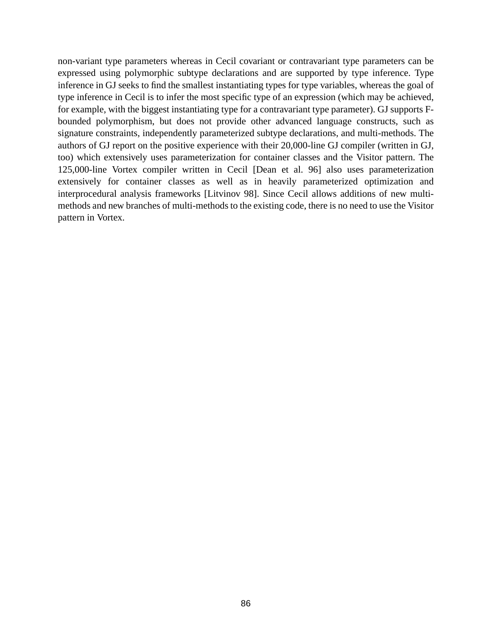non-variant type parameters whereas in Cecil covariant or contravariant type parameters can be expressed using polymorphic subtype declarations and are supported by type inference. Type inference in GJ seeks to find the smallest instantiating types for type variables, whereas the goal of type inference in Cecil is to infer the most specific type of an expression (which may be achieved, for example, with the biggest instantiating type for a contravariant type parameter). GJ supports Fbounded polymorphism, but does not provide other advanced language constructs, such as signature constraints, independently parameterized subtype declarations, and multi-methods. The authors of GJ report on the positive experience with their 20,000-line GJ compiler (written in GJ, too) which extensively uses parameterization for container classes and the Visitor pattern. The 125,000-line Vortex compiler written in Cecil [Dean et al. 96] also uses parameterization extensively for container classes as well as in heavily parameterized optimization and interprocedural analysis frameworks [Litvinov 98]. Since Cecil allows additions of new multimethods and new branches of multi-methods to the existing code, there is no need to use the Visitor pattern in Vortex.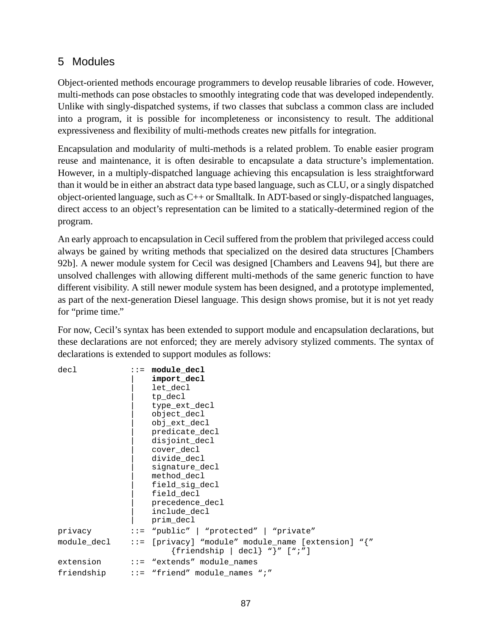# 5 Modules

Object-oriented methods encourage programmers to develop reusable libraries of code. However, multi-methods can pose obstacles to smoothly integrating code that was developed independently. Unlike with singly-dispatched systems, if two classes that subclass a common class are included into a program, it is possible for incompleteness or inconsistency to result. The additional expressiveness and flexibility of multi-methods creates new pitfalls for integration.

Encapsulation and modularity of multi-methods is a related problem. To enable easier program reuse and maintenance, it is often desirable to encapsulate a data structure's implementation. However, in a multiply-dispatched language achieving this encapsulation is less straightforward than it would be in either an abstract data type based language, such as CLU, or a singly dispatched object-oriented language, such as C++ or Smalltalk. In ADT-based or singly-dispatched languages, direct access to an object's representation can be limited to a statically-determined region of the program.

An early approach to encapsulation in Cecil suffered from the problem that privileged access could always be gained by writing methods that specialized on the desired data structures [Chambers 92b]. A newer module system for Cecil was designed [Chambers and Leavens 94], but there are unsolved challenges with allowing different multi-methods of the same generic function to have different visibility. A still newer module system has been designed, and a prototype implemented, as part of the next-generation Diesel language. This design shows promise, but it is not yet ready for "prime time."

For now, Cecil's syntax has been extended to support module and encapsulation declarations, but these declarations are not enforced; they are merely advisory stylized comments. The syntax of declarations is extended to support modules as follows:

| decl       | $\cdots$ module decl                                                                              |
|------------|---------------------------------------------------------------------------------------------------|
|            | import decl                                                                                       |
|            | let decl                                                                                          |
|            | tp decl                                                                                           |
|            | type ext decl                                                                                     |
|            | object decl                                                                                       |
|            | obj_ext_decl                                                                                      |
|            | predicate_decl                                                                                    |
|            | disjoint decl                                                                                     |
|            | cover_decl                                                                                        |
|            | divide decl                                                                                       |
|            | signature_decl<br>method decl                                                                     |
|            | field_sig_decl                                                                                    |
|            | field_decl                                                                                        |
|            | precedence decl                                                                                   |
|            | include_decl                                                                                      |
|            | prim_decl                                                                                         |
| privacy    | ::= "public"   "protected"   "private"                                                            |
|            | module_decl ::= [privacy] "module" module_name [extension] "{"<br>${friendship   decl} "}'$ [";"] |
| extension  | ::= "extends" module_names                                                                        |
| friendship | $ ::=$ "friend" module names ";"                                                                  |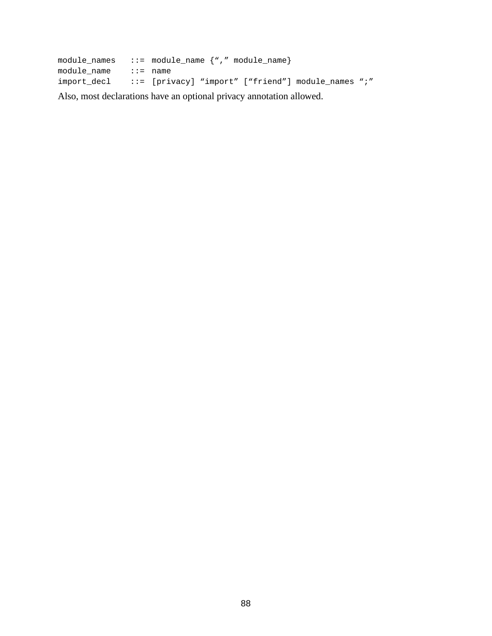```
module_names ::= module_name {"," module_name}
module_name ::= name
import_decl ::= [privacy] "import" ["friend"] module_names ";"
```
Also, most declarations have an optional privacy annotation allowed.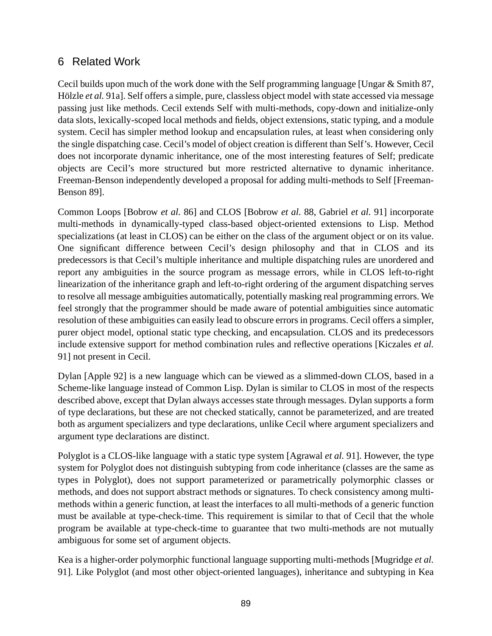## 6 Related Work

Cecil builds upon much of the work done with the Self programming language [Ungar  $&$  Smith 87, Hölzle *et al.* 91a]. Self offers a simple, pure, classless object model with state accessed via message passing just like methods. Cecil extends Self with multi-methods, copy-down and initialize-only data slots, lexically-scoped local methods and fields, object extensions, static typing, and a module system. Cecil has simpler method lookup and encapsulation rules, at least when considering only the single dispatching case. Cecil's model of object creation is different than Self's. However, Cecil does not incorporate dynamic inheritance, one of the most interesting features of Self; predicate objects are Cecil's more structured but more restricted alternative to dynamic inheritance. Freeman-Benson independently developed a proposal for adding multi-methods to Self [Freeman-Benson 89].

Common Loops [Bobrow *et al.* 86] and CLOS [Bobrow *et al.* 88, Gabriel *et al.* 91] incorporate multi-methods in dynamically-typed class-based object-oriented extensions to Lisp. Method specializations (at least in CLOS) can be either on the class of the argument object or on its value. One significant difference between Cecil's design philosophy and that in CLOS and its predecessors is that Cecil's multiple inheritance and multiple dispatching rules are unordered and report any ambiguities in the source program as message errors, while in CLOS left-to-right linearization of the inheritance graph and left-to-right ordering of the argument dispatching serves to resolve all message ambiguities automatically, potentially masking real programming errors. We feel strongly that the programmer should be made aware of potential ambiguities since automatic resolution of these ambiguities can easily lead to obscure errors in programs. Cecil offers a simpler, purer object model, optional static type checking, and encapsulation. CLOS and its predecessors include extensive support for method combination rules and reflective operations [Kiczales *et al.* 91] not present in Cecil.

Dylan [Apple 92] is a new language which can be viewed as a slimmed-down CLOS, based in a Scheme-like language instead of Common Lisp. Dylan is similar to CLOS in most of the respects described above, except that Dylan always accesses state through messages. Dylan supports a form of type declarations, but these are not checked statically, cannot be parameterized, and are treated both as argument specializers and type declarations, unlike Cecil where argument specializers and argument type declarations are distinct.

Polyglot is a CLOS-like language with a static type system [Agrawal *et al.* 91]. However, the type system for Polyglot does not distinguish subtyping from code inheritance (classes are the same as types in Polyglot), does not support parameterized or parametrically polymorphic classes or methods, and does not support abstract methods or signatures. To check consistency among multimethods within a generic function, at least the interfaces to all multi-methods of a generic function must be available at type-check-time. This requirement is similar to that of Cecil that the whole program be available at type-check-time to guarantee that two multi-methods are not mutually ambiguous for some set of argument objects.

Kea is a higher-order polymorphic functional language supporting multi-methods [Mugridge *et al.* 91]. Like Polyglot (and most other object-oriented languages), inheritance and subtyping in Kea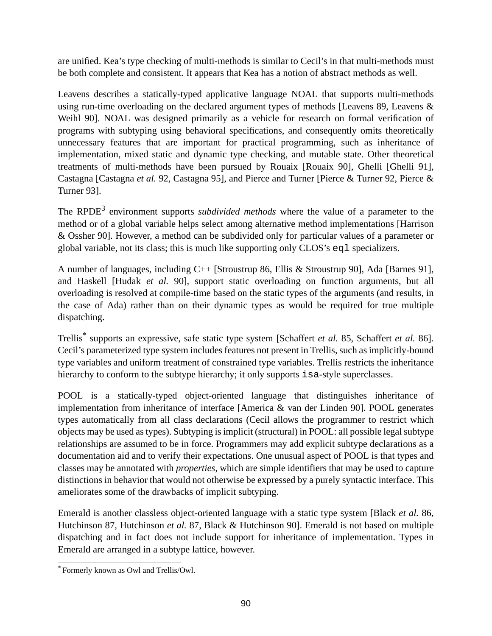are unified. Kea's type checking of multi-methods is similar to Cecil's in that multi-methods must be both complete and consistent. It appears that Kea has a notion of abstract methods as well.

Leavens describes a statically-typed applicative language NOAL that supports multi-methods using run-time overloading on the declared argument types of methods [Leavens 89, Leavens & Weihl 90]. NOAL was designed primarily as a vehicle for research on formal verification of programs with subtyping using behavioral specifications, and consequently omits theoretically unnecessary features that are important for practical programming, such as inheritance of implementation, mixed static and dynamic type checking, and mutable state. Other theoretical treatments of multi-methods have been pursued by Rouaix [Rouaix 90], Ghelli [Ghelli 91], Castagna [Castagna *et al.* 92, Castagna 95], and Pierce and Turner [Pierce & Turner 92, Pierce & Turner 93].

The RPDE<sup>3</sup> environment supports *subdivided methods* where the value of a parameter to the method or of a global variable helps select among alternative method implementations [Harrison & Ossher 90]. However, a method can be subdivided only for particular values of a parameter or global variable, not its class; this is much like supporting only CLOS's eql specializers.

A number of languages, including C++ [Stroustrup 86, Ellis & Stroustrup 90], Ada [Barnes 91], and Haskell [Hudak *et al.* 90], support static overloading on function arguments, but all overloading is resolved at compile-time based on the static types of the arguments (and results, in the case of Ada) rather than on their dynamic types as would be required for true multiple dispatching.

Trellis\* supports an expressive, safe static type system [Schaffert *et al.* 85, Schaffert *et al.* 86]. Cecil's parameterized type system includes features not present in Trellis, such as implicitly-bound type variables and uniform treatment of constrained type variables. Trellis restricts the inheritance hierarchy to conform to the subtype hierarchy; it only supports is a-style superclasses.

POOL is a statically-typed object-oriented language that distinguishes inheritance of implementation from inheritance of interface [America & van der Linden 90]. POOL generates types automatically from all class declarations (Cecil allows the programmer to restrict which objects may be used astypes). Subtyping isimplicit (structural) in POOL: all possible legalsubtype relationships are assumed to be in force. Programmers may add explicit subtype declarations as a documentation aid and to verify their expectations. One unusual aspect of POOL is that types and classes may be annotated with *properties*, which are simple identifiers that may be used to capture distinctions in behavior that would not otherwise be expressed by a purely syntactic interface. This ameliorates some of the drawbacks of implicit subtyping.

Emerald is another classless object-oriented language with a static type system [Black *et al.* 86, Hutchinson 87, Hutchinson *et al.* 87, Black & Hutchinson 90]. Emerald is not based on multiple dispatching and in fact does not include support for inheritance of implementation. Types in Emerald are arranged in a subtype lattice, however.

<sup>\*</sup>Formerly known as Owl and Trellis/Owl.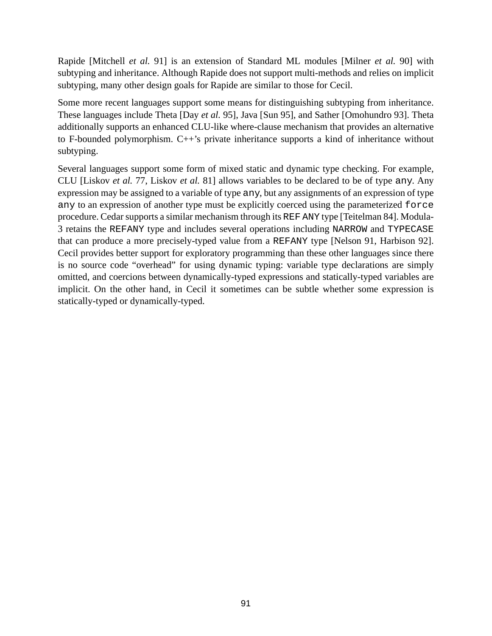Rapide [Mitchell *et al.* 91] is an extension of Standard ML modules [Milner *et al.* 90] with subtyping and inheritance. Although Rapide does not support multi-methods and relies on implicit subtyping, many other design goals for Rapide are similar to those for Cecil.

Some more recent languages support some means for distinguishing subtyping from inheritance. These languages include Theta [Day *et al.* 95], Java [Sun 95], and Sather [Omohundro 93]. Theta additionally supports an enhanced CLU-like where-clause mechanism that provides an alternative to F-bounded polymorphism. C++'s private inheritance supports a kind of inheritance without subtyping.

Several languages support some form of mixed static and dynamic type checking. For example, CLU [Liskov *et al.* 77, Liskov *et al.* 81] allows variables to be declared to be of type any. Any expression may be assigned to a variable of type any, but any assignments of an expression of type any to an expression of another type must be explicitly coerced using the parameterized force procedure. Cedar supports a similar mechanism through its REF ANY type [Teitelman 84]. Modula-3 retains the REFANY type and includes several operations including NARROW and TYPECASE that can produce a more precisely-typed value from a REFANY type [Nelson 91, Harbison 92]. Cecil provides better support for exploratory programming than these other languages since there is no source code "overhead" for using dynamic typing: variable type declarations are simply omitted, and coercions between dynamically-typed expressions and statically-typed variables are implicit. On the other hand, in Cecil it sometimes can be subtle whether some expression is statically-typed or dynamically-typed.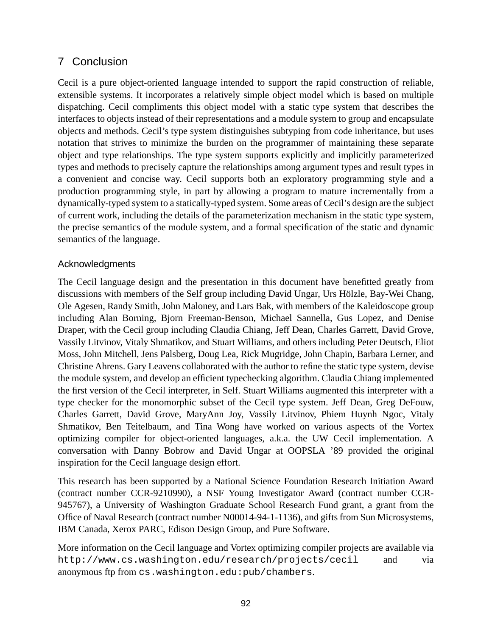# 7 Conclusion

Cecil is a pure object-oriented language intended to support the rapid construction of reliable, extensible systems. It incorporates a relatively simple object model which is based on multiple dispatching. Cecil compliments this object model with a static type system that describes the interfaces to objects instead of their representations and a module system to group and encapsulate objects and methods. Cecil's type system distinguishes subtyping from code inheritance, but uses notation that strives to minimize the burden on the programmer of maintaining these separate object and type relationships. The type system supports explicitly and implicitly parameterized types and methods to precisely capture the relationships among argument types and result types in a convenient and concise way. Cecil supports both an exploratory programming style and a production programming style, in part by allowing a program to mature incrementally from a dynamically-typed system to a statically-typed system. Some areas of Cecil's design are the subject of current work, including the details of the parameterization mechanism in the static type system, the precise semantics of the module system, and a formal specification of the static and dynamic semantics of the language.

#### Acknowledgments

The Cecil language design and the presentation in this document have benefitted greatly from discussions with members of the Self group including David Ungar, Urs Hölzle, Bay-Wei Chang, Ole Agesen, Randy Smith, John Maloney, and Lars Bak, with members of the Kaleidoscope group including Alan Borning, Bjorn Freeman-Benson, Michael Sannella, Gus Lopez, and Denise Draper, with the Cecil group including Claudia Chiang, Jeff Dean, Charles Garrett, David Grove, Vassily Litvinov, Vitaly Shmatikov, and Stuart Williams, and others including Peter Deutsch, Eliot Moss, John Mitchell, Jens Palsberg, Doug Lea, Rick Mugridge, John Chapin, Barbara Lerner, and Christine Ahrens. Gary Leavens collaborated with the author to refine the static type system, devise the module system, and develop an efficient typechecking algorithm. Claudia Chiang implemented the first version of the Cecil interpreter, in Self. Stuart Williams augmented this interpreter with a type checker for the monomorphic subset of the Cecil type system. Jeff Dean, Greg DeFouw, Charles Garrett, David Grove, MaryAnn Joy, Vassily Litvinov, Phiem Huynh Ngoc, Vitaly Shmatikov, Ben Teitelbaum, and Tina Wong have worked on various aspects of the Vortex optimizing compiler for object-oriented languages, a.k.a. the UW Cecil implementation. A conversation with Danny Bobrow and David Ungar at OOPSLA '89 provided the original inspiration for the Cecil language design effort.

This research has been supported by a National Science Foundation Research Initiation Award (contract number CCR-9210990), a NSF Young Investigator Award (contract number CCR-945767), a University of Washington Graduate School Research Fund grant, a grant from the Office of Naval Research (contract number N00014-94-1-1136), and gifts from Sun Microsystems, IBM Canada, Xerox PARC, Edison Design Group, and Pure Software.

More information on the Cecil language and Vortex optimizing compiler projects are available via http://www.cs.washington.edu/research/projects/cecil and via anonymous ftp from cs.washington.edu:pub/chambers.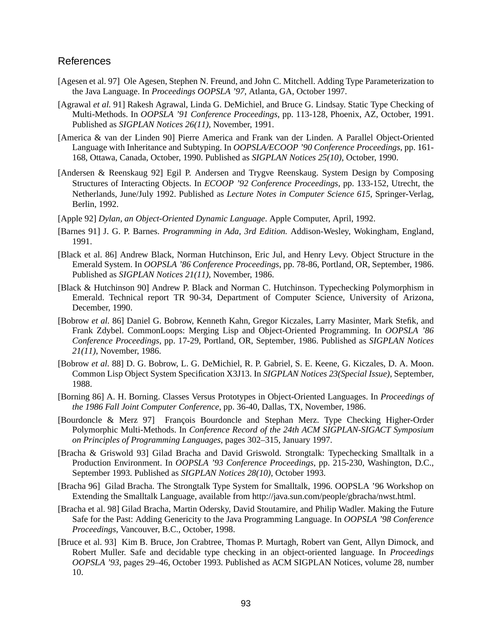#### References

- [Agesen et al. 97] Ole Agesen, Stephen N. Freund, and John C. Mitchell. Adding Type Parameterization to the Java Language. In *Proceedings OOPSLA '97*, Atlanta, GA, October 1997.
- [Agrawal *et al.* 91] Rakesh Agrawal, Linda G. DeMichiel, and Bruce G. Lindsay. Static Type Checking of Multi-Methods. In *OOPSLA '91 Conference Proceedings*, pp. 113-128, Phoenix, AZ, October, 1991. Published as *SIGPLAN Notices 26(11)*, November, 1991.
- [America & van der Linden 90] Pierre America and Frank van der Linden. A Parallel Object-Oriented Language with Inheritance and Subtyping. In *OOPSLA/ECOOP '90 Conference Proceedings*, pp. 161- 168, Ottawa, Canada, October, 1990. Published as *SIGPLAN Notices 25(10)*, October, 1990.
- [Andersen & Reenskaug 92] Egil P. Andersen and Trygve Reenskaug. System Design by Composing Structures of Interacting Objects. In *ECOOP '92 Conference Proceedings*, pp. 133-152, Utrecht, the Netherlands, June/July 1992. Published as *Lecture Notes in Computer Science 615*, Springer-Verlag, Berlin, 1992.
- [Apple 92] *Dylan, an Object-Oriented Dynamic Language*. Apple Computer, April, 1992.
- [Barnes 91] J. G. P. Barnes. *Programming in Ada, 3rd Edition.* Addison-Wesley, Wokingham, England, 1991.
- [Black et al. 86] Andrew Black, Norman Hutchinson, Eric Jul, and Henry Levy. Object Structure in the Emerald System. In *OOPSLA '86 Conference Proceedings*, pp. 78-86, Portland, OR, September, 1986. Published as *SIGPLAN Notices 21(11)*, November, 1986.
- [Black & Hutchinson 90] Andrew P. Black and Norman C. Hutchinson. Typechecking Polymorphism in Emerald. Technical report TR 90-34, Department of Computer Science, University of Arizona, December, 1990.
- [Bobrow *et al.* 86] Daniel G. Bobrow, Kenneth Kahn, Gregor Kiczales, Larry Masinter, Mark Stefik, and Frank Zdybel. CommonLoops: Merging Lisp and Object-Oriented Programming. In *OOPSLA '86 Conference Proceedings*, pp. 17-29, Portland, OR, September, 1986. Published as *SIGPLAN Notices 21(11)*, November, 1986.
- [Bobrow *et al.* 88] D. G. Bobrow, L. G. DeMichiel, R. P. Gabriel, S. E. Keene, G. Kiczales, D. A. Moon. Common Lisp Object System Specification X3J13. In *SIGPLAN Notices 23(Special Issue)*, September, 1988.
- [Borning 86] A. H. Borning. Classes Versus Prototypes in Object-Oriented Languages. In *Proceedings of the 1986 Fall Joint Computer Conference*, pp. 36-40, Dallas, TX, November, 1986.
- [Bourdoncle & Merz 97] François Bourdoncle and Stephan Merz. Type Checking Higher-Order Polymorphic Multi-Methods. In *Conference Record of the 24th ACM SIGPLAN-SIGACT Symposium on Principles of Programming Languages*, pages 302–315, January 1997.
- [Bracha & Griswold 93] Gilad Bracha and David Griswold. Strongtalk: Typechecking Smalltalk in a Production Environment. In *OOPSLA '93 Conference Proceedings*, pp. 215-230, Washington, D.C., September 1993. Published as *SIGPLAN Notices 28(10)*, October 1993.
- [Bracha 96] Gilad Bracha. The Strongtalk Type System for Smalltalk, 1996. OOPSLA '96 Workshop on Extending the Smalltalk Language, available from http://java.sun.com/people/gbracha/nwst.html.
- [Bracha et al. 98] Gilad Bracha, Martin Odersky, David Stoutamire, and Philip Wadler. Making the Future Safe for the Past: Adding Genericity to the Java Programming Language. In *OOPSLA '98 Conference Proceedings*, Vancouver, B.C., October, 1998.
- [Bruce et al. 93] Kim B. Bruce, Jon Crabtree, Thomas P. Murtagh, Robert van Gent, Allyn Dimock, and Robert Muller. Safe and decidable type checking in an object-oriented language. In *Proceedings OOPSLA '93*, pages 29–46, October 1993. Published as ACM SIGPLAN Notices, volume 28, number 10.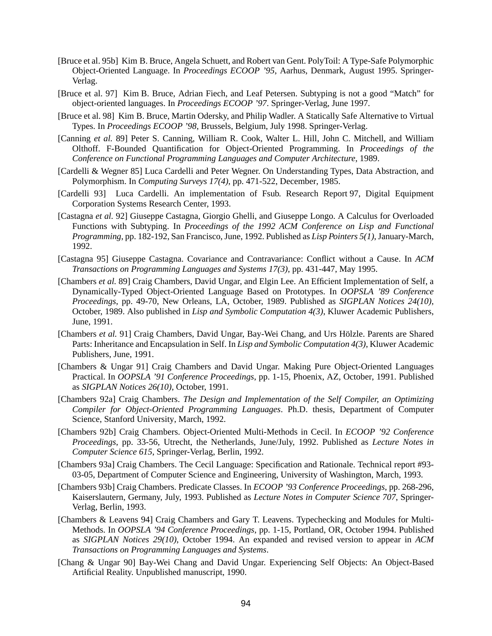- [Bruce et al. 95b] Kim B. Bruce, Angela Schuett, and Robert van Gent. PolyToil: A Type-Safe Polymorphic Object-Oriented Language. In *Proceedings ECOOP '95*, Aarhus, Denmark, August 1995. Springer-Verlag.
- [Bruce et al. 97] Kim B. Bruce, Adrian Fiech, and Leaf Petersen. Subtyping is not a good "Match" for object-oriented languages. In *Proceedings ECOOP '97*. Springer-Verlag, June 1997.
- [Bruce et al. 98] Kim B. Bruce, Martin Odersky, and Philip Wadler. A Statically Safe Alternative to Virtual Types. In *Proceedings ECOOP '98*, Brussels, Belgium, July 1998. Springer-Verlag.
- [Canning *et al.* 89] Peter S. Canning, William R. Cook, Walter L. Hill, John C. Mitchell, and William Olthoff. F-Bounded Quantification for Object-Oriented Programming. In *Proceedings of the Conference on Functional Programming Languages and Computer Architecture*, 1989.
- [Cardelli & Wegner 85] Luca Cardelli and Peter Wegner. On Understanding Types, Data Abstraction, and Polymorphism. In *Computing Surveys 17(4)*, pp. 471-522, December, 1985.
- [Cardelli 93] Luca Cardelli. An implementation of Fsub. Research Report 97, Digital Equipment Corporation Systems Research Center, 1993.
- [Castagna *et al.* 92] Giuseppe Castagna, Giorgio Ghelli, and Giuseppe Longo. A Calculus for Overloaded Functions with Subtyping. In *Proceedings of the 1992 ACM Conference on Lisp and Functional Programming*, pp. 182-192, San Francisco,June, 1992. Published as *Lisp Pointers 5(1)*,January-March, 1992.
- [Castagna 95] Giuseppe Castagna. Covariance and Contravariance: Conflict without a Cause. In *ACM Transactions on Programming Languages and Systems 17(3)*, pp. 431-447, May 1995.
- [Chambers *et al.* 89] Craig Chambers, David Ungar, and Elgin Lee. An Efficient Implementation of Self, a Dynamically-Typed Object-Oriented Language Based on Prototypes. In *OOPSLA '89 Conference Proceedings*, pp. 49-70, New Orleans, LA, October, 1989. Published as *SIGPLAN Notices 24(10)*, October, 1989. Also published in *Lisp and Symbolic Computation 4(3)*, Kluwer Academic Publishers, June, 1991.
- [Chambers *et al.* 91] Craig Chambers, David Ungar, Bay-Wei Chang, and Urs Hölzle. Parents are Shared Parts: Inheritance and Encapsulation in Self. In *Lisp and Symbolic Computation 4(3)*, Kluwer Academic Publishers, June, 1991.
- [Chambers & Ungar 91] Craig Chambers and David Ungar. Making Pure Object-Oriented Languages Practical. In *OOPSLA '91 Conference Proceedings*, pp. 1-15, Phoenix, AZ, October, 1991. Published as *SIGPLAN Notices 26(10)*, October, 1991.
- [Chambers 92a] Craig Chambers. *The Design and Implementation of the Self Compiler, an Optimizing Compiler for Object-Oriented Programming Languages*. Ph.D. thesis, Department of Computer Science, Stanford University, March, 1992.
- [Chambers 92b] Craig Chambers. Object-Oriented Multi-Methods in Cecil. In *ECOOP '92 Conference Proceedings*, pp. 33-56, Utrecht, the Netherlands, June/July, 1992. Published as *Lecture Notes in Computer Science 615*, Springer-Verlag, Berlin, 1992.
- [Chambers 93a] Craig Chambers. The Cecil Language: Specification and Rationale. Technical report #93- 03-05, Department of Computer Science and Engineering, University of Washington, March, 1993.
- [Chambers 93b] Craig Chambers. Predicate Classes. In *ECOOP '93 Conference Proceedings*, pp. 268-296, Kaiserslautern, Germany, July, 1993. Published as *Lecture Notes in Computer Science 707*, Springer-Verlag, Berlin, 1993.
- [Chambers & Leavens 94] Craig Chambers and Gary T. Leavens. Typechecking and Modules for Multi-Methods. In *OOPSLA '94 Conference Proceedings*, pp. 1-15, Portland, OR, October 1994. Published as *SIGPLAN Notices 29(10)*, October 1994. An expanded and revised version to appear in *ACM Transactions on Programming Languages and Systems*.
- [Chang & Ungar 90] Bay-Wei Chang and David Ungar. Experiencing Self Objects: An Object-Based Artificial Reality. Unpublished manuscript, 1990.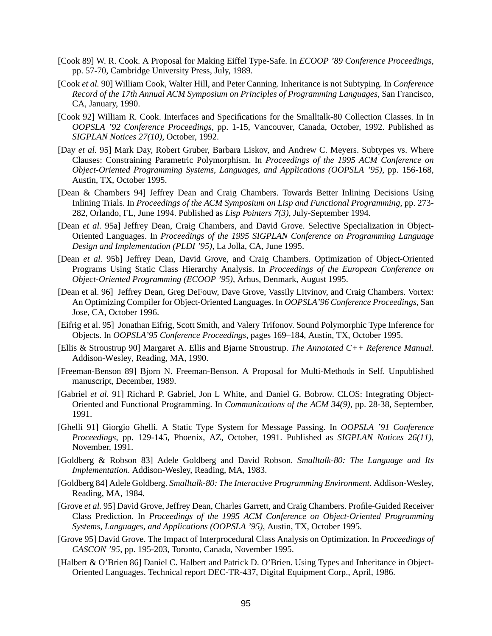- [Cook 89] W. R. Cook. A Proposal for Making Eiffel Type-Safe. In *ECOOP '89 Conference Proceedings*, pp. 57-70, Cambridge University Press, July, 1989.
- [Cook *et al.* 90] William Cook, Walter Hill, and Peter Canning. Inheritance is not Subtyping. In *Conference Record of the 17th Annual ACM Symposium on Principles of Programming Languages*, San Francisco, CA, January, 1990.
- [Cook 92] William R. Cook. Interfaces and Specifications for the Smalltalk-80 Collection Classes. In In *OOPSLA '92 Conference Proceedings*, pp. 1-15, Vancouver, Canada, October, 1992. Published as *SIGPLAN Notices 27(10)*, October, 1992.
- [Day *et al.* 95] Mark Day, Robert Gruber, Barbara Liskov, and Andrew C. Meyers. Subtypes vs. Where Clauses: Constraining Parametric Polymorphism. In *Proceedings of the 1995 ACM Conference on Object-Oriented Programming Systems, Languages, and Applications (OOPSLA '95)*, pp. 156-168, Austin, TX, October 1995.
- [Dean & Chambers 94] Jeffrey Dean and Craig Chambers. Towards Better Inlining Decisions Using Inlining Trials. In *Proceedings of the ACM Symposium on Lisp and Functional Programming*, pp. 273- 282, Orlando, FL, June 1994. Published as *Lisp Pointers 7(3)*, July-September 1994.
- [Dean *et al.* 95a] Jeffrey Dean, Craig Chambers, and David Grove. Selective Specialization in Object-Oriented Languages. In *Proceedings of the 1995 SIGPLAN Conference on Programming Language Design and Implementation (PLDI '95),* La Jolla, CA, June 1995.
- [Dean *et al.* 95b] Jeffrey Dean, David Grove, and Craig Chambers. Optimization of Object-Oriented Programs Using Static Class Hierarchy Analysis. In *Proceedings of the European Conference on Object-Oriented Programming (ECOOP '95)*, Århus, Denmark, August 1995.
- [Dean et al. 96] Jeffrey Dean, Greg DeFouw, Dave Grove, Vassily Litvinov, and Craig Chambers. Vortex: An Optimizing Compiler for Object-Oriented Languages. In *OOPSLA'96 Conference Proceedings*, San Jose, CA, October 1996.
- [Eifrig et al. 95] Jonathan Eifrig, Scott Smith, and Valery Trifonov. Sound Polymorphic Type Inference for Objects. In *OOPSLA'95 Conference Proceedings*, pages 169–184, Austin, TX, October 1995.
- [Ellis & Stroustrup 90] Margaret A. Ellis and Bjarne Stroustrup. *The Annotated C++ Reference Manual*. Addison-Wesley, Reading, MA, 1990.
- [Freeman-Benson 89] Bjorn N. Freeman-Benson. A Proposal for Multi-Methods in Self. Unpublished manuscript, December, 1989.
- [Gabriel *et al.* 91] Richard P. Gabriel, Jon L White, and Daniel G. Bobrow. CLOS: Integrating Object-Oriented and Functional Programming. In *Communications of the ACM 34(9)*, pp. 28-38, September, 1991.
- [Ghelli 91] Giorgio Ghelli. A Static Type System for Message Passing. In *OOPSLA '91 Conference Proceedings*, pp. 129-145, Phoenix, AZ, October, 1991. Published as *SIGPLAN Notices 26(11)*, November, 1991.
- [Goldberg & Robson 83] Adele Goldberg and David Robson. *Smalltalk-80: The Language and Its Implementation*. Addison-Wesley, Reading, MA, 1983.
- [Goldberg 84] Adele Goldberg. *Smalltalk-80: The Interactive Programming Environment*. Addison-Wesley, Reading, MA, 1984.
- [Grove *et al.* 95] David Grove, Jeffrey Dean, Charles Garrett, and Craig Chambers. Profile-Guided Receiver Class Prediction. In *Proceedings of the 1995 ACM Conference on Object-Oriented Programming Systems, Languages, and Applications (OOPSLA '95)*, Austin, TX, October 1995.
- [Grove 95] David Grove. The Impact of Interprocedural Class Analysis on Optimization. In *Proceedings of CASCON '95*, pp. 195-203, Toronto, Canada, November 1995.
- [Halbert & O'Brien 86] Daniel C. Halbert and Patrick D. O'Brien. Using Types and Inheritance in Object-Oriented Languages. Technical report DEC-TR-437, Digital Equipment Corp., April, 1986.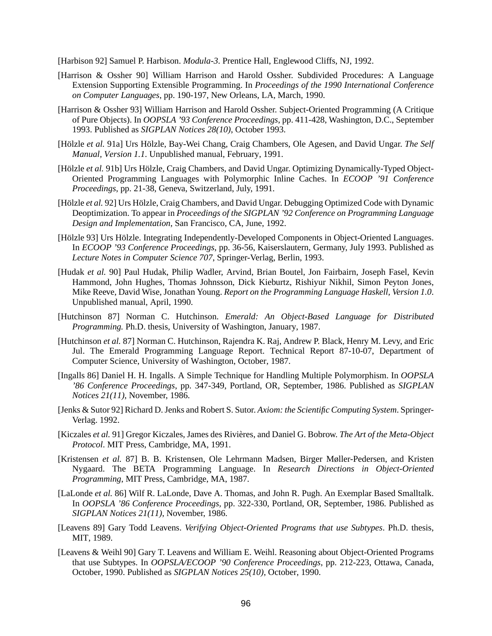[Harbison 92] Samuel P. Harbison. *Modula-3*. Prentice Hall, Englewood Cliffs, NJ, 1992.

- [Harrison & Ossher 90] William Harrison and Harold Ossher. Subdivided Procedures: A Language Extension Supporting Extensible Programming. In *Proceedings of the 1990 International Conference on Computer Languages*, pp. 190-197, New Orleans, LA, March, 1990.
- [Harrison & Ossher 93] William Harrison and Harold Ossher. Subject-Oriented Programming (A Critique of Pure Objects). In *OOPSLA '93 Conference Proceedings*, pp. 411-428, Washington, D.C., September 1993. Published as *SIGPLAN Notices 28(10)*, October 1993.
- [Hölzle *et al.* 91a] Urs Hölzle, Bay-Wei Chang, Craig Chambers, Ole Agesen, and David Ungar. *The Self Manual, Version 1.1*. Unpublished manual, February, 1991.
- [Hölzle *et al.* 91b] Urs Hölzle, Craig Chambers, and David Ungar. Optimizing Dynamically-Typed Object-Oriented Programming Languages with Polymorphic Inline Caches. In *ECOOP '91 Conference Proceedings*, pp. 21-38, Geneva, Switzerland, July, 1991.
- [Hölzle *et al.* 92] Urs Hölzle, Craig Chambers, and David Ungar. Debugging Optimized Code with Dynamic Deoptimization. To appear in *Proceedings of the SIGPLAN '92 Conference on Programming Language Design and Implementation*, San Francisco, CA, June, 1992.
- [Hölzle 93] Urs Hölzle. Integrating Independently-Developed Components in Object-Oriented Languages. In *ECOOP '93 Conference Proceedings*, pp. 36-56, Kaiserslautern, Germany, July 1993. Published as *Lecture Notes in Computer Science 707*, Springer-Verlag, Berlin, 1993.
- [Hudak *et al.* 90] Paul Hudak, Philip Wadler, Arvind, Brian Boutel, Jon Fairbairn, Joseph Fasel, Kevin Hammond, John Hughes, Thomas Johnsson, Dick Kieburtz, Rishiyur Nikhil, Simon Peyton Jones, Mike Reeve, David Wise, Jonathan Young. *Report on the Programming Language Haskell, Version 1.0*. Unpublished manual, April, 1990.
- [Hutchinson 87] Norman C. Hutchinson. *Emerald: An Object-Based Language for Distributed Programming.* Ph.D. thesis, University of Washington, January, 1987.
- [Hutchinson *et al.* 87] Norman C. Hutchinson, Rajendra K. Raj, Andrew P. Black, Henry M. Levy, and Eric Jul. The Emerald Programming Language Report. Technical Report 87-10-07, Department of Computer Science, University of Washington, October, 1987.
- [Ingalls 86] Daniel H. H. Ingalls. A Simple Technique for Handling Multiple Polymorphism. In *OOPSLA '86 Conference Proceedings*, pp. 347-349, Portland, OR, September, 1986. Published as *SIGPLAN Notices 21(11)*, November, 1986.
- [Jenks & Sutor 92] Richard D.Jenks and Robert S. Sutor. *Axiom: the Scientific Computing System*. Springer-Verlag. 1992.
- [Kiczales *et al.* 91] Gregor Kiczales, James des Rivières, and Daniel G. Bobrow. *The Art of the Meta-Object Protocol*. MIT Press, Cambridge, MA, 1991.
- [Kristensen *et al.* 87] B. B. Kristensen, Ole Lehrmann Madsen, Birger Møller-Pedersen, and Kristen Nygaard. The BETA Programming Language. In *Research Directions in Object-Oriented Programming*, MIT Press, Cambridge, MA, 1987.
- [LaLonde *et al.* 86] Wilf R. LaLonde, Dave A. Thomas, and John R. Pugh. An Exemplar Based Smalltalk. In *OOPSLA '86 Conference Proceedings,* pp. 322-330, Portland, OR, September, 1986. Published as *SIGPLAN Notices 21(11)*, November, 1986.
- [Leavens 89] Gary Todd Leavens. *Verifying Object-Oriented Programs that use Subtypes*. Ph.D. thesis, MIT, 1989.
- [Leavens & Weihl 90] Gary T. Leavens and William E. Weihl. Reasoning about Object-Oriented Programs that use Subtypes. In *OOPSLA/ECOOP '90 Conference Proceedings*, pp. 212-223, Ottawa, Canada, October, 1990. Published as *SIGPLAN Notices 25(10)*, October, 1990.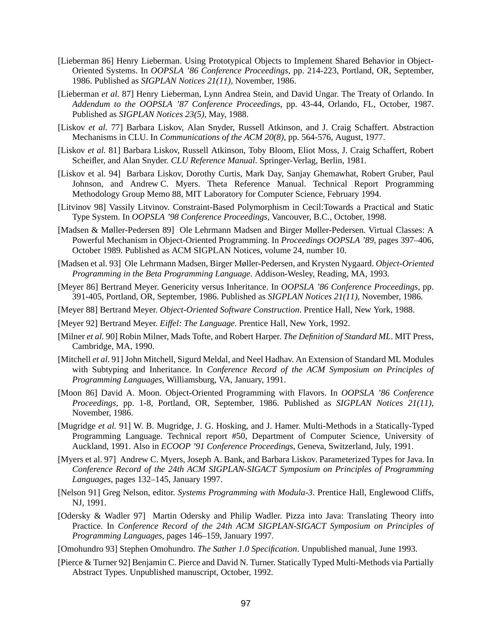- [Lieberman 86] Henry Lieberman. Using Prototypical Objects to Implement Shared Behavior in Object-Oriented Systems. In *OOPSLA '86 Conference Proceedings*, pp. 214-223, Portland, OR, September, 1986. Published as *SIGPLAN Notices 21(11)*, November, 1986.
- [Lieberman *et al.* 87] Henry Lieberman, Lynn Andrea Stein, and David Ungar. The Treaty of Orlando. In *Addendum to the OOPSLA '87 Conference Proceedings*, pp. 43-44, Orlando, FL, October, 1987. Published as *SIGPLAN Notices 23(5)*, May, 1988.
- [Liskov *et al.* 77] Barbara Liskov, Alan Snyder, Russell Atkinson, and J. Craig Schaffert. Abstraction Mechanisms in CLU. In *Communications of the ACM 20(8)*, pp. 564-576, August, 1977.
- [Liskov *et al.* 81] Barbara Liskov, Russell Atkinson, Toby Bloom, Eliot Moss, J. Craig Schaffert, Robert Scheifler, and Alan Snyder. *CLU Reference Manual*. Springer-Verlag, Berlin, 1981.
- [Liskov et al. 94] Barbara Liskov, Dorothy Curtis, Mark Day, Sanjay Ghemawhat, Robert Gruber, Paul Johnson, and Andrew C. Myers. Theta Reference Manual. Technical Report Programming Methodology Group Memo 88, MIT Laboratory for Computer Science, February 1994.
- [Litvinov 98] Vassily Litvinov. Constraint-Based Polymorphism in Cecil:Towards a Practical and Static Type System. In *OOPSLA '98 Conference Proceedings*, Vancouver, B.C., October, 1998.
- [Madsen & Møller-Pedersen 89] Ole Lehrmann Madsen and Birger Møller-Pedersen. Virtual Classes: A Powerful Mechanism in Object-Oriented Programming. In *Proceedings OOPSLA '89*, pages 397–406, October 1989. Published as ACM SIGPLAN Notices, volume 24, number 10.
- [Madsen et al. 93] Ole Lehrmann Madsen, Birger Møller-Pedersen, and Krysten Nygaard. *Object-Oriented Programming in the Beta Programming Language*. Addison-Wesley, Reading, MA, 1993.
- [Meyer 86] Bertrand Meyer. Genericity versus Inheritance. In *OOPSLA '86 Conference Proceedings*, pp. 391-405, Portland, OR, September, 1986. Published as *SIGPLAN Notices 21(11)*, November, 1986.
- [Meyer 88] Bertrand Meyer. *Object-Oriented Software Construction*. Prentice Hall, New York, 1988.
- [Meyer 92] Bertrand Meyer. *Eiffel: The Language*. Prentice Hall, New York, 1992.
- [Milner *et al.* 90] Robin Milner, Mads Tofte, and Robert Harper. *The Definition of Standard ML*. MIT Press, Cambridge, MA, 1990.
- [Mitchell *et al.* 91] John Mitchell, Sigurd Meldal, and Neel Hadhav. An Extension of Standard ML Modules with Subtyping and Inheritance. In *Conference Record of the ACM Symposium on Principles of Programming Languages*, Williamsburg, VA, January, 1991.
- [Moon 86] David A. Moon. Object-Oriented Programming with Flavors. In *OOPSLA '86 Conference Proceedings,* pp. 1-8, Portland, OR, September, 1986. Published as *SIGPLAN Notices 21(11)*, November, 1986.
- [Mugridge *et al.* 91] W. B. Mugridge, J. G. Hosking, and J. Hamer. Multi-Methods in a Statically-Typed Programming Language. Technical report #50, Department of Computer Science, University of Auckland, 1991. Also in *ECOOP '91 Conference Proceedings*, Geneva, Switzerland, July, 1991.
- [Myers et al. 97] Andrew C. Myers, Joseph A. Bank, and Barbara Liskov. Parameterized Types for Java. In *Conference Record of the 24th ACM SIGPLAN-SIGACT Symposium on Principles of Programming Languages*, pages 132–145, January 1997.
- [Nelson 91] Greg Nelson, editor. *Systems Programming with Modula-3*. Prentice Hall, Englewood Cliffs, NJ, 1991.
- [Odersky & Wadler 97] Martin Odersky and Philip Wadler. Pizza into Java: Translating Theory into Practice. In *Conference Record of the 24th ACM SIGPLAN-SIGACT Symposium on Principles of Programming Languages*, pages 146–159, January 1997.
- [Omohundro 93] Stephen Omohundro. *The Sather 1.0 Specification*. Unpublished manual, June 1993.
- [Pierce & Turner 92] Benjamin C. Pierce and David N. Turner. Statically Typed Multi-Methods via Partially Abstract Types. Unpublished manuscript, October, 1992.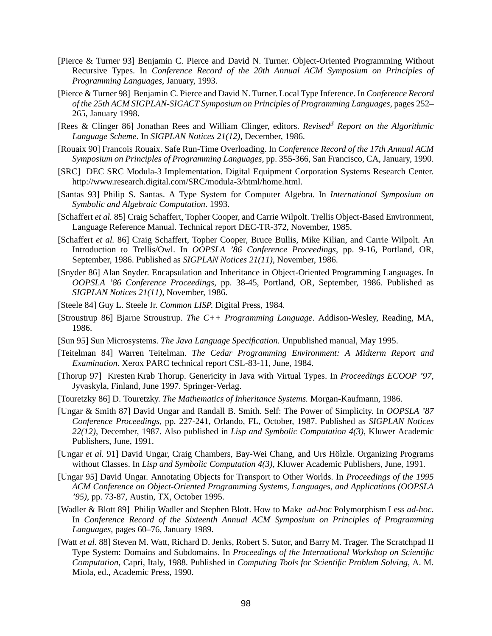- [Pierce & Turner 93] Benjamin C. Pierce and David N. Turner. Object-Oriented Programming Without Recursive Types. In *Conference Record of the 20th Annual ACM Symposium on Principles of Programming Languages*, January, 1993.
- [Pierce & Turner 98] Benjamin C. Pierce and David N. Turner. Local Type Inference. In *Conference Record of the 25th ACM SIGPLAN-SIGACT Symposium on Principles of Programming Languages*, pages 252– 265, January 1998.
- [Rees & Clinger 86] Jonathan Rees and William Clinger, editors. *Revised<sup>3</sup> Report on the Algorithmic Language Scheme*. In *SIGPLAN Notices 21(12)*, December, 1986.
- [Rouaix 90] Francois Rouaix. Safe Run-Time Overloading. In *Conference Record of the 17th Annual ACM Symposium on Principles of Programming Languages*, pp. 355-366, San Francisco, CA, January, 1990.
- [SRC] DEC SRC Modula-3 Implementation. Digital Equipment Corporation Systems Research Center. http://www.research.digital.com/SRC/modula-3/html/home.html.
- [Santas 93] Philip S. Santas. A Type System for Computer Algebra. In *International Symposium on Symbolic and Algebraic Computation*. 1993.
- [Schaffert *et al.* 85] Craig Schaffert, Topher Cooper, and Carrie Wilpolt. Trellis Object-Based Environment, Language Reference Manual. Technical report DEC-TR-372, November, 1985.
- [Schaffert *et al.* 86] Craig Schaffert, Topher Cooper, Bruce Bullis, Mike Kilian, and Carrie Wilpolt. An Introduction to Trellis/Owl. In *OOPSLA '86 Conference Proceedings*, pp. 9-16, Portland, OR, September, 1986. Published as *SIGPLAN Notices 21(11)*, November, 1986.
- [Snyder 86] Alan Snyder. Encapsulation and Inheritance in Object-Oriented Programming Languages. In *OOPSLA '86 Conference Proceedings*, pp. 38-45, Portland, OR, September, 1986. Published as *SIGPLAN Notices 21(11)*, November, 1986.
- [Steele 84] Guy L. Steele Jr. *Common LISP*. Digital Press, 1984.
- [Stroustrup 86] Bjarne Stroustrup. *The C++ Programming Language*. Addison-Wesley, Reading, MA, 1986.
- [Sun 95] Sun Microsystems. *The Java Language Specification.* Unpublished manual, May 1995.
- [Teitelman 84] Warren Teitelman. *The Cedar Programming Environment: A Midterm Report and Examination*. Xerox PARC technical report CSL-83-11, June, 1984.
- [Thorup 97] Kresten Krab Thorup. Genericity in Java with Virtual Types. In *Proceedings ECOOP '97*, Jyvaskyla, Finland, June 1997. Springer-Verlag.
- [Touretzky 86] D. Touretzky. *The Mathematics of Inheritance Systems.* Morgan-Kaufmann, 1986.
- [Ungar & Smith 87] David Ungar and Randall B. Smith. Self: The Power of Simplicity. In *OOPSLA '87 Conference Proceedings*, pp. 227-241, Orlando, FL, October, 1987. Published as *SIGPLAN Notices 22(12)*, December, 1987. Also published in *Lisp and Symbolic Computation 4(3)*, Kluwer Academic Publishers, June, 1991.
- [Ungar *et al.* 91] David Ungar, Craig Chambers, Bay-Wei Chang, and Urs Hölzle. Organizing Programs without Classes. In *Lisp and Symbolic Computation 4(3)*, Kluwer Academic Publishers, June, 1991.
- [Ungar 95] David Ungar. Annotating Objects for Transport to Other Worlds. In *Proceedings of the 1995 ACM Conference on Object-Oriented Programming Systems, Languages, and Applications (OOPSLA '95)*, pp. 73-87, Austin, TX, October 1995.
- [Wadler & Blott 89] Philip Wadler and Stephen Blott. How to Make *ad-hoc* Polymorphism Less *ad-hoc*. In *Conference Record of the Sixteenth Annual ACM Symposium on Principles of Programming Languages*, pages 60–76, January 1989.
- [Watt *et al.* 88] Steven M. Watt, Richard D. Jenks, Robert S. Sutor, and Barry M. Trager. The Scratchpad II Type System: Domains and Subdomains. In *Proceedings of the International Workshop on Scientific Computation*, Capri, Italy, 1988. Published in *Computing Tools for Scientific Problem Solving*, A. M. Miola, ed., Academic Press, 1990.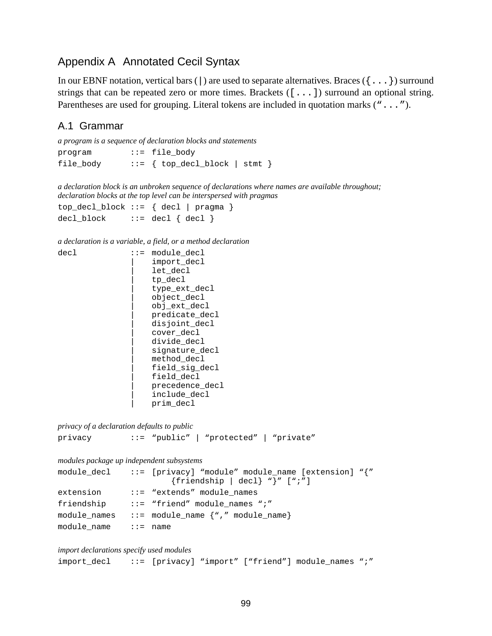## Appendix A Annotated Cecil Syntax

In our EBNF notation, vertical bars ( $\vert$ ) are used to separate alternatives. Braces ( $\{ \ldots \}$ ) surround strings that can be repeated zero or more times. Brackets ([...]) surround an optional string. Parentheses are used for grouping. Literal tokens are included in quotation marks ("...").

### A.1 Grammar

| a program is a sequence of declaration blocks and statements |  |                                       |  |  |  |
|--------------------------------------------------------------|--|---------------------------------------|--|--|--|
| program                                                      |  | $::=$ file body                       |  |  |  |
| file body                                                    |  | $ ::= \{ top\_decl\_block   start \}$ |  |  |  |

*a declaration block is an unbroken sequence of declarations where names are available throughout; declaration blocks at the top level can be interspersed with pragmas*

| $top\_decl\_block ::= {dec1   pragma}$ |                            |  |
|----------------------------------------|----------------------------|--|
| decl_block                             | $ ::=$ decl $\{$ decl $\}$ |  |

*a declaration is a variable, a field, or a method declaration*

| $: \, \, \mathrel{\mathop:}\, =$ | module decl     |
|----------------------------------|-----------------|
|                                  | import decl     |
|                                  | let decl        |
|                                  | tp decl         |
|                                  | type ext decl   |
|                                  | object decl     |
|                                  | obj ext decl    |
|                                  | predicate_decl  |
|                                  | disjoint decl   |
|                                  | cover decl      |
|                                  | divide decl     |
|                                  | signature decl  |
|                                  | method decl     |
|                                  | field sig decl  |
|                                  | field decl      |
|                                  | precedence decl |
|                                  | include decl    |
|                                  | prim decl       |
|                                  |                 |

*privacy of a declaration defaults to public*

privacy ::= "public" | "protected" | "private"

*modules package up independent subsystems*

```
module_decl ::= [privacy] "module" module_name [extension] "{"
                      {friendship | decl} "}" [";"]
extension ::= "extends" module_names
friendship ::= "friend" module_names ";"
module_names ::= module_name {"," module_name}
module name ::= name
```

```
import declarations specify used modules
import_decl ::= [privacy] "import" ["friend"] module_names ";"
```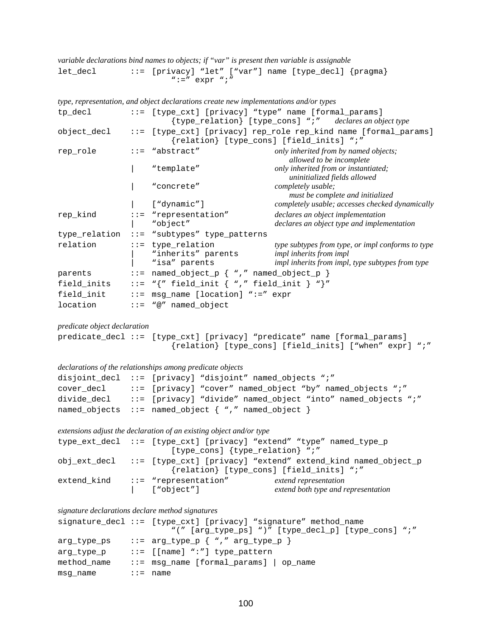*variable declarations bind names to objects; if "var" is present then variable is assignable* let\_decl ::= [privacy] "let" ["var"] name [type\_decl] {pragma}  $" := " \text{expr} "$ 

| type, representation, and object declarations create new implementations and/or types |  |                                                                  |                                                                                                                                         |  |
|---------------------------------------------------------------------------------------|--|------------------------------------------------------------------|-----------------------------------------------------------------------------------------------------------------------------------------|--|
| tp decl                                                                               |  | ::= [type_cxt] [privacy] "type" name [formal_params]             | {type_relation} [type_cons] ";" declares an object type                                                                                 |  |
| object decl                                                                           |  | {relation} [type_cons] [field_inits] ";"                         | ::= [type_cxt] [privacy] rep_role rep_kind name [formal_params]                                                                         |  |
| rep role                                                                              |  | $::=$ "abstract"                                                 | only inherited from by named objects;<br>allowed to be incomplete                                                                       |  |
|                                                                                       |  | "template"                                                       | only inherited from or instantiated;<br>uninitialized fields allowed                                                                    |  |
|                                                                                       |  | "concrete"                                                       | completely usable;<br>must be complete and initialized                                                                                  |  |
|                                                                                       |  | $[$ "dynamic"]                                                   | completely usable; accesses checked dynamically                                                                                         |  |
| rep_kind                                                                              |  | ::= "representation"                                             | declares an object implementation                                                                                                       |  |
|                                                                                       |  | "object"                                                         | declares an object type and implementation                                                                                              |  |
|                                                                                       |  | type_relation ::= "subtypes" type_patterns                       |                                                                                                                                         |  |
| relation                                                                              |  | $ ::=$ type relation<br>"inherits" parents<br>"isa" parents      | type subtypes from type, or impl conforms to type<br><i>impl inherits from impl</i><br>impl inherits from impl, type subtypes from type |  |
| parents                                                                               |  | $ ::= \text{ named\_object\_p} { "," \text{ named\_object\_p} }$ |                                                                                                                                         |  |
| field_inits                                                                           |  | ::= "{" field_init { "," field_init } "}"                        |                                                                                                                                         |  |
| field_init                                                                            |  | ::= msg_name [location] ":=" expr                                |                                                                                                                                         |  |
| location                                                                              |  | $ ::=$ "@" named object                                          |                                                                                                                                         |  |

*predicate object declaration*

```
predicate_decl ::= [type_cxt] [privacy] "predicate" name [formal_params]
                       {relation} [type_cons] [field_inits] ["when" expr] ";"
```
*declarations of the relationships among predicate objects*

| disjoint_decl ::= [privacy] "disjoint" named_objects ";"                 |  |  |  |  |
|--------------------------------------------------------------------------|--|--|--|--|
| cover_decl ::= [privacy] "cover" named_object "by" named_objects ";"     |  |  |  |  |
| divide_decl ::= [privacy] "divide" named_object "into" named_objects ";" |  |  |  |  |
| named_objects ::= named_object $\{$ "," named_object $\}$                |  |  |  |  |

|             | extensions adjust the declaration of an existing object and/or type |                                                                                                                       |
|-------------|---------------------------------------------------------------------|-----------------------------------------------------------------------------------------------------------------------|
|             | [type_cons] {type_relation} ";"                                     | type_ext_decl ::= [type_cxt] [privacy] "extend" "type" named_type_p                                                   |
|             |                                                                     | obj_ext_decl ::= [type_cxt] [privacy] "extend" extend_kind named_object_p<br>{relation} [type_cons] [field_inits] ";" |
| extend_kind | ::= "representation"<br>["object"]                                  | extend representation<br>extend both type and representation                                                          |

*signature declarations declare method signatures*

```
signature_decl ::= [type_cxt] [privacy] "signature" method_name
                      "(" [arg_type_ps] ")" [type_decl_p] [type_cons] ";"
arg_type_ps ::= arg_type_op \{ "," arg_type_op \}arg_type_p ::= [[name] ":"] type_pattern
method_name ::= msg_name [formal_params] | op_name
msg_name ::= name
```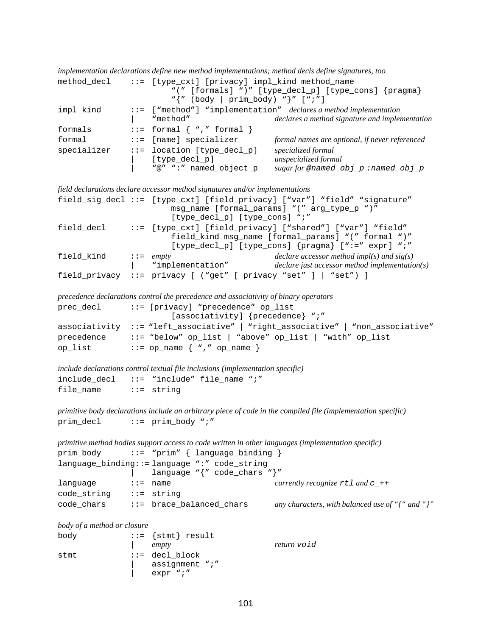|             | implementation declarations define new method implementations; method decls define signatures, too                                                                                                                                                                                                                                                                                                                                                                                                                                                                                  |                                                                                                                    |
|-------------|-------------------------------------------------------------------------------------------------------------------------------------------------------------------------------------------------------------------------------------------------------------------------------------------------------------------------------------------------------------------------------------------------------------------------------------------------------------------------------------------------------------------------------------------------------------------------------------|--------------------------------------------------------------------------------------------------------------------|
| method decl | ::= [type_cxt] [privacy] impl_kind method_name<br>" ${'' \wedge \cdots \wedge \cdots \wedge \cdots \wedge \cdots \wedge \cdots \wedge \cdots \wedge \cdots \wedge \cdots \wedge \cdots \wedge \cdots \wedge \cdots \wedge \cdots \wedge \cdots \wedge \cdots \wedge \cdots \wedge \cdots \wedge \cdots \wedge \cdots \wedge \cdots \wedge \cdots \wedge \cdots \wedge \cdots \wedge \cdots \wedge \cdots \wedge \cdots \wedge \cdots \wedge \cdots \wedge \cdots \wedge \cdots \wedge \cdots \wedge \cdots \wedge \cdots \wedge \cdots \wedge \cdots \wedge \cdots \wedge \cdots \$ | "(" [formals] ")" [type_decl_p] [type_cons] {pragma}                                                               |
| impl kind   | "method"                                                                                                                                                                                                                                                                                                                                                                                                                                                                                                                                                                            | ::= ["method"] "implementation" declares a method implementation<br>declares a method signature and implementation |
| formals     | $::=$ formal $\{$ "," formal $\}$                                                                                                                                                                                                                                                                                                                                                                                                                                                                                                                                                   |                                                                                                                    |
| formal      | $ ::=$ [name] specializer                                                                                                                                                                                                                                                                                                                                                                                                                                                                                                                                                           | formal names are optional, if never referenced                                                                     |
| specializer | ::= location [type_decl_p]<br>[type_decl_p]<br>"@" ":" named object p                                                                                                                                                                                                                                                                                                                                                                                                                                                                                                               | specialized formal<br>unspecialized formal<br>$sugar for @named\_obj\_p: named\_obj\_p$                            |

*field declarations declare accessor method signatures and/or implementations*

|            | [type decl p] [type cons] ";"                                   | field_sig_decl ::= [type_cxt] [field_privacy] ["var"] "field" "signature"<br>msg_name [formal_params] "(" arg_type_p ")"                                              |
|------------|-----------------------------------------------------------------|-----------------------------------------------------------------------------------------------------------------------------------------------------------------------|
| field_decl |                                                                 | ::= [type_cxt] [field_privacy] ["shared"] ["var"] "field"<br>field_kind msg_name [formal_params] "(" formal ")"<br>[type_decl_p] [type_cons] {pragma} [":=" expr] ";" |
| field kind | $\therefore$ = empty<br>  "implementation"                      | declare accessor method impl(s) and $sig(s)$<br>$\theta$ declare just accessor method implementation(s)                                                               |
|            | field_privacy ::= privacy [ ("get" [ privacy "set" ]   "set") ] |                                                                                                                                                                       |

```
precedence declarations control the precedence and associativity of binary operators
```
prec\_decl ::= [privacy] "precedence" op\_list [associativity] {precedence} ";"

|            | [dssociativity] \precedence\ /                                                 |
|------------|--------------------------------------------------------------------------------|
|            | associativity ::= "left_associative"   "right_associative"   "non_associative" |
| precedence | ::= "below" op_list   "above" op_list   "with" op_list                         |
| op list    | $::=$ op_name $\{$ "," op_name $\}$                                            |

*include declarations control textual file inclusions (implementation specific)* include\_decl ::= "include" file\_name ";" file\_name ::= string

*primitive body declarations include an arbitrary piece of code in the compiled file (implementation specific)* prim\_decl ::= prim\_body ";"

*primitive method bodies support access to code written in other languages (implementation specific)* prim\_body ::= "prim" { language\_binding } language\_binding::= language ":" code\_string | language "{" code\_chars "}" language  $\therefore$  name *currently recognize* rtl and c\_++ code\_string ::= string code\_chars ::= brace\_balanced\_chars *any characters, with balanced use of "{" and "}"*

#### *body of a method or closure*

| body | $ ::= \{ \text{stmt} \} \text{ result}$ |             |
|------|-----------------------------------------|-------------|
|      | empty                                   | return void |
| stmt | $ ::=$ decl block                       |             |
|      | assignment ";"                          |             |
|      | expr "i"                                |             |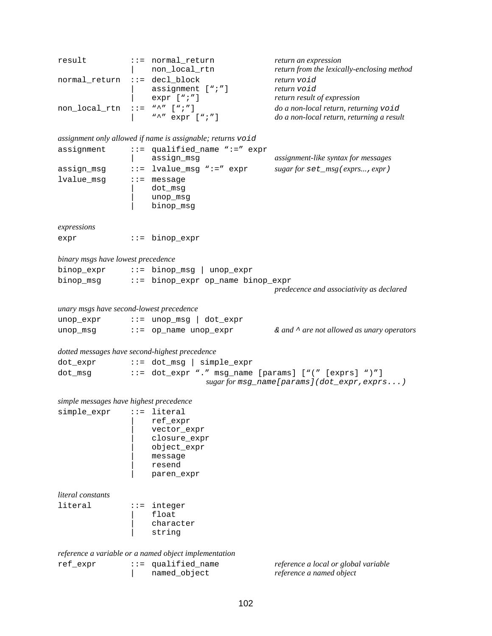| result                                         |         | $::=$ normal return<br>non_local_rtn                                        | return an expression<br>return from the lexically-enclosing method                 |
|------------------------------------------------|---------|-----------------------------------------------------------------------------|------------------------------------------------------------------------------------|
| normal_return                                  |         | $::=$ decl_block<br>assignment [";"]<br>$expr$ [";"]                        | return void<br>return void<br>return result of expression                          |
| non_local_rtn                                  | $: : =$ | $W \wedge W$ [ $W \uparrow W$ ]<br>"^" $expr$ [";"]                         | do a non-local return, returning void<br>do a non-local return, returning a result |
|                                                |         | assignment only allowed if name is assignable; returns void                 |                                                                                    |
| assignment                                     |         | ::= qualified_name ":=" expr<br>assign_msg                                  | assignment-like syntax for messages                                                |
| assign_msg                                     | $: z =$ | lvalue_msg ":=" expr                                                        | sugar for set_msg(exprs, expr)                                                     |
| lvalue_msg                                     |         | $::=$ message<br>dot_msg<br>unop_msg<br>binop_msg                           |                                                                                    |
| expressions                                    |         |                                                                             |                                                                                    |
| expr                                           | $: : =$ | binop_expr                                                                  |                                                                                    |
| binary msgs have lowest precedence             |         |                                                                             |                                                                                    |
|                                                |         | binop_expr ::= binop_msg   unop_expr                                        |                                                                                    |
| binop_msg                                      |         | ::= binop_expr op_name binop_expr                                           | predecence and associativity as declared                                           |
| unary msgs have second-lowest precedence       |         |                                                                             |                                                                                    |
| unop_expr                                      |         | $::=$ unop_msg $ $ dot_expr                                                 |                                                                                    |
| unop_msg                                       |         | ::= op_name unop_expr                                                       | $\&$ and $\uparrow$ are not allowed as unary operators                             |
| dotted messages have second-highest precedence |         |                                                                             |                                                                                    |
| dot_expr                                       |         | $ ::= dot_msg   simple\_expr$                                               |                                                                                    |
| dot_msg                                        |         | ::= dot_expr "." msg_name [params] ["(" [exprs] ")"]                        | sugar for msg_name [params] (dot_expr, exprs)                                      |
| simple messages have highest precedence        |         |                                                                             |                                                                                    |
| simple_expr ::= literal                        |         |                                                                             |                                                                                    |
|                                                |         | ref_expr                                                                    |                                                                                    |
|                                                |         | vector_expr                                                                 |                                                                                    |
|                                                |         | closure_expr                                                                |                                                                                    |
|                                                |         | object_expr<br>message                                                      |                                                                                    |
|                                                |         | resend                                                                      |                                                                                    |
|                                                |         | paren_expr                                                                  |                                                                                    |
|                                                |         |                                                                             |                                                                                    |
| literal constants                              |         |                                                                             |                                                                                    |
| literal                                        |         | $ ::=$ integer<br>float                                                     |                                                                                    |
|                                                |         | character                                                                   |                                                                                    |
|                                                |         | string                                                                      |                                                                                    |
|                                                |         |                                                                             |                                                                                    |
| ref_expr                                       |         | reference a variable or a named object implementation<br>::= qualified_name | reference a local or global variable                                               |
|                                                |         | named_object                                                                | reference a named object                                                           |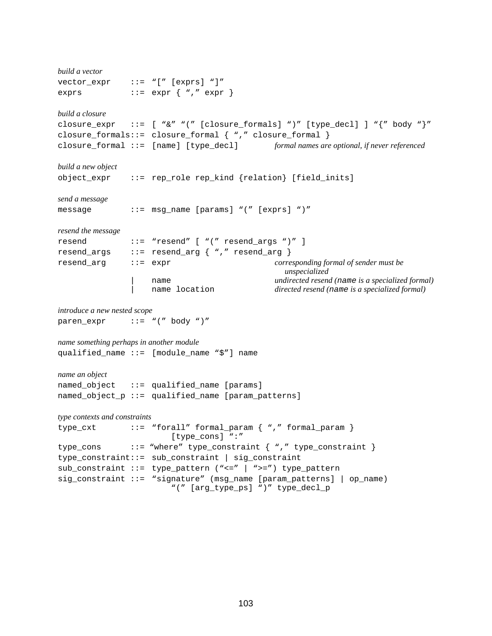```
build a vector
vector expr ::= "[" [express] "] "exprs ::= expr \{ ", " expr \}build a closure
closure expr ::= [ ``\&'' "(" [closure formals] ")" [type decl] ] "{" body "}"
closure_formals::= closure_formal { "," closure_formal }
closure_formal ::= [name] [type_decl] formal names are optional, if never referenced
build a new object
object expr ::= rep role rep kind {relation} [field inits]
send a message
message ::= msg name [params] "(" [exprs] ")"
resend the message
resend ::= "resend" [ "(" resend_args ")" ]
resend_args ::= resend_arg { "," resend_arg }
resend_arg ::= expr corresponding formal of sender must be
                                                unspecialized
                   | name undirected resend (name is a specialized formal)
                   | name location directed resend (name is a specialized formal)
introduce a new nested scope
paren_expr ::= "(" body ")"
name something perhaps in another module
qualified_name ::= [module_name "$"] name
name an object
named\_object ::= qualified_name [params]
named_object_p ::= qualified_name [param_patterns]
type contexts and constraints
type_cxt ::= "forall" formal_param { "," formal_param }
                       [type_cons] ":"
type_cons ::= "where" type_constraint { "," type_constraint }
type_constraint::= sub_constraint | sig_constraint
sub_constraint ::= type_pattern ("<=" | ">=") type_pattern
sig_constraint ::= "signature" (msg_name [param_patterns] | op_name)
                        "(" [arg_type_ps] ")" type_decl_p
```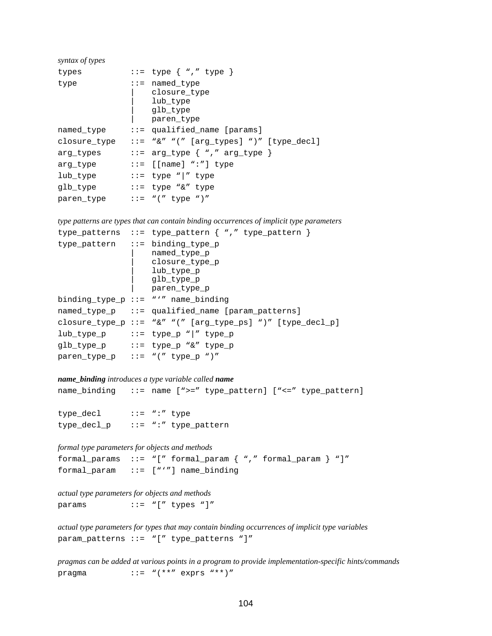| syntax of types |         |                                                                  |
|-----------------|---------|------------------------------------------------------------------|
| types           |         | ::= type { "," type }                                            |
| type            | $: z =$ | named_type<br>closure_type<br>lub_type<br>glb_type<br>paren_type |
| named_type      |         | ::= qualified_name [params]                                      |
|                 |         | closure_type ::= $``\&''$ "(" [arg_types] ")" [type_decl]        |
| arg_types       |         | $ ::= arg_type { " " " arg_type }$                               |
| arg_type        |         | $::=$ [[name] ":"] type                                          |
| lub_type        |         | $::=$ type " " type                                              |
| glb_type        |         | ::= type "&" type                                                |
| paren_type      |         | ::= $" (" type ")"$                                              |

*type patterns are types that can contain binding occurrences of implicit type parameters*

```
type_patterns ::= type_pattern { "," type_pattern }
type_pattern ::= binding_type_p
                  | named_type_p
                  | closure_type_p
                  | lub_type_p
                  | glb_type_p
                  | paren_type_p
binding_type_p ::= "'" name_binding
named_type_p ::= qualified_name [param_patterns]
closure_type_p ::= "&" "(" [arg_type_ps] ")" [type_decl_p]
lub_type_p ::= type_p "|" type_p
glb_type_p ::= type_p "&" type_p
paren_type_p ::= "(" type_p ")"
```
#### *name\_binding introduces a type variable called name*

name\_binding ::= name [">=" type\_pattern] ["<=" type\_pattern]

type\_decl ::= ":" type type\_decl\_p ::= ":" type\_pattern

```
formal type parameters for objects and methods
formal_params ::= "[" formal_param { "," formal_param } "]"
formal_param ::= ["'"] name_binding
```
*actual type parameters for objects and methods* params ::= "[" types "]"

```
actual type parameters for types that may contain binding occurrences of implicit type variables
param_patterns ::= "[" type_patterns "]"
```
*pragmas can be added at various points in a program to provide implementation-specific hints/commands* pragma  $::=$  "(\*\*" exprs "\*\*)"